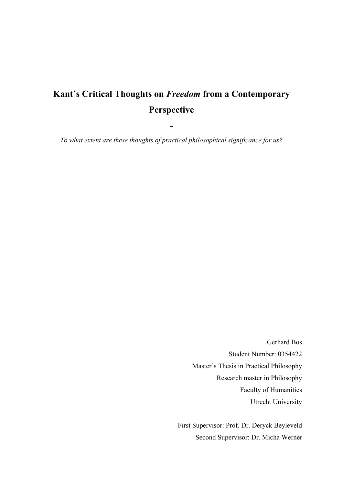# Kant's Critical Thoughts on *Freedom* from a Contemporary Perspective

*To what extent are these thoughts of practical philosophical significance for us?* 

-

Gerhard Bos Student Number: 0354422 Master's Thesis in Practical Philosophy Research master in Philosophy Faculty of Humanities Utrecht University

First Supervisor: Prof. Dr. Deryck Beyleveld Second Supervisor: Dr. Micha Werner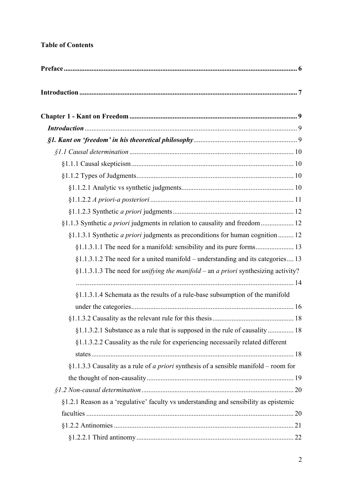# Table of Contents

| §1.1.3 Synthetic <i>a priori</i> judgments in relation to causality and freedom  12                |  |
|----------------------------------------------------------------------------------------------------|--|
| §1.1.3.1 Synthetic <i>a priori</i> judgments as preconditions for human cognition  12              |  |
|                                                                                                    |  |
| $§1.1.3.1.2$ The need for a united manifold – understanding and its categories 13                  |  |
| $§1.1.3.1.3$ The need for <i>unifying the manifold –</i> an <i>a priori</i> synthesizing activity? |  |
|                                                                                                    |  |
| §1.1.3.1.4 Schemata as the results of a rule-base subsumption of the manifold                      |  |
|                                                                                                    |  |
|                                                                                                    |  |
| §1.1.3.2.1 Substance as a rule that is supposed in the rule of causality 18                        |  |
| §1.1.3.2.2 Causality as the rule for experiencing necessarily related different                    |  |
|                                                                                                    |  |
| §1.1.3.3 Causality as a rule of <i>a priori</i> synthesis of a sensible manifold – room for        |  |
|                                                                                                    |  |
|                                                                                                    |  |
| §1.2.1 Reason as a 'regulative' faculty vs understanding and sensibility as epistemic              |  |
|                                                                                                    |  |
|                                                                                                    |  |
|                                                                                                    |  |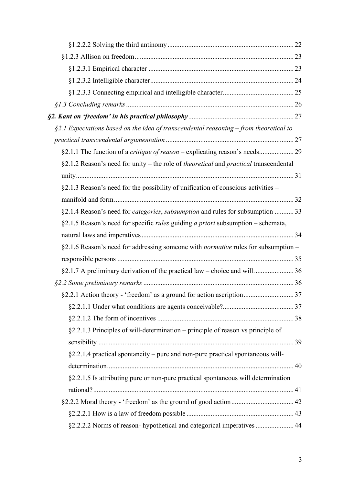| $\S$ 2.1 Expectations based on the idea of transcendental reasoning – from theoretical to           |  |
|-----------------------------------------------------------------------------------------------------|--|
|                                                                                                     |  |
|                                                                                                     |  |
| §2.1.2 Reason's need for unity – the role of <i>theoretical</i> and <i>practical</i> transcendental |  |
|                                                                                                     |  |
| $\S2.1.3$ Reason's need for the possibility of unification of conscious activities –                |  |
|                                                                                                     |  |
| §2.1.4 Reason's need for <i>categories</i> , <i>subsumption</i> and rules for subsumption  33       |  |
| §2.1.5 Reason's need for specific <i>rules</i> guiding <i>a priori</i> subsumption – schemata,      |  |
|                                                                                                     |  |
| §2.1.6 Reason's need for addressing someone with <i>normative</i> rules for subsumption -           |  |
|                                                                                                     |  |
|                                                                                                     |  |
|                                                                                                     |  |
| §2.2.1 Action theory - 'freedom' as a ground for action ascription 37                               |  |
|                                                                                                     |  |
|                                                                                                     |  |
| §2.2.1.3 Principles of will-determination – principle of reason vs principle of                     |  |
|                                                                                                     |  |
| §2.2.1.4 practical spontaneity – pure and non-pure practical spontaneous will-                      |  |
|                                                                                                     |  |
| §2.2.1.5 Is attributing pure or non-pure practical spontaneous will determination                   |  |
|                                                                                                     |  |
|                                                                                                     |  |
|                                                                                                     |  |
| §2.2.2.2 Norms of reason- hypothetical and categorical imperatives  44                              |  |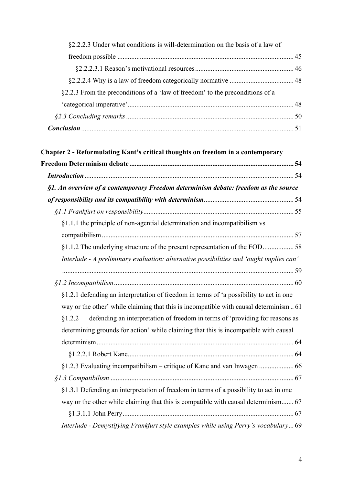| §2.2.2.3 Under what conditions is will-determination on the basis of a law of |  |
|-------------------------------------------------------------------------------|--|
|                                                                               |  |
|                                                                               |  |
|                                                                               |  |
| §2.2.3 From the preconditions of a 'law of freedom' to the preconditions of a |  |
|                                                                               |  |
|                                                                               |  |
|                                                                               |  |

| Chapter 2 - Reformulating Kant's critical thoughts on freedom in a contemporary         |
|-----------------------------------------------------------------------------------------|
|                                                                                         |
|                                                                                         |
| §1. An overview of a contemporary Freedom determinism debate: freedom as the source     |
|                                                                                         |
|                                                                                         |
| §1.1.1 the principle of non-agential determination and incompatibilism vs               |
|                                                                                         |
| §1.1.2 The underlying structure of the present representation of the FOD58              |
| Interlude - A preliminary evaluation: alternative possibilities and 'ought implies can' |
|                                                                                         |
|                                                                                         |
| §1.2.1 defending an interpretation of freedom in terms of 'a possibility to act in one  |
| way or the other' while claiming that this is incompatible with causal determinism61    |
| defending an interpretation of freedom in terms of 'providing for reasons as<br>\$1.2.2 |
| determining grounds for action' while claiming that this is incompatible with causal    |
|                                                                                         |
|                                                                                         |
|                                                                                         |
|                                                                                         |
| §1.3.1 Defending an interpretation of freedom in terms of a possibility to act in one   |
| way or the other while claiming that this is compatible with causal determinism 67      |
|                                                                                         |
| Interlude - Demystifying Frankfurt style examples while using Perry's vocabulary 69     |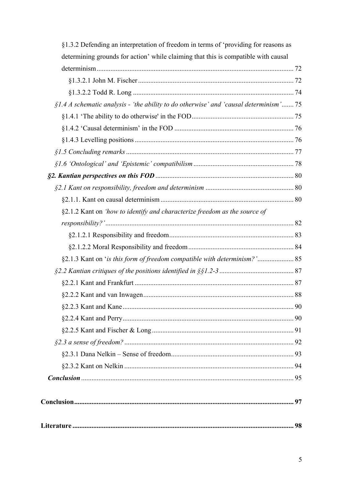| §1.3.2 Defending an interpretation of freedom in terms of 'providing for reasons as     |  |
|-----------------------------------------------------------------------------------------|--|
| determining grounds for action' while claiming that this is compatible with causal      |  |
|                                                                                         |  |
|                                                                                         |  |
|                                                                                         |  |
| $$1.4$ A schematic analysis - 'the ability to do otherwise' and 'causal determinism' 75 |  |
|                                                                                         |  |
|                                                                                         |  |
|                                                                                         |  |
|                                                                                         |  |
|                                                                                         |  |
|                                                                                         |  |
|                                                                                         |  |
|                                                                                         |  |
| §2.1.2 Kant on 'how to identify and characterize freedom as the source of               |  |
|                                                                                         |  |
|                                                                                         |  |
|                                                                                         |  |
| §2.1.3 Kant on 'is this form of freedom compatible with determinism?' 85                |  |
|                                                                                         |  |
|                                                                                         |  |
|                                                                                         |  |
|                                                                                         |  |
|                                                                                         |  |
|                                                                                         |  |
|                                                                                         |  |
|                                                                                         |  |
|                                                                                         |  |
|                                                                                         |  |
|                                                                                         |  |
|                                                                                         |  |
|                                                                                         |  |
|                                                                                         |  |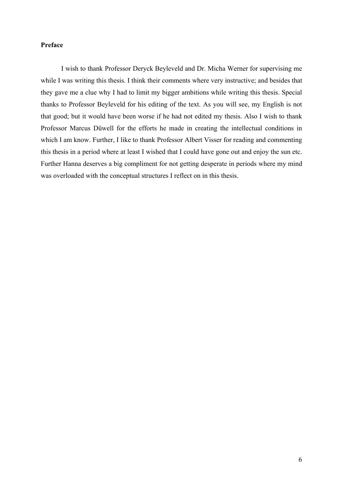# <span id="page-5-0"></span>Preface

 I wish to thank Professor Deryck Beyleveld and Dr. Micha Werner for supervising me while I was writing this thesis. I think their comments where very instructive; and besides that they gave me a clue why I had to limit my bigger ambitions while writing this thesis. Special thanks to Professor Beyleveld for his editing of the text. As you will see, my English is not that good; but it would have been worse if he had not edited my thesis. Also I wish to thank Professor Marcus Düwell for the efforts he made in creating the intellectual conditions in which I am know. Further, I like to thank Professor Albert Visser for reading and commenting this thesis in a period where at least I wished that I could have gone out and enjoy the sun etc. Further Hanna deserves a big compliment for not getting desperate in periods where my mind was overloaded with the conceptual structures I reflect on in this thesis.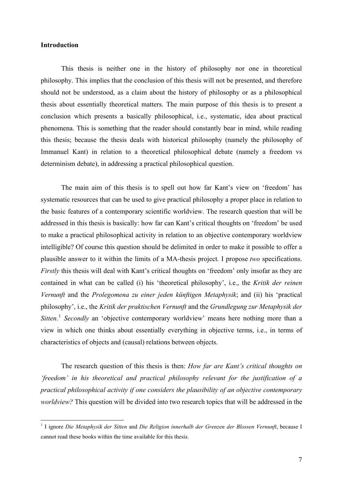## <span id="page-6-0"></span>**Introduction**

1

 This thesis is neither one in the history of philosophy nor one in theoretical philosophy. This implies that the conclusion of this thesis will not be presented, and therefore should not be understood, as a claim about the history of philosophy or as a philosophical thesis about essentially theoretical matters. The main purpose of this thesis is to present a conclusion which presents a basically philosophical, i.e., systematic, idea about practical phenomena. This is something that the reader should constantly bear in mind, while reading this thesis; because the thesis deals with historical philosophy (namely the philosophy of Immanuel Kant) in relation to a theoretical philosophical debate (namely a freedom vs determinism debate), in addressing a practical philosophical question.

The main aim of this thesis is to spell out how far Kant's view on 'freedom' has systematic resources that can be used to give practical philosophy a proper place in relation to the basic features of a contemporary scientific worldview. The research question that will be addressed in this thesis is basically: how far can Kant's critical thoughts on 'freedom' be used to make a practical philosophical activity in relation to an objective contemporary worldview intelligible? Of course this question should be delimited in order to make it possible to offer a plausible answer to it within the limits of a MA-thesis project. I propose *two* specifications. *Firstly* this thesis will deal with Kant's critical thoughts on 'freedom' only insofar as they are contained in what can be called (i) his 'theoretical philosophy', i.e., the *Kritik der reinen Vernunft* and the *Prolegomena zu einer jeden künftigen Metaphysik*; and (ii) his 'practical philosophy', i.e., the *Kritik der praktischen Vernunft* and the *Grundlegung zur Metaphysik der Sitten*. [1](#page-6-1) *Secondly* an 'objective contemporary worldview' means here nothing more than a view in which one thinks about essentially everything in objective terms, i.e., in terms of characteristics of objects and (causal) relations between objects.

The research question of this thesis is then: *How far are Kant's critical thoughts on 'freedom' in his theoretical and practical philosophy relevant for the justification of a practical philosophical activity if one considers the plausibility of an objective contemporary worldview?* This question will be divided into two research topics that will be addressed in the

<span id="page-6-1"></span><sup>&</sup>lt;sup>1</sup> I ignore *Die Metaphysik der Sitten and Die Religion innerhalb der Grenzen der Blossen Vernunft, because I* cannot read these books within the time available for this thesis.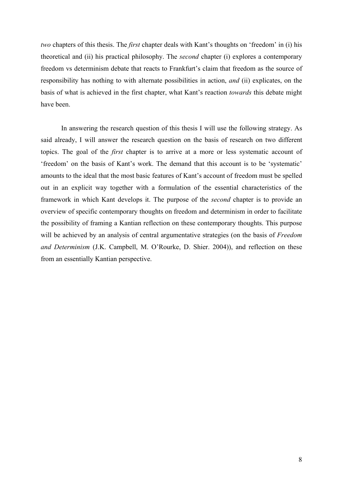*two* chapters of this thesis. The *first* chapter deals with Kant's thoughts on 'freedom' in (i) his theoretical and (ii) his practical philosophy. The *second* chapter (i) explores a contemporary freedom vs determinism debate that reacts to Frankfurt's claim that freedom as the source of responsibility has nothing to with alternate possibilities in action, *and* (ii) explicates, on the basis of what is achieved in the first chapter, what Kant's reaction *towards* this debate might have been.

In answering the research question of this thesis I will use the following strategy. As said already, I will answer the research question on the basis of research on two different topics. The goal of the *first* chapter is to arrive at a more or less systematic account of 'freedom' on the basis of Kant's work. The demand that this account is to be 'systematic' amounts to the ideal that the most basic features of Kant's account of freedom must be spelled out in an explicit way together with a formulation of the essential characteristics of the framework in which Kant develops it. The purpose of the *second* chapter is to provide an overview of specific contemporary thoughts on freedom and determinism in order to facilitate the possibility of framing a Kantian reflection on these contemporary thoughts. This purpose will be achieved by an analysis of central argumentative strategies (on the basis of *Freedom and Determinism* (J.K. Campbell, M. O'Rourke, D. Shier. 2004)), and reflection on these from an essentially Kantian perspective.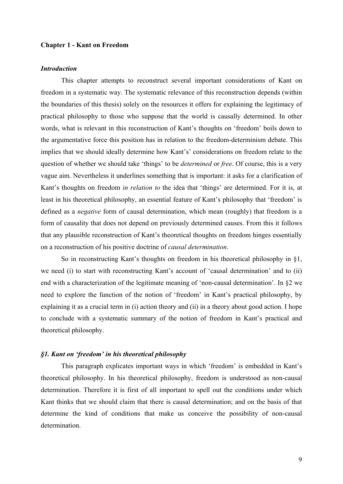#### <span id="page-8-0"></span>Chapter 1 - Kant on Freedom

# *Introduction*

 This chapter attempts to reconstruct several important considerations of Kant on freedom in a systematic way. The systematic relevance of this reconstruction depends (within the boundaries of this thesis) solely on the resources it offers for explaining the legitimacy of practical philosophy to those who suppose that the world is causally determined. In other words, what is relevant in this reconstruction of Kant's thoughts on 'freedom' boils down to the argumentative force this position has in relation to the freedom-determinism debate. This implies that we should ideally determine how Kant's' considerations on freedom relate to the question of whether we should take 'things' to be *determined* or *free*. Of course, this is a very vague aim. Nevertheless it underlines something that is important: it asks for a clarification of Kant's thoughts on freedom *in relation to* the idea that 'things' are determined. For it is, at least in his theoretical philosophy, an essential feature of Kant's philosophy that 'freedom' is defined as a *negative* form of causal determination, which mean (roughly) that freedom is a form of causality that does not depend on previously determined causes. From this it follows that any plausible reconstruction of Kant's theoretical thoughts on freedom hinges essentially on a reconstruction of his positive doctrine of *causal determination*.

So in reconstructing Kant's thoughts on freedom in his theoretical philosophy in §1, we need (i) to start with reconstructing Kant's account of 'causal determination' and to (ii) end with a characterization of the legitimate meaning of 'non-causal determination'. In §2 we need to explore the function of the notion of 'freedom' in Kant's practical philosophy, by explaining it as a crucial term in (i) action theory and (ii) in a theory about good action. I hope to conclude with a systematic summary of the notion of freedom in Kant's practical and theoretical philosophy.

#### *§1. Kant on 'freedom' in his theoretical philosophy*

This paragraph explicates important ways in which 'freedom' is embedded in Kant's theoretical philosophy. In his theoretical philosophy, freedom is understood as non-causal determination. Therefore it is first of all important to spell out the conditions under which Kant thinks that we should claim that there is causal determination; and on the basis of that determine the kind of conditions that make us conceive the possibility of non-causal determination.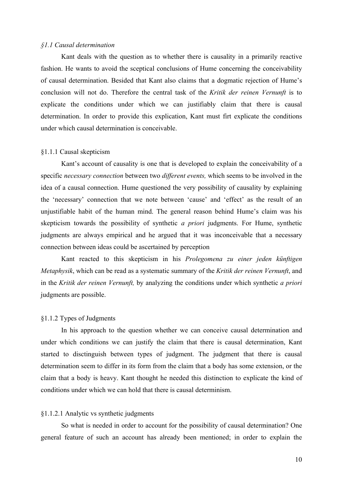#### <span id="page-9-0"></span>*§1.1 Causal determination*

 Kant deals with the question as to whether there is causality in a primarily reactive fashion. He wants to avoid the sceptical conclusions of Hume concerning the conceivability of causal determination. Besided that Kant also claims that a dogmatic rejection of Hume's conclusion will not do. Therefore the central task of the *Kritik der reinen Vernunft* is to explicate the conditions under which we can justifiably claim that there is causal determination. In order to provide this explication, Kant must firt explicate the conditions under which causal determination is conceivable.

#### §1.1.1 Causal skepticism

 Kant's account of causality is one that is developed to explain the conceivability of a specific *necessary connection* between two *different events,* which seems to be involved in the idea of a causal connection. Hume questioned the very possibility of causality by explaining the 'necessary' connection that we note between 'cause' and 'effect' as the result of an unjustifiable habit of the human mind. The general reason behind Hume's claim was his skepticism towards the possibility of synthetic *a priori* judgments. For Hume, synthetic judgments are always empirical and he argued that it was inconceivable that a necessary connection between ideas could be ascertained by perception

Kant reacted to this skepticism in his *Prolegomena zu einer jeden künftigen Metaphysik*, which can be read as a systematic summary of the *Kritik der reinen Vernunft*, and in the *Kritik der reinen Vernunft,* by analyzing the conditions under which synthetic *a priori* judgments are possible.

#### §1.1.2 Types of Judgments

 In his approach to the question whether we can conceive causal determination and under which conditions we can justify the claim that there is causal determination, Kant started to disctinguish between types of judgment. The judgment that there is causal determination seem to differ in its form from the claim that a body has some extension, or the claim that a body is heavy. Kant thought he needed this distinction to explicate the kind of conditions under which we can hold that there is causal determinism.

#### §1.1.2.1 Analytic vs synthetic judgments

So what is needed in order to account for the possibility of causal determination? One general feature of such an account has already been mentioned; in order to explain the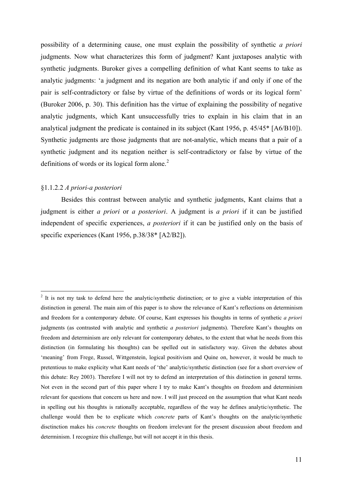<span id="page-10-0"></span>possibility of a determining cause, one must explain the possibility of synthetic *a priori* judgments. Now what characterizes this form of judgment? Kant juxtaposes analytic with synthetic judgments. Buroker gives a compelling definition of what Kant seems to take as analytic judgments: 'a judgment and its negation are both analytic if and only if one of the pair is self-contradictory or false by virtue of the definitions of words or its logical form' (Buroker 2006, p. 30). This definition has the virtue of explaining the possibility of negative analytic judgments, which Kant unsuccessfully tries to explain in his claim that in an analytical judgment the predicate is contained in its subject (Kant 1956, p. 45/45\* [A6/B10]). Synthetic judgments are those judgments that are not-analytic, which means that a pair of a synthetic judgment and its negation neither is self-contradictory or false by virtue of the definitions of words or its logical form alone. $2$ 

#### §1.1.2.2 *A priori-a posteriori*

1

Besides this contrast between analytic and synthetic judgments, Kant claims that a judgment is either *a priori* or *a posteriori*. A judgment is *a priori* if it can be justified independent of specific experiences, *a posteriori* if it can be justified only on the basis of specific experiences (Kant 1956, p.38/38\* [A2/B2]).

<span id="page-10-1"></span> $2$  It is not my task to defend here the analytic/synthetic distinction; or to give a viable interpretation of this distinction in general. The main aim of this paper is to show the relevance of Kant's reflections on determinism and freedom for a contemporary debate. Of course, Kant expresses his thoughts in terms of synthetic *a priori* judgments (as contrasted with analytic and synthetic *a posteriori* judgments). Therefore Kant's thoughts on freedom and determinism are only relevant for contemporary debates, to the extent that what he needs from this distinction (in formulating his thoughts) can be spelled out in satisfactory way. Given the debates about 'meaning' from Frege, Russel, Wittgenstein, logical positivism and Quine on, however, it would be much to pretentious to make explicity what Kant needs of 'the' analytic/synthetic distinction (see for a short overview of this debate: Rey 2003). Therefore I will not try to defend an interpretation of this distinction in general terms. Not even in the second part of this paper where I try to make Kant's thoughts on freedom and determinism relevant for questions that concern us here and now. I will just proceed on the assumption that what Kant needs in spelling out his thoughts is rationally acceptable, regardless of the way he defines analytic/synthetic. The challenge would then be to explicate which *concrete* parts of Kant's thoughts on the analytic/synthetic disctinction makes his *concrete* thoughts on freedom irrelevant for the present discussion about freedom and determinism. I recognize this challenge, but will not accept it in this thesis.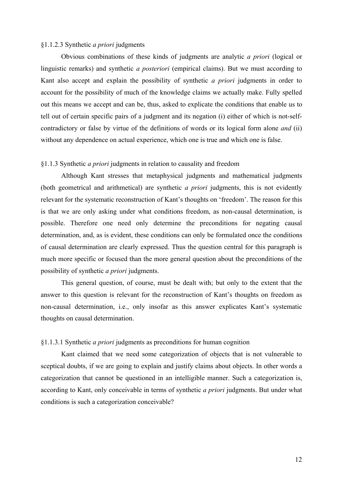#### <span id="page-11-0"></span>§1.1.2.3 Synthetic *a priori* judgments

Obvious combinations of these kinds of judgments are analytic *a priori* (logical or linguistic remarks) and synthetic *a posteriori* (empirical claims). But we must according to Kant also accept and explain the possibility of synthetic *a priori* judgments in order to account for the possibility of much of the knowledge claims we actually make. Fully spelled out this means we accept and can be, thus, asked to explicate the conditions that enable us to tell out of certain specific pairs of a judgment and its negation (i) either of which is not-selfcontradictory or false by virtue of the definitions of words or its logical form alone *and* (ii) without any dependence on actual experience, which one is true and which one is false.

#### §1.1.3 Synthetic *a priori* judgments in relation to causality and freedom

Although Kant stresses that metaphysical judgments and mathematical judgments (both geometrical and arithmetical) are synthetic *a priori* judgments, this is not evidently relevant for the systematic reconstruction of Kant's thoughts on 'freedom'. The reason for this is that we are only asking under what conditions freedom, as non-causal determination, is possible. Therefore one need only determine the preconditions for negating causal determination, and, as is evident, these conditions can only be formulated once the conditions of causal determination are clearly expressed. Thus the question central for this paragraph is much more specific or focused than the more general question about the preconditions of the possibility of synthetic *a priori* judgments.

This general question, of course, must be dealt with; but only to the extent that the answer to this question is relevant for the reconstruction of Kant's thoughts on freedom as non-causal determination, i.e., only insofar as this answer explicates Kant's systematic thoughts on causal determination.

#### §1.1.3.1 Synthetic *a priori* judgments as preconditions for human cognition

 Kant claimed that we need some categorization of objects that is not vulnerable to sceptical doubts, if we are going to explain and justify claims about objects. In other words a categorization that cannot be questioned in an intelligible manner. Such a categorization is, according to Kant, only conceivable in terms of synthetic *a priori* judgments. But under what conditions is such a categorization conceivable?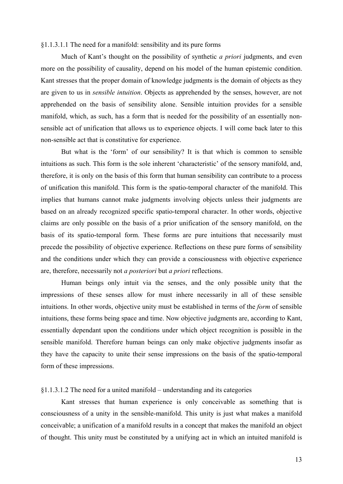<span id="page-12-0"></span>§1.1.3.1.1 The need for a manifold: sensibility and its pure forms

 Much of Kant's thought on the possibility of synthetic *a priori* judgments, and even more on the possibility of causality, depend on his model of the human epistemic condition. Kant stresses that the proper domain of knowledge judgments is the domain of objects as they are given to us in *sensible intuition*. Objects as apprehended by the senses, however, are not apprehended on the basis of sensibility alone. Sensible intuition provides for a sensible manifold, which, as such, has a form that is needed for the possibility of an essentially nonsensible act of unification that allows us to experience objects. I will come back later to this non-sensible act that is constitutive for experience.

But what is the 'form' of our sensibility? It is that which is common to sensible intuitions as such. This form is the sole inherent 'characteristic' of the sensory manifold, and, therefore, it is only on the basis of this form that human sensibility can contribute to a process of unification this manifold. This form is the spatio-temporal character of the manifold. This implies that humans cannot make judgments involving objects unless their judgments are based on an already recognized specific spatio-temporal character. In other words, objective claims are only possible on the basis of a prior unification of the sensory manifold, on the basis of its spatio-temporal form. These forms are pure intuitions that necessarily must precede the possibility of objective experience. Reflections on these pure forms of sensibility and the conditions under which they can provide a consciousness with objective experience are, therefore, necessarily not *a posteriori* but *a priori* reflections.

Human beings only intuit via the senses, and the only possible unity that the impressions of these senses allow for must inhere necessarily in all of these sensible intuitions. In other words, objective unity must be established in terms of the *form* of sensible intuitions, these forms being space and time. Now objective judgments are, according to Kant, essentially dependant upon the conditions under which object recognition is possible in the sensible manifold. Therefore human beings can only make objective judgments insofar as they have the capacity to unite their sense impressions on the basis of the spatio-temporal form of these impressions.

# §1.1.3.1.2 The need for a united manifold – understanding and its categories

Kant stresses that human experience is only conceivable as something that is consciousness of a unity in the sensible-manifold. This unity is just what makes a manifold conceivable; a unification of a manifold results in a concept that makes the manifold an object of thought. This unity must be constituted by a unifying act in which an intuited manifold is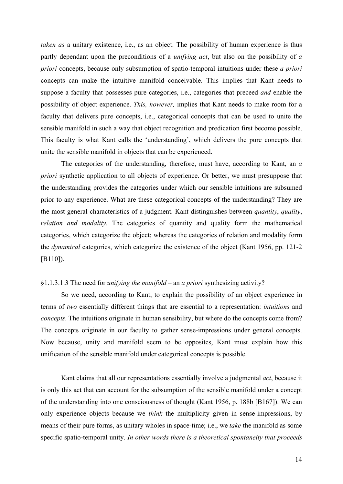<span id="page-13-0"></span>*taken as* a unitary existence, i.e., as an object. The possibility of human experience is thus partly dependant upon the preconditions of a *unifying act*, but also on the possibility of *a priori* concepts, because only subsumption of spatio-temporal intuitions under these *a priori* concepts can make the intuitive manifold conceivable. This implies that Kant needs to suppose a faculty that possesses pure categories, i.e., categories that preceed *and* enable the possibility of object experience. *This, however,* implies that Kant needs to make room for a faculty that delivers pure concepts, i.e., categorical concepts that can be used to unite the sensible manifold in such a way that object recognition and predication first become possible. This faculty is what Kant calls the 'understanding', which delivers the pure concepts that unite the sensible manifold in objects that can be experienced.

The categories of the understanding, therefore, must have, according to Kant, an *a priori* synthetic application to all objects of experience. Or better, we must presuppose that the understanding provides the categories under which our sensible intuitions are subsumed prior to any experience. What are these categorical concepts of the understanding? They are the most general characteristics of a judgment. Kant distinguishes between *quantity*, *quality*, *relation and modality*. The categories of quantity and quality form the mathematical categories, which categorize the object; whereas the categories of relation and modality form the *dynamical* categories, which categorize the existence of the object (Kant 1956, pp. 121-2 [B110]).

#### §1.1.3.1.3 The need for *unifying the manifold* – an *a priori* synthesizing activity?

So we need, according to Kant, to explain the possibility of an object experience in terms of *two* essentially different things that are essential to a representation: *intuitions* and *concepts*. The intuitions originate in human sensibility, but where do the concepts come from? The concepts originate in our faculty to gather sense-impressions under general concepts. Now because, unity and manifold seem to be opposites, Kant must explain how this unification of the sensible manifold under categorical concepts is possible.

Kant claims that all our representations essentially involve a judgmental *act*, because it is only this act that can account for the subsumption of the sensible manifold under a concept of the understanding into one consciousness of thought (Kant 1956, p. 188b [B167]). We can only experience objects because we *think* the multiplicity given in sense-impressions, by means of their pure forms, as unitary wholes in space-time; i.e., we *take* the manifold as some specific spatio-temporal unity. *In other words there is a theoretical spontaneity that proceeds*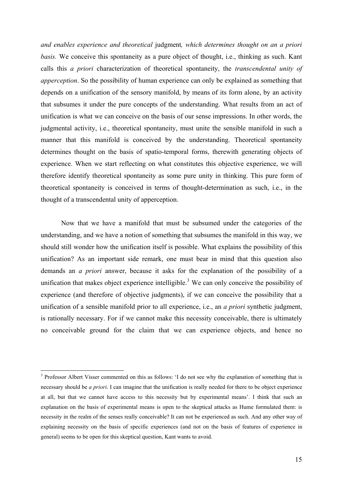*and enables experience and theoretical* judgment*, which determines thought on an a priori basis.* We conceive this spontaneity as a pure object of thought, i.e., thinking as such. Kant calls this *a priori* characterization of theoretical spontaneity, the *transcendental unity of apperception*. So the possibility of human experience can only be explained as something that depends on a unification of the sensory manifold, by means of its form alone, by an activity that subsumes it under the pure concepts of the understanding. What results from an act of unification is what we can conceive on the basis of our sense impressions. In other words, the judgmental activity, i.e., theoretical spontaneity, must unite the sensible manifold in such a manner that this manifold is conceived by the understanding. Theoretical spontaneity determines thought on the basis of spatio-temporal forms, therewith generating objects of experience. When we start reflecting on what constitutes this objective experience, we will therefore identify theoretical spontaneity as some pure unity in thinking. This pure form of theoretical spontaneity is conceived in terms of thought-determination as such, i.e., in the thought of a transcendental unity of apperception.

Now that we have a manifold that must be subsumed under the categories of the understanding, and we have a notion of something that subsumes the manifold in this way, we should still wonder how the unification itself is possible. What explains the possibility of this unification? As an important side remark, one must bear in mind that this question also demands an *a priori* answer, because it asks for the explanation of the possibility of a unification that makes object experience intelligible.<sup>[3](#page-14-0)</sup> We can only conceive the possibility of experience (and therefore of objective judgments), if we can conceive the possibility that a unification of a sensible manifold prior to all experience, i.e., an *a priori* synthetic judgment, is rationally necessary. For if we cannot make this necessity conceivable, there is ultimately no conceivable ground for the claim that we can experience objects, and hence no

1

<span id="page-14-0"></span><sup>&</sup>lt;sup>3</sup> Professor Albert Visser commented on this as follows: 'I do not see why the explanation of something that is necessary should be *a priori*. I can imagine that the unification is really needed for there to be object experience at all, but that we cannot have access to this necessity but by experimental means'. I think that such an explanation on the basis of experimental means is open to the skeptical attacks as Hume formulated them: is necessity in the realm of the senses really conceivable? It can not be experienced as such. And any other way of explaining necessity on the basis of specific experiences (and not on the basis of features of experience in general) seems to be open for this skeptical question, Kant wants to avoid.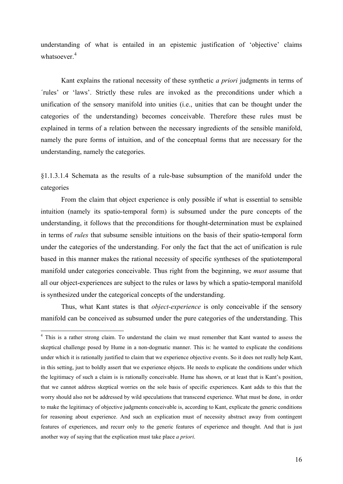<span id="page-15-0"></span>understanding of what is entailed in an epistemic justification of 'objective' claims whatsoever.<sup>[4](#page-15-1)</sup>

Kant explains the rational necessity of these synthetic *a priori* judgments in terms of ´rules' or 'laws'. Strictly these rules are invoked as the preconditions under which a unification of the sensory manifold into unities (i.e., unities that can be thought under the categories of the understanding) becomes conceivable. Therefore these rules must be explained in terms of a relation between the necessary ingredients of the sensible manifold, namely the pure forms of intuition, and of the conceptual forms that are necessary for the understanding, namely the categories.

§1.1.3.1.4 Schemata as the results of a rule-base subsumption of the manifold under the categories

From the claim that object experience is only possible if what is essential to sensible intuition (namely its spatio-temporal form) is subsumed under the pure concepts of the understanding, it follows that the preconditions for thought-determination must be explained in terms of *rules* that subsume sensible intuitions on the basis of their spatio-temporal form under the categories of the understanding. For only the fact that the act of unification is rule based in this manner makes the rational necessity of specific syntheses of the spatiotemporal manifold under categories conceivable. Thus right from the beginning, we *must* assume that all our object-experiences are subject to the rules or laws by which a spatio-temporal manifold is synthesized under the categorical concepts of the understanding.

Thus, what Kant states is that *object-experience* is only conceivable if the sensory manifold can be conceived as subsumed under the pure categories of the understanding. This

1

<span id="page-15-1"></span><sup>&</sup>lt;sup>4</sup> This is a rather strong claim. To understand the claim we must remember that Kant wanted to assess the skeptical challenge posed by Hume in a non-dogmatic manner. This is: he wanted to explicate the conditions under which it is rationally justified to claim that we experience objective events. So it does not really help Kant, in this setting, just to boldly assert that we experience objects. He needs to explicate the conditions under which the legitimacy of such a claim is is rationally conceivable. Hume has shown, or at least that is Kant's position, that we cannot address skeptical worries on the sole basis of specific experiences. Kant adds to this that the worry should also not be addressed by wild speculations that transcend experience. What must be done, in order to make the legitimacy of objective judgments conceivable is, according to Kant, explicate the generic conditions for reasoning about experience. And such an explication must of necessity abstract away from contingent features of experiences, and recurr only to the generic features of experience and thought. And that is just another way of saying that the explication must take place *a priori*.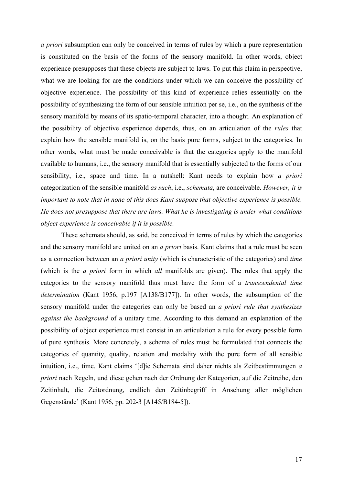*a priori* subsumption can only be conceived in terms of rules by which a pure representation is constituted on the basis of the forms of the sensory manifold. In other words, object experience presupposes that these objects are subject to laws. To put this claim in perspective, what we are looking for are the conditions under which we can conceive the possibility of objective experience. The possibility of this kind of experience relies essentially on the possibility of synthesizing the form of our sensible intuition per se, i.e., on the synthesis of the sensory manifold by means of its spatio-temporal character, into a thought. An explanation of the possibility of objective experience depends, thus, on an articulation of the *rules* that explain how the sensible manifold is, on the basis pure forms, subject to the categories. In other words, what must be made conceivable is that the categories apply to the manifold available to humans, i.e., the sensory manifold that is essentially subjected to the forms of our sensibility, i.e., space and time. In a nutshell: Kant needs to explain how *a priori* categorization of the sensible manifold *as such*, i.e., *schemata*, are conceivable. *However, it is important to note that in none of this does Kant suppose that objective experience is possible. He does not presuppose that there are laws. What he is investigating is under what conditions object experience is conceivable if it is possible.* 

These schemata should, as said, be conceived in terms of rules by which the categories and the sensory manifold are united on an *a priori* basis. Kant claims that a rule must be seen as a connection between an *a priori unity* (which is characteristic of the categories) and *time* (which is the *a priori* form in which *all* manifolds are given). The rules that apply the categories to the sensory manifold thus must have the form of a *transcendental time determination* (Kant 1956, p.197 [A138/B177]). In other words, the subsumption of the sensory manifold under the categories can only be based an *a priori rule that synthesizes against the background* of a unitary time. According to this demand an explanation of the possibility of object experience must consist in an articulation a rule for every possible form of pure synthesis. More concretely, a schema of rules must be formulated that connects the categories of quantity, quality, relation and modality with the pure form of all sensible intuition, i.e., time. Kant claims '[d]ie Schemata sind daher nichts als Zeitbestimmungen *a priori* nach Regeln, und diese gehen nach der Ordnung der Kategorien, auf die Zeitreihe, den Zeitinhalt, die Zeitordnung, endlich den Zeitinbegriff in Ansehung aller möglichen Gegenstände' (Kant 1956, pp. 202-3 [A145/B184-5]).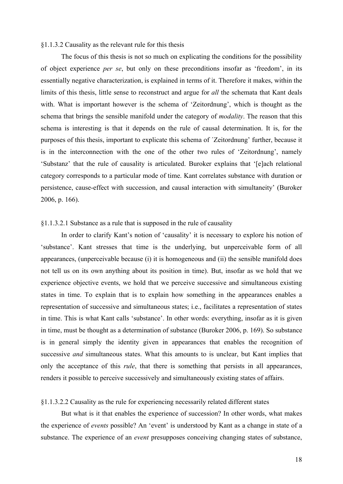#### <span id="page-17-0"></span>§1.1.3.2 Causality as the relevant rule for this thesis

The focus of this thesis is not so much on explicating the conditions for the possibility of object experience *per se*, but only on these preconditions insofar as 'freedom', in its essentially negative characterization, is explained in terms of it. Therefore it makes, within the limits of this thesis, little sense to reconstruct and argue for *all* the schemata that Kant deals with. What is important however is the schema of 'Zeitordnung', which is thought as the schema that brings the sensible manifold under the category of *modality*. The reason that this schema is interesting is that it depends on the rule of causal determination. It is, for the purposes of this thesis, important to explicate this schema of ´Zeitordnung' further, because it is in the interconnection with the one of the other two rules of 'Zeitordnung', namely 'Substanz' that the rule of causality is articulated. Buroker explains that '[e]ach relational category corresponds to a particular mode of time. Kant correlates substance with duration or persistence, cause-effect with succession, and causal interaction with simultaneity' (Buroker 2006, p. 166).

# §1.1.3.2.1 Substance as a rule that is supposed in the rule of causality

In order to clarify Kant's notion of 'causality' it is necessary to explore his notion of 'substance'. Kant stresses that time is the underlying, but unperceivable form of all appearances, (unperceivable because (i) it is homogeneous and (ii) the sensible manifold does not tell us on its own anything about its position in time). But, insofar as we hold that we experience objective events, we hold that we perceive successive and simultaneous existing states in time. To explain that is to explain how something in the appearances enables a representation of successive and simultaneous states; i.e., facilitates a representation of states in time. This is what Kant calls 'substance'. In other words: everything, insofar as it is given in time, must be thought as a determination of substance (Buroker 2006, p. 169). So substance is in general simply the identity given in appearances that enables the recognition of successive *and* simultaneous states. What this amounts to is unclear, but Kant implies that only the acceptance of this *rule*, that there is something that persists in all appearances, renders it possible to perceive successively and simultaneously existing states of affairs.

#### §1.1.3.2.2 Causality as the rule for experiencing necessarily related different states

But what is it that enables the experience of succession? In other words, what makes the experience of *events* possible? An 'event' is understood by Kant as a change in state of a substance. The experience of an *event* presupposes conceiving changing states of substance,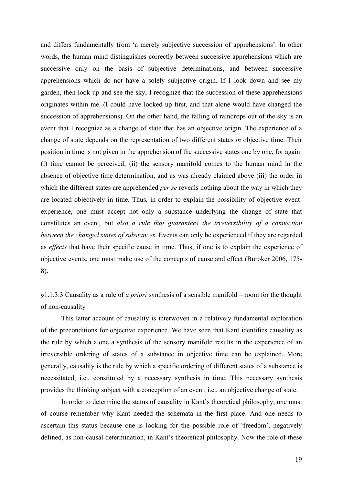<span id="page-18-0"></span>and differs fundamentally from 'a merely subjective succession of apprehensions'. In other words, the human mind distinguishes correctly between successive apprehensions which are successive only on the basis of subjective determinations, and between successive apprehensions which do not have a solely subjective origin. If I look down and see my garden, then look up and see the sky, I recognize that the succession of these apprehensions originates within me. (I could have looked up first, and that alone would have changed the succession of apprehensions). On the other hand, the falling of raindrops out of the sky is an event that I recognize as a change of state that has an objective origin. The experience of a change of state depends on the representation of two different states *in* objective time. Their position in time is not given in the apprehension of the successive states one by one, for again: (i) time cannot be perceived; (ii) the sensory manifold comes to the human mind in the absence of objective time determination, and as was already claimed above (iii) the order in which the different states are apprehended *per se* reveals nothing about the way in which they are located objectively in time. Thus, in order to explain the possibility of objective eventexperience, one must accept not only a substance underlying the change of state that constitutes an event, but *also a rule that guarantees the irreversibility of a connection between the changed states of substances*. Events can only be experienced if they are regarded as *effects* that have their specific cause in time. Thus, if one is to explain the experience of objective events, one must make use of the concepts of cause and effect (Buroker 2006, 175- 8).

§1.1.3.3 Causality as a rule of *a priori* synthesis of a sensible manifold – room for the thought of non-causality

This latter account of causality is interwoven in a relatively fundamental exploration of the preconditions for objective experience. We have seen that Kant identifies causality as the rule by which alone a synthesis of the sensory manifold results in the experience of an irreversible ordering of states of a substance in objective time can be explained. More generally, causality is the rule by which a specific ordering of different states of a substance is necessitated, i.e., constituted by a necessary synthesis in time. This necessary synthesis provides the thinking subject with a conception of an event, i.e., an objective change of state.

In order to determine the status of causality in Kant's theoretical philosophy, one must of course remember why Kant needed the schemata in the first place. And one needs to ascertain this status because one is looking for the possible role of 'freedom', negatively defined, as non-causal determination, in Kant's theoretical philosophy. Now the role of these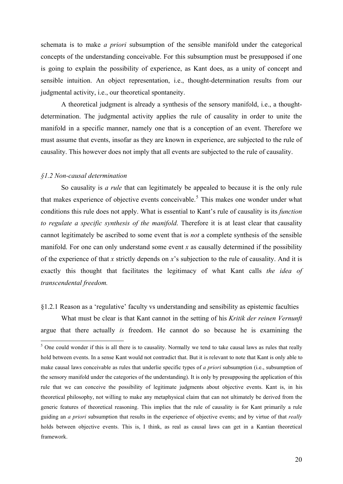<span id="page-19-0"></span>schemata is to make *a priori* subsumption of the sensible manifold under the categorical concepts of the understanding conceivable. For this subsumption must be presupposed if one is going to explain the possibility of experience, as Kant does, as a unity of concept and sensible intuition. An object representation, i.e., thought-determination results from our judgmental activity, i.e., our theoretical spontaneity.

A theoretical judgment is already a synthesis of the sensory manifold, i.e., a thoughtdetermination. The judgmental activity applies the rule of causality in order to unite the manifold in a specific manner, namely one that is a conception of an event. Therefore we must assume that events, insofar as they are known in experience, are subjected to the rule of causality. This however does not imply that all events are subjected to the rule of causality.

#### *§1.2 Non-causal determination*

1

So causality is *a rule* that can legitimately be appealed to because it is the only rule that makes experience of objective events conceivable.<sup>[5](#page-19-1)</sup> This makes one wonder under what conditions this rule does not apply. What is essential to Kant's rule of causality is its *function to regulate a specific synthesis of the manifold*. Therefore it is at least clear that causality cannot legitimately be ascribed to some event that is *not* a complete synthesis of the sensible manifold. For one can only understand some event  $x$  as causally determined if the possibility of the experience of that *x* strictly depends on *x*'s subjection to the rule of causality. And it is exactly this thought that facilitates the legitimacy of what Kant calls *the idea of transcendental freedom.*

#### §1.2.1 Reason as a 'regulative' faculty vs understanding and sensibility as epistemic faculties

 What must be clear is that Kant cannot in the setting of his *Kritik der reinen Vernunft* argue that there actually *is* freedom. He cannot do so because he is examining the

<span id="page-19-1"></span> $<sup>5</sup>$  One could wonder if this is all there is to causality. Normally we tend to take causal laws as rules that really</sup> hold between events. In a sense Kant would not contradict that. But it is relevant to note that Kant is only able to make causal laws conceivable as rules that underlie specific types of *a priori* subsumption (i.e., subsumption of the sensory manifold under the categories of the understanding). It is only by presupposing the application of this rule that we can conceive the possibility of legitimate judgments about objective events. Kant is, in his theoretical philosophy, not willing to make any metaphysical claim that can not ultimately be derived from the generic features of theoretical reasoning. This implies that the rule of causality is for Kant primarily a rule guiding an *a priori* subsumption that results in the experience of objective events; and by virtue of that *really* holds between objective events. This is, I think, as real as causal laws can get in a Kantian theoretical framework.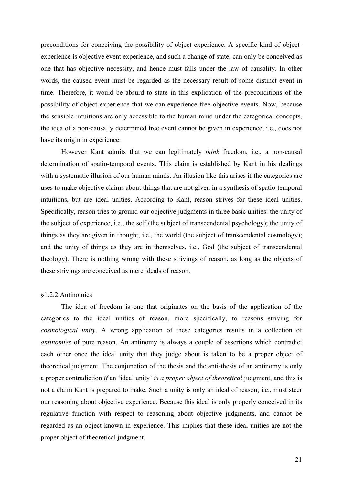<span id="page-20-0"></span>preconditions for conceiving the possibility of object experience. A specific kind of objectexperience is objective event experience, and such a change of state, can only be conceived as one that has objective necessity, and hence must falls under the law of causality. In other words, the caused event must be regarded as the necessary result of some distinct event in time. Therefore, it would be absurd to state in this explication of the preconditions of the possibility of object experience that we can experience free objective events. Now, because the sensible intuitions are only accessible to the human mind under the categorical concepts, the idea of a non-causally determined free event cannot be given in experience, i.e., does not have its origin in experience.

 However Kant admits that we can legitimately *think* freedom, i.e., a non-causal determination of spatio-temporal events. This claim is established by Kant in his dealings with a systematic illusion of our human minds. An illusion like this arises if the categories are uses to make objective claims about things that are not given in a synthesis of spatio-temporal intuitions, but are ideal unities. According to Kant, reason strives for these ideal unities. Specifically, reason tries to ground our objective judgments in three basic unities: the unity of the subject of experience, i.e., the self (the subject of transcendental psychology); the unity of things as they are given in thought, i.e., the world (the subject of transcendental cosmology); and the unity of things as they are in themselves, i.e., God (the subject of transcendental theology). There is nothing wrong with these strivings of reason, as long as the objects of these strivings are conceived as mere ideals of reason.

#### §1.2.2 Antinomies

The idea of freedom is one that originates on the basis of the application of the categories to the ideal unities of reason, more specifically, to reasons striving for *cosmological unity*. A wrong application of these categories results in a collection of *antinomies* of pure reason. An antinomy is always a couple of assertions which contradict each other once the ideal unity that they judge about is taken to be a proper object of theoretical judgment. The conjunction of the thesis and the anti-thesis of an antinomy is only a proper contradiction *if* an 'ideal unity' *is a proper object of theoretical* judgment, and this is not a claim Kant is prepared to make. Such a unity is only an ideal of reason; i.e., must steer our reasoning about objective experience. Because this ideal is only properly conceived in its regulative function with respect to reasoning about objective judgments, and cannot be regarded as an object known in experience. This implies that these ideal unities are not the proper object of theoretical judgment.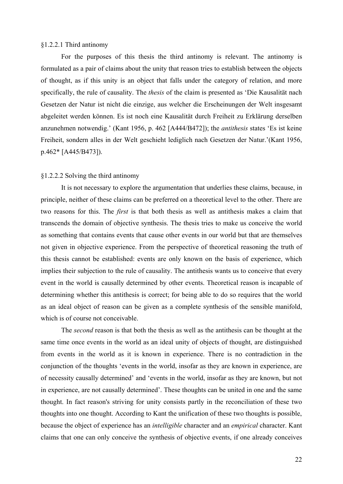#### <span id="page-21-0"></span>§1.2.2.1 Third antinomy

For the purposes of this thesis the third antinomy is relevant. The antinomy is formulated as a pair of claims about the unity that reason tries to establish between the objects of thought, as if this unity is an object that falls under the category of relation, and more specifically, the rule of causality. The *thesis* of the claim is presented as 'Die Kausalität nach Gesetzen der Natur ist nicht die einzige, aus welcher die Erscheinungen der Welt insgesamt abgeleitet werden können. Es ist noch eine Kausalität durch Freiheit zu Erklärung derselben anzunehmen notwendig.' (Kant 1956, p. 462 [A444/B472]); the *antithesis* states 'Es ist keine Freiheit, sondern alles in der Welt geschieht lediglich nach Gesetzen der Natur.'(Kant 1956, p.462\* [A445/B473]).

#### §1.2.2.2 Solving the third antinomy

 It is not necessary to explore the argumentation that underlies these claims, because, in principle, neither of these claims can be preferred on a theoretical level to the other. There are two reasons for this. The *first* is that both thesis as well as antithesis makes a claim that transcends the domain of objective synthesis. The thesis tries to make us conceive the world as something that contains events that cause other events in our world but that are themselves not given in objective experience. From the perspective of theoretical reasoning the truth of this thesis cannot be established: events are only known on the basis of experience, which implies their subjection to the rule of causality. The antithesis wants us to conceive that every event in the world is causally determined by other events. Theoretical reason is incapable of determining whether this antithesis is correct; for being able to do so requires that the world as an ideal object of reason can be given as a complete synthesis of the sensible manifold, which is of course not conceivable.

The *second* reason is that both the thesis as well as the antithesis can be thought at the same time once events in the world as an ideal unity of objects of thought, are distinguished from events in the world as it is known in experience. There is no contradiction in the conjunction of the thoughts 'events in the world, insofar as they are known in experience, are of necessity causally determined' and 'events in the world, insofar as they are known, but not in experience, are not causally determined'. These thoughts can be united in one and the same thought. In fact reason's striving for unity consists partly in the reconciliation of these two thoughts into one thought. According to Kant the unification of these two thoughts is possible, because the object of experience has an *intelligible* character and an *empirical* character. Kant claims that one can only conceive the synthesis of objective events, if one already conceives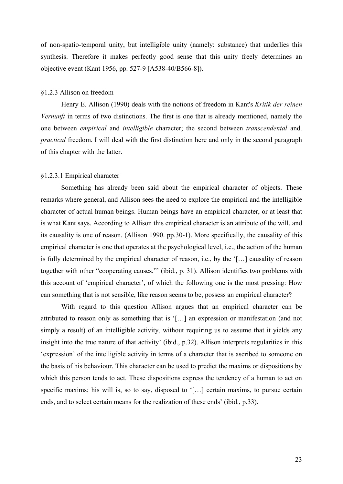<span id="page-22-0"></span>of non-spatio-temporal unity, but intelligible unity (namely: substance) that underlies this synthesis. Therefore it makes perfectly good sense that this unity freely determines an objective event (Kant 1956, pp. 527-9 [A538-40/B566-8]).

#### §1.2.3 Allison on freedom

Henry E. Allison (1990) deals with the notions of freedom in Kant's *Kritik der reinen Vernunft* in terms of two distinctions. The first is one that is already mentioned, namely the one between *empirical* and *intelligible* character; the second between *transcendental* and. *practical* freedom. I will deal with the first distinction here and only in the second paragraph of this chapter with the latter.

#### §1.2.3.1 Empirical character

 Something has already been said about the empirical character of objects. These remarks where general, and Allison sees the need to explore the empirical and the intelligible character of actual human beings. Human beings have an empirical character, or at least that is what Kant says. According to Allison this empirical character is an attribute of the will, and its causality is one of reason. (Allison 1990. pp.30-1). More specifically, the causality of this empirical character is one that operates at the psychological level, i.e., the action of the human is fully determined by the empirical character of reason, i.e., by the '[…] causality of reason together with other "cooperating causes."' (ibid., p. 31). Allison identifies two problems with this account of 'empirical character', of which the following one is the most pressing: How can something that is not sensible, like reason seems to be, possess an empirical character?

With regard to this question Allison argues that an empirical character can be attributed to reason only as something that is '[…] an expression or manifestation (and not simply a result) of an intelligible activity, without requiring us to assume that it yields any insight into the true nature of that activity' (ibid., p.32). Allison interprets regularities in this 'expression' of the intelligible activity in terms of a character that is ascribed to someone on the basis of his behaviour. This character can be used to predict the maxims or dispositions by which this person tends to act. These dispositions express the tendency of a human to act on specific maxims; his will is, so to say, disposed to '[...] certain maxims, to pursue certain ends, and to select certain means for the realization of these ends' (ibid., p.33).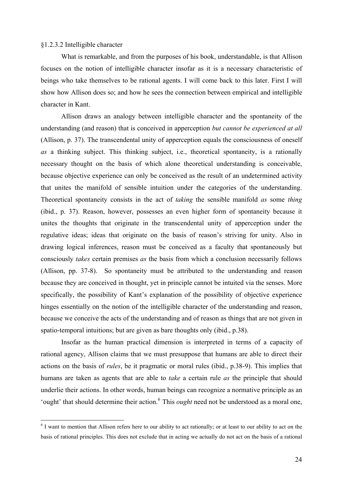#### <span id="page-23-0"></span>§1.2.3.2 Intelligible character

 What is remarkable, and from the purposes of his book, understandable, is that Allison focuses on the notion of intelligible character insofar as it is a necessary characteristic of beings who take themselves to be rational agents. I will come back to this later. First I will show how Allison does so; and how he sees the connection between empirical and intelligible character in Kant.

Allison draws an analogy between intelligible character and the spontaneity of the understanding (and reason) that is conceived in apperception *but cannot be experienced at all*  (Allison, p. 37). The transcendental unity of apperception equals the consciousness of oneself *as* a thinking subject. This thinking subject, i.e., theoretical spontaneity, is a rationally necessary thought on the basis of which alone theoretical understanding is conceivable, because objective experience can only be conceived as the result of an undetermined activity that unites the manifold of sensible intuition under the categories of the understanding. Theoretical spontaneity consists in the act of *taking* the sensible manifold *as* some *thing* (ibid., p. 37). Reason, however, possesses an even higher form of spontaneity because it unites the thoughts that originate in the transcendental unity of apperception under the regulative ideas; ideas that originate on the basis of reason's striving for unity. Also in drawing logical inferences, reason must be conceived as a faculty that spontaneously but consciously *takes* certain premises *as* the basis from which a conclusion necessarily follows (Allison, pp. 37-8). So spontaneity must be attributed to the understanding and reason because they are conceived in thought, yet in principle cannot be intuited via the senses. More specifically, the possibility of Kant's explanation of the possibility of objective experience hinges essentially on the notion of the intelligible character of the understanding and reason, because we conceive the acts of the understanding and of reason as things that are not given in spatio-temporal intuitions; but are given as bare thoughts only (ibid., p.38).

 Insofar as the human practical dimension is interpreted in terms of a capacity of rational agency, Allison claims that we must presuppose that humans are able to direct their actions on the basis of *rules*, be it pragmatic or moral rules (ibid., p.38-9). This implies that humans are taken as agents that are able to *take* a certain rule *as* the principle that should underlie their actions. In other words, human beings can recognize a normative principle as an 'ought' that should determine their action.<sup>[6](#page-23-1)</sup> This *ought* need not be understood as a moral one,

<span id="page-23-1"></span><sup>&</sup>lt;sup>6</sup> I want to mention that Allison refers here to our ability to act rationally; or at least to our ability to act on the basis of rational principles. This does not exclude that in acting we actually do not act on the basis of a rational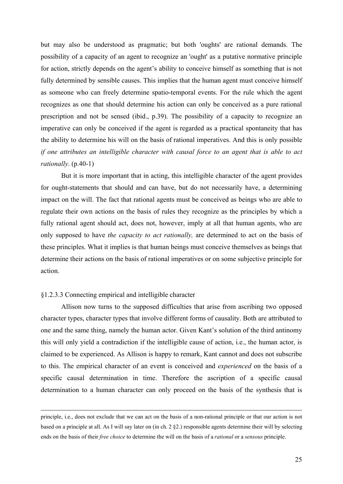<span id="page-24-0"></span>but may also be understood as pragmatic; but both 'oughts' are rational demands. The possibility of a capacity of an agent to recognize an 'ought' as a putative normative principle for action, strictly depends on the agent's ability to conceive himself as something that is not fully determined by sensible causes. This implies that the human agent must conceive himself as someone who can freely determine spatio-temporal events. For the rule which the agent recognizes as one that should determine his action can only be conceived as a pure rational prescription and not be sensed (ibid., p.39). The possibility of a capacity to recognize an imperative can only be conceived if the agent is regarded as a practical spontaneity that has the ability to determine his will on the basis of rational imperatives. And this is only possible *if one attributes an intelligible character with causal force to an agent that is able to act rationally*. (p.40-1)

But it is more important that in acting, this intelligible character of the agent provides for ought-statements that should and can have, but do not necessarily have, a determining impact on the will. The fact that rational agents must be conceived as beings who are able to regulate their own actions on the basis of rules they recognize as the principles by which a fully rational agent should act, does not, however, imply at all that human agents, who are only supposed to have *the capacity to act rationally,* are determined to act on the basis of these principles. What it implies is that human beings must conceive themselves as beings that determine their actions on the basis of rational imperatives or on some subjective principle for action.

#### §1.2.3.3 Connecting empirical and intelligible character

 Allison now turns to the supposed difficulties that arise from ascribing two opposed character types, character types that involve different forms of causality. Both are attributed to one and the same thing, namely the human actor. Given Kant's solution of the third antinomy this will only yield a contradiction if the intelligible cause of action, i.e., the human actor, is claimed to be experienced. As Allison is happy to remark, Kant cannot and does not subscribe to this. The empirical character of an event is conceived and *experienced* on the basis of a specific causal determination in time. Therefore the ascription of a specific causal determination to a human character can only proceed on the basis of the synthesis that is

principle, i.e., does not exclude that we can act on the basis of a non-rational principle or that our action is not based on a principle at all. As I will say later on (in ch. 2 §2.) responsible agents determine their will by selecting ends on the basis of their *free choice* to determine the will on the basis of a *rational* or a *sensous* principle.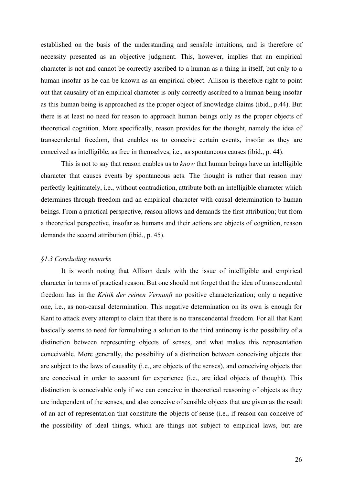<span id="page-25-0"></span>established on the basis of the understanding and sensible intuitions, and is therefore of necessity presented as an objective judgment. This, however, implies that an empirical character is not and cannot be correctly ascribed to a human as a thing in itself, but only to a human insofar as he can be known as an empirical object. Allison is therefore right to point out that causality of an empirical character is only correctly ascribed to a human being insofar as this human being is approached as the proper object of knowledge claims (ibid., p.44). But there is at least no need for reason to approach human beings only as the proper objects of theoretical cognition. More specifically, reason provides for the thought, namely the idea of transcendental freedom, that enables us to conceive certain events, insofar as they are conceived as intelligible, as free in themselves, i.e., as spontaneous causes (ibid., p. 44).

This is not to say that reason enables us to *know* that human beings have an intelligible character that causes events by spontaneous acts. The thought is rather that reason may perfectly legitimately, i.e., without contradiction, attribute both an intelligible character which determines through freedom and an empirical character with causal determination to human beings. From a practical perspective, reason allows and demands the first attribution; but from a theoretical perspective, insofar as humans and their actions are objects of cognition, reason demands the second attribution (ibid., p. 45).

#### *§1.3 Concluding remarks*

It is worth noting that Allison deals with the issue of intelligible and empirical character in terms of practical reason. But one should not forget that the idea of transcendental freedom has in the *Kritik der reinen Vernunft* no positive characterization; only a negative one, i.e., as non-causal determination. This negative determination on its own is enough for Kant to attack every attempt to claim that there is no transcendental freedom. For all that Kant basically seems to need for formulating a solution to the third antinomy is the possibility of a distinction between representing objects of senses, and what makes this representation conceivable. More generally, the possibility of a distinction between conceiving objects that are subject to the laws of causality (i.e., are objects of the senses), and conceiving objects that are conceived in order to account for experience (i.e., are ideal objects of thought). This distinction is conceivable only if we can conceive in theoretical reasoning of objects as they are independent of the senses, and also conceive of sensible objects that are given as the result of an act of representation that constitute the objects of sense (i.e., if reason can conceive of the possibility of ideal things, which are things not subject to empirical laws, but are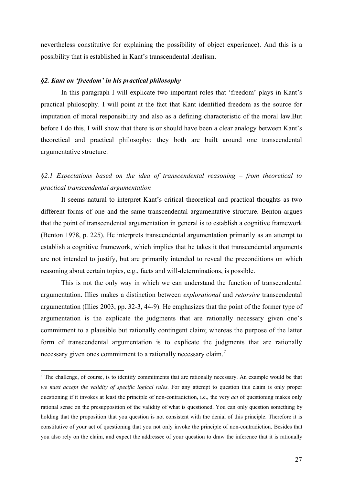<span id="page-26-0"></span>nevertheless constitutive for explaining the possibility of object experience). And this is a possibility that is established in Kant's transcendental idealism.

#### *§2. Kant on 'freedom' in his practical philosophy*

1

In this paragraph I will explicate two important roles that 'freedom' plays in Kant's practical philosophy. I will point at the fact that Kant identified freedom as the source for imputation of moral responsibility and also as a defining characteristic of the moral law.But before I do this, I will show that there is or should have been a clear analogy between Kant's theoretical and practical philosophy: they both are built around one transcendental argumentative structure.

# *§2.1 Expectations based on the idea of transcendental reasoning – from theoretical to practical transcendental argumentation*

 It seems natural to interpret Kant's critical theoretical and practical thoughts as two different forms of one and the same transcendental argumentative structure. Benton argues that the point of transcendental argumentation in general is to establish a cognitive framework (Benton 1978, p. 225). He interprets transcendental argumentation primarily as an attempt to establish a cognitive framework, which implies that he takes it that transcendental arguments are not intended to justify, but are primarily intended to reveal the preconditions on which reasoning about certain topics, e.g., facts and will-determinations, is possible.

This is not the only way in which we can understand the function of transcendental argumentation. Illies makes a distinction between *explorational* and *retorsive* transcendental argumentation (Illies 2003, pp. 32-3, 44-9). He emphasizes that the point of the former type of argumentation is the explicate the judgments that are rationally necessary given one's commitment to a plausible but rationally contingent claim; whereas the purpose of the latter form of transcendental argumentation is to explicate the judgments that are rationally necessary given ones commitment to a rationally necessary claim.<sup>[7](#page-26-1)</sup>

<span id="page-26-1"></span> $<sup>7</sup>$  The challenge, of course, is to identify commitments that are rationally necessary. An example would be that</sup> *we must accept the validity of specific logical rules*. For any attempt to question this claim is only proper questioning if it invokes at least the principle of non-contradiction, i.e., the very *act* of questioning makes only rational sense on the presupposition of the validity of what is questioned. You can only question something by holding that the proposition that you question is not consistent with the denial of this principle. Therefore it is constitutive of your act of questioning that you not only invoke the principle of non-contradiction. Besides that you also rely on the claim, and expect the addressee of your question to draw the inference that it is rationally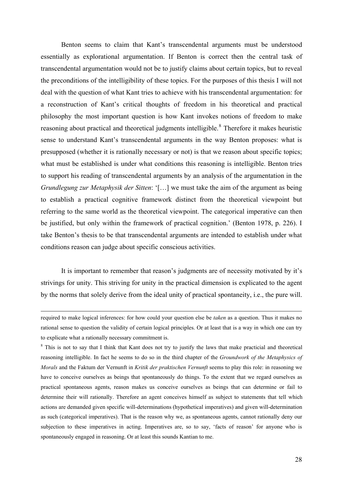Benton seems to claim that Kant's transcendental arguments must be understood essentially as explorational argumentation. If Benton is correct then the central task of transcendental argumentation would not be to justify claims about certain topics, but to reveal the preconditions of the intelligibility of these topics. For the purposes of this thesis I will not deal with the question of what Kant tries to achieve with his transcendental argumentation: for a reconstruction of Kant's critical thoughts of freedom in his theoretical and practical philosophy the most important question is how Kant invokes notions of freedom to make reasoning about practical and theoretical judgments intelligible.<sup>[8](#page-27-0)</sup> Therefore it makes heuristic sense to understand Kant's transcendental arguments in the way Benton proposes: what is presupposed (whether it is rationally necessary or not) is that we reason about specific topics; what must be established is under what conditions this reasoning is intelligible. Benton tries to support his reading of transcendental arguments by an analysis of the argumentation in the *Grundlegung zur Metaphysik der Sitten*: '[…] we must take the aim of the argument as being to establish a practical cognitive framework distinct from the theoretical viewpoint but referring to the same world as the theoretical viewpoint. The categorical imperative can then be justified, but only within the framework of practical cognition.' (Benton 1978, p. 226). I take Benton's thesis to be that transcendental arguments are intended to establish under what conditions reason can judge about specific conscious activities.

It is important to remember that reason's judgments are of necessity motivated by it's strivings for unity. This striving for unity in the practical dimension is explicated to the agent by the norms that solely derive from the ideal unity of practical spontaneity, i.e., the pure will.

<span id="page-27-0"></span><sup>8</sup> This is not to say that I think that Kant does not try to justify the laws that make practicial and theoretical reasoning intelligible. In fact he seems to do so in the third chapter of the *Groundwork of the Metaphysics of Morals* and the Faktum der Vernunft in *Kritik der praktischen Vernunft* seems to play this role: in reasoning we have to conceive ourselves as beings that spontaneously do things. To the extent that we regard ourselves as practical spontaneous agents, reason makes us conceive ourselves as beings that can determine or fail to determine their will rationally. Therefore an agent conceives himself as subject to statements that tell which actions are demanded given specific will-determinations (hypothetical imperatives) and given will-determination as such (categorical imperatives). That is the reason why we, as spontaneous agents, cannot rationally deny our subjection to these imperatives in acting. Imperatives are, so to say, 'facts of reason' for anyone who is spontaneously engaged in reasoning. Or at least this sounds Kantian to me.

required to make logical inferences: for how could your question else be *taken* as a question. Thus it makes no rational sense to question the validity of certain logical principles. Or at least that is a way in which one can try to explicate what a rationally necessary commitment is.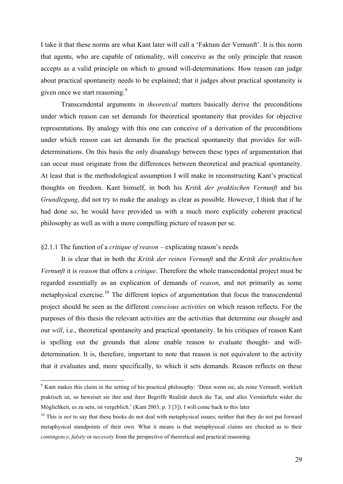<span id="page-28-0"></span>I take it that these norms are what Kant later will call a 'Faktum der Vernunft'. It is this norm that agents, who are capable of rationality, will conceive as the only principle that reason accepts as a valid principle on which to ground will-determinations. How reason can judge about practical spontaneity needs to be explained; that it judges about practical spontaneity is given once we start reasoning.<sup>[9](#page-28-2)</sup>

Transcendental arguments in *theoretical* matters basically derive the preconditions under which reason can set demands for theoretical spontaneity that provides for objective representations. By analogy with this one can conceive of a derivation of the preconditions under which reason can set demands for the practical spontaneity that provides for willdeterminations. On this basis the only disanalogy between these types of argumentation that can occur must originate from the differences between theoretical and practical spontaneity. At least that is the methodological assumption I will make in reconstructing Kant's practical thoughts on freedom. Kant himself, in both his *Kritik der praktischen Vernunft* and his *Grundlegung*, did not try to make the analogy as clear as possible. However, I think that if he had done so, he would have provided us with a much more explicitly coherent practical philosophy as well as with a more compelling picture of reason per se.

## §2.1.1 The function of a *critique of reason* – explicating reason's needs

1

 It is clear that in both the *Kritik der reinen Vernunft* and the *Kritik der praktischen Vernunft* it is *reason* that offers a *critique*. Therefore the whole transcendental project must be regarded essentially as an explication of demands of *reason*, and not primarily as some metaphysical exercise.<sup>[10](#page-28-1)</sup> The different topics of argumentation that focus the transcendental project should be seen as the different *conscious activities* on which reason reflects. For the purposes of this thesis the relevant activities are the activities that determine our *thought* and our *will*, i.e., theoretical spontaneity and practical spontaneity. In his critiques of reason Kant is spelling out the grounds that alone enable reason to evaluate thought- and willdetermination. It is, therefore, important to note that reason is not equivalent to the activity that it evaluates and, more specifically, to which it sets demands. Reason reflects on these

<span id="page-28-2"></span><sup>&</sup>lt;sup>9</sup> Kant makes this claim in the setting of his practical philosophy: 'Denn wenn sie, als reine Vernunft, wirklich praktisch ist, so beweiset sie ihre und ihrer Begriffe Realität durch die Tat, und alles Vernünfteln wider die Möglichkeit, es zu sein, ist vergeblich.' (Kant 2003, p. 3 [3]). I will come back to this later

<span id="page-28-1"></span><sup>&</sup>lt;sup>10</sup> This is *not* to say that these books do not deal with metaphysical issues; neither that they do not put forward metaphysical standpoints of their own. What it means is that metaphysical claims are checked as to their *contingency*, *falsity* or *necessity* from the perspective of theoretical and practical reasoning.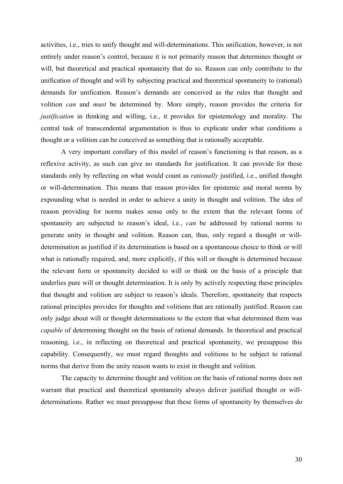activities, i.e., tries to unify thought and will-determinations. This unification, however, is not entirely under reason's control, because it is not primarily reason that determines thought or will, but theoretical and practical spontaneity that do so. Reason can only contribute to the unification of thought and will by subjecting practical and theoretical spontaneity to (rational) demands for unification. Reason's demands are conceived as the rules that thought and volition *can* and *must* be determined by. More simply, reason provides the criteria for *justification* in thinking and willing, i.e., it provides for epistemology and morality. The central task of transcendental argumentation is thus to explicate under what conditions a thought or a volition can be conceived as something that is rationally acceptable.

A very important corollary of this model of reason's functioning is that reason, as a reflexive activity, as such can give no standards for justification. It can provide for these standards only by reflecting on what would count as *rationally* justified, i.e., unified thought or will-determination. This means that reason provides for epistemic and moral norms by expounding what is needed in order to achieve a unity in thought and volition. The idea of reason providing for norms makes sense only to the extent that the relevant forms of spontaneity are subjected to reason's ideal, i.e., *can* be addressed by rational norms to generate unity in thought and volition. Reason can, thus, only regard a thought or willdetermination as justified if its determination is based on a spontaneous choice to think or will what is rationally required, and, more explicitly, if this will or thought is determined because the relevant form or spontaneity decided to will or think on the basis of a principle that underlies pure will or thought determination. It is only by actively respecting these principles that thought and volition are subject to reason's ideals. Therefore, spontaneity that respects rational principles provides for thoughts and volitions that are rationally justified. Reason can only judge about will or thought determinations to the extent that what determined them was *capable* of determining thought on the basis of rational demands. In theoretical and practical reasoning, i.e., in reflecting on theoretical and practical spontaneity, we presuppose this capability. Consequently, we must regard thoughts and volitions to be subject to rational norms that derive from the unity reason wants to exist in thought and volition.

The capacity to determine thought and volition on the basis of rational norms does not warrant that practical and theoretical spontaneity always deliver justified thought or willdeterminations. Rather we must presuppose that these forms of spontaneity by themselves do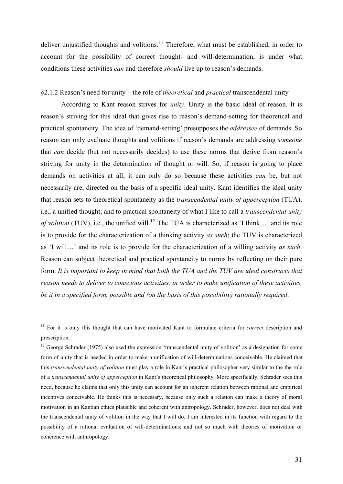<span id="page-30-0"></span>deliver unjustified thoughts and volitions.<sup>[11](#page-30-2)</sup> Therefore, what must be established, in order to account for the possibility of correct thought- and will-determination, is under what conditions these activities *can* and therefore *should* live up to reason's demands.

# §2.1.2 Reason's need for unity – the role of *theoretical* and *practical* transcendental unity

According to Kant reason strives for *unity*. Unity is the basic ideal of reason. It is reason's striving for this ideal that gives rise to reason's demand-setting for theoretical and practical spontaneity. The idea of 'demand-setting' presupposes the *addressee* of demands. So reason can only evaluate thoughts and volitions if reason's demands are addressing *someone* that *can* decide (but not necessarily decides) to use these norms that derive from reason's striving for unity in the determination of thought or will. So, if reason is going to place demands on activities at all, it can only do so because these activities *can* be, but not necessarily are, directed on the basis of a specific ideal unity. Kant identifies the ideal unity that reason sets to theoretical spontaneity as the *transcendental unity of apperception* (TUA), i.e., a unified thought; and to practical spontaneity of what I like to call a *transcendental unity of volition* (TUV), i.e., the unified will.<sup>[12](#page-30-1)</sup> The TUA is characterized as 'I think...' and its role is to provide for the characterization of a thinking activity *as such*; the TUV is characterized as 'I will…' and its role is to provide for the characterization of a willing activity *as such*. Reason can subject theoretical and practical spontaneity to norms by reflecting on their pure form. *It is important to keep in mind that both the TUA and the TUV are ideal constructs that reason needs to deliver to conscious activities, in order to make unification of these activities, be it in a specified form, possible and (on the basis of this possibility) rationally required*.

1

<span id="page-30-2"></span><sup>&</sup>lt;sup>11</sup> For it is only this thought that can have motivated Kant to formulate criteria for *correct* description and prescription.

<span id="page-30-1"></span><sup>&</sup>lt;sup>12</sup> George Schrader (1975) also used the expression 'transcendental unity of volition' as a designation for some form of unity that is needed in order to make a unification of will-determinations conceivable. He claimed that this *transcendental unity of volition* must play a role in Kant's practical philosopher very similar to the the role of a *transcendental unity of apperception* in Kant's theoretical philosophy*.* More specifically, Schrader sees this need, because he claims that only this unity can account for an inherent relation between rational and empirical incentives conceivable. He thinks this is necessary, because only such a relation can make a theory of moral motivation in an Kantian ethics plausible and coherent with antropology. Schrader, however, does not deal with the transcendental unity of volition in the way that I will do. I am interested in its function with regard to the possibility of a rational evaluation of will-determinations; and not so much with theories of motivation or coherence with anthropology.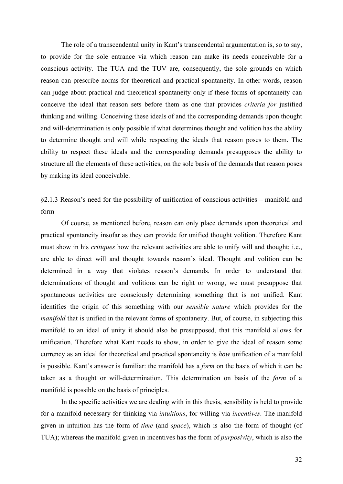<span id="page-31-0"></span>The role of a transcendental unity in Kant's transcendental argumentation is, so to say, to provide for the sole entrance via which reason can make its needs conceivable for a conscious activity. The TUA and the TUV are, consequently, the sole grounds on which reason can prescribe norms for theoretical and practical spontaneity. In other words, reason can judge about practical and theoretical spontaneity only if these forms of spontaneity can conceive the ideal that reason sets before them as one that provides *criteria for* justified thinking and willing. Conceiving these ideals of and the corresponding demands upon thought and will-determination is only possible if what determines thought and volition has the ability to determine thought and will while respecting the ideals that reason poses to them. The ability to respect these ideals and the corresponding demands presupposes the ability to structure all the elements of these activities, on the sole basis of the demands that reason poses by making its ideal conceivable.

§2.1.3 Reason's need for the possibility of unification of conscious activities – manifold and form

 Of course, as mentioned before, reason can only place demands upon theoretical and practical spontaneity insofar as they can provide for unified thought volition. Therefore Kant must show in his *critiques* how the relevant activities are able to unify will and thought; i.e., are able to direct will and thought towards reason's ideal. Thought and volition can be determined in a way that violates reason's demands. In order to understand that determinations of thought and volitions can be right or wrong, we must presuppose that spontaneous activities are consciously determining something that is not unified. Kant identifies the origin of this something with our *sensible nature* which provides for the *manifold* that is unified in the relevant forms of spontaneity. But, of course, in subjecting this manifold to an ideal of unity it should also be presupposed, that this manifold allows for unification. Therefore what Kant needs to show, in order to give the ideal of reason some currency as an ideal for theoretical and practical spontaneity is *how* unification of a manifold is possible. Kant's answer is familiar: the manifold has a *form* on the basis of which it can be taken as a thought or will-determination. This determination on basis of the *form* of a manifold is possible on the basis of principles.

 In the specific activities we are dealing with in this thesis, sensibility is held to provide for a manifold necessary for thinking via *intuitions*, for willing via *incentives*. The manifold given in intuition has the form of *time* (and *space*), which is also the form of thought (of TUA); whereas the manifold given in incentives has the form of *purposivity*, which is also the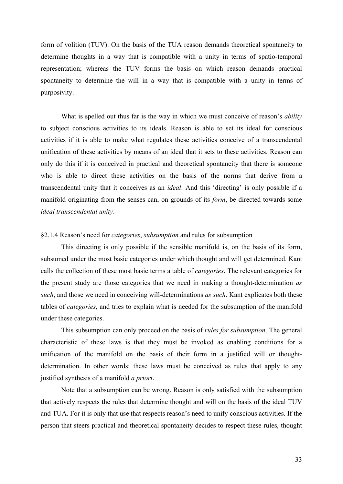<span id="page-32-0"></span>form of volition (TUV). On the basis of the TUA reason demands theoretical spontaneity to determine thoughts in a way that is compatible with a unity in terms of spatio-temporal representation; whereas the TUV forms the basis on which reason demands practical spontaneity to determine the will in a way that is compatible with a unity in terms of purposivity.

 What is spelled out thus far is the way in which we must conceive of reason's *ability* to subject conscious activities to its ideals. Reason is able to set its ideal for conscious activities if it is able to make what regulates these activities conceive of a transcendental unification of these activities by means of an ideal that it sets to these activities. Reason can only do this if it is conceived in practical and theoretical spontaneity that there is someone who is able to direct these activities on the basis of the norms that derive from a transcendental unity that it conceives as an *ideal*. And this 'directing' is only possible if a manifold originating from the senses can, on grounds of its *form*, be directed towards some *ideal transcendental unity*.

#### §2.1.4 Reason's need for *categories*, *subsumption* and rules for subsumption

This directing is only possible if the sensible manifold is, on the basis of its form, subsumed under the most basic categories under which thought and will get determined. Kant calls the collection of these most basic terms a table of *categories*. The relevant categories for the present study are those categories that we need in making a thought-determination *as such*, and those we need in conceiving will-determinations *as such*. Kant explicates both these tables of *categories*, and tries to explain what is needed for the subsumption of the manifold under these categories.

This subsumption can only proceed on the basis of *rules for subsumption*. The general characteristic of these laws is that they must be invoked as enabling conditions for a unification of the manifold on the basis of their form in a justified will or thoughtdetermination. In other words: these laws must be conceived as rules that apply to any justified synthesis of a manifold *a priori*.

Note that a subsumption can be wrong. Reason is only satisfied with the subsumption that actively respects the rules that determine thought and will on the basis of the ideal TUV and TUA. For it is only that use that respects reason's need to unify conscious activities. If the person that steers practical and theoretical spontaneity decides to respect these rules, thought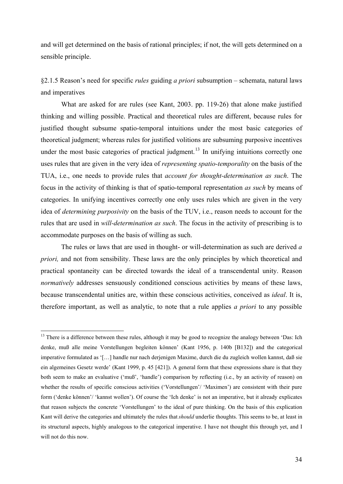<span id="page-33-0"></span>and will get determined on the basis of rational principles; if not, the will gets determined on a sensible principle.

§2.1.5 Reason's need for specific *rules* guiding *a priori* subsumption – schemata, natural laws and imperatives

What are asked for are rules (see Kant, 2003. pp. 119-26) that alone make justified thinking and willing possible. Practical and theoretical rules are different, because rules for justified thought subsume spatio-temporal intuitions under the most basic categories of theoretical judgment; whereas rules for justified volitions are subsuming purposive incentives under the most basic categories of practical judgment.<sup>[13](#page-33-1)</sup> In unifying intuitions correctly one uses rules that are given in the very idea of *representing spatio-temporality* on the basis of the TUA, i.e., one needs to provide rules that *account for thought-determination as such*. The focus in the activity of thinking is that of spatio-temporal representation *as such* by means of categories. In unifying incentives correctly one only uses rules which are given in the very idea of *determining purposivity* on the basis of the TUV, i.e., reason needs to account for the rules that are used in *will-determination as such*. The focus in the activity of prescribing is to accommodate purposes on the basis of willing as such.

 The rules or laws that are used in thought- or will-determination as such are derived *a priori,* and not from sensibility. These laws are the only principles by which theoretical and practical spontaneity can be directed towards the ideal of a transcendental unity. Reason *normatively* addresses sensuously conditioned conscious activities by means of these laws, because transcendental unities are, within these conscious activities, conceived as *ideal*. It is, therefore important, as well as analytic, to note that a rule applies *a priori* to any possible

1

<span id="page-33-1"></span> $13$  There is a difference between these rules, although it may be good to recognize the analogy between 'Das: Ich denke, muß alle meine Vorstellungen begleiten können' (Kant 1956, p. 140b [B132]) and the categorical imperative formulated as '[…] handle nur nach derjenigen Maxime, durch die du zugleich wollen kannst, daß sie ein algemeines Gesetz werde' (Kant 1999, p. 45 [421]). A general form that these expressions share is that they both seem to make an evaluative ('muß', 'handle') comparison by reflecting (i.e., by an activity of reason) on whether the results of specific conscious activities ('Vorstellungen'/ 'Maximen') are consistent with their pure form ('denke können'/ 'kannst wollen'). Of course the 'Ich denke' is not an imperative, but it already explicates that reason subjects the concrete 'Vorstellungen' to the ideal of pure thinking. On the basis of this explication Kant will derive the categories and ultimately the rules that *should* underlie thoughts. This seems to be, at least in its structural aspects, highly analogous to the categorical imperative. I have not thought this through yet, and I will not do this now.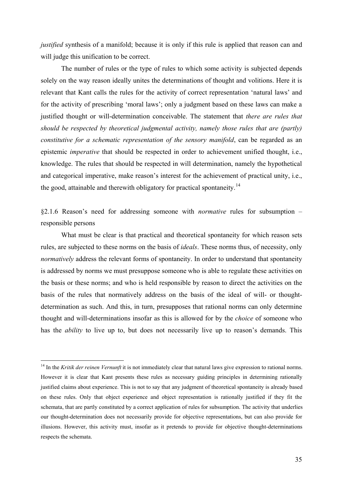<span id="page-34-0"></span>*justified* synthesis of a manifold; because it is only if this rule is applied that reason can and will judge this unification to be correct.

The number of rules or the type of rules to which some activity is subjected depends solely on the way reason ideally unites the determinations of thought and volitions. Here it is relevant that Kant calls the rules for the activity of correct representation 'natural laws' and for the activity of prescribing 'moral laws'; only a judgment based on these laws can make a justified thought or will-determination conceivable. The statement that *there are rules that should be respected by theoretical judgmental activity, namely those rules that are (partly) constitutive for a schematic representation of the sensory manifold*, can be regarded as an epistemic *imperative* that should be respected in order to achievement unified thought, i.e., knowledge. The rules that should be respected in will determination, namely the hypothetical and categorical imperative, make reason's interest for the achievement of practical unity, i.e., the good, attainable and therewith obligatory for practical spontaneity.<sup>[14](#page-34-1)</sup>

§2.1.6 Reason's need for addressing someone with *normative* rules for subsumption – responsible persons

What must be clear is that practical and theoretical spontaneity for which reason sets rules, are subjected to these norms on the basis of *ideals*. These norms thus, of necessity, only *normatively* address the relevant forms of spontaneity. In order to understand that spontaneity is addressed by norms we must presuppose someone who is able to regulate these activities on the basis or these norms; and who is held responsible by reason to direct the activities on the basis of the rules that normatively address on the basis of the ideal of will- or thoughtdetermination as such. And this, in turn, presupposes that rational norms can only determine thought and will-determinations insofar as this is allowed for by the *choice* of someone who has the *ability* to live up to, but does not necessarily live up to reason's demands. This

1

<span id="page-34-1"></span><sup>&</sup>lt;sup>14</sup> In the *Kritik der reinen Vernunft* it is not immediately clear that natural laws give expression to rational norms. However it is clear that Kant presents these rules as necessary guiding principles in determining rationally justified claims about experience. This is not to say that any judgment of theoretical spontaneity is already based on these rules. Only that object experience and object representation is rationally justified if they fit the schemata, that are partly constituted by a correct application of rules for subsumption. The activity that underlies our thought-determination does not necessarily provide for objective representations, but can also provide for illusions. However, this activity must, insofar as it pretends to provide for objective thought-determinations respects the schemata.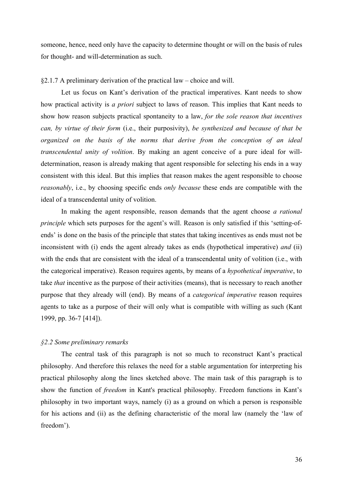<span id="page-35-0"></span>someone, hence, need only have the capacity to determine thought or will on the basis of rules for thought- and will-determination as such.

#### §2.1.7 A preliminary derivation of the practical law – choice and will.

Let us focus on Kant's derivation of the practical imperatives. Kant needs to show how practical activity is *a priori* subject to laws of reason. This implies that Kant needs to show how reason subjects practical spontaneity to a law, *for the sole reason that incentives can, by virtue of their form* (i.e., their purposivity), *be synthesized and because of that be organized on the basis of the norms that derive from the conception of an ideal transcendental unity of volition*. By making an agent conceive of a pure ideal for willdetermination, reason is already making that agent responsible for selecting his ends in a way consistent with this ideal. But this implies that reason makes the agent responsible to choose *reasonably*, i.e., by choosing specific ends *only because* these ends are compatible with the ideal of a transcendental unity of volition.

In making the agent responsible, reason demands that the agent choose *a rational principle* which sets purposes for the agent's will. Reason is only satisfied if this 'setting-ofends' is done on the basis of the principle that states that taking incentives as ends must not be inconsistent with (i) ends the agent already takes as ends (hypothetical imperative) *and* (ii) with the ends that are consistent with the ideal of a transcendental unity of volition (i.e., with the categorical imperative). Reason requires agents, by means of a *hypothetical imperative*, to take *that* incentive as the purpose of their activities (means), that is necessary to reach another purpose that they already will (end). By means of a *categorical imperative* reason requires agents to take as a purpose of their will only what is compatible with willing as such (Kant 1999, pp. 36-7 [414]).

#### *§2.2 Some preliminary remarks*

 The central task of this paragraph is not so much to reconstruct Kant's practical philosophy. And therefore this relaxes the need for a stable argumentation for interpreting his practical philosophy along the lines sketched above. The main task of this paragraph is to show the function of *freedom* in Kant's practical philosophy. Freedom functions in Kant's philosophy in two important ways, namely (i) as a ground on which a person is responsible for his actions and (ii) as the defining characteristic of the moral law (namely the 'law of freedom').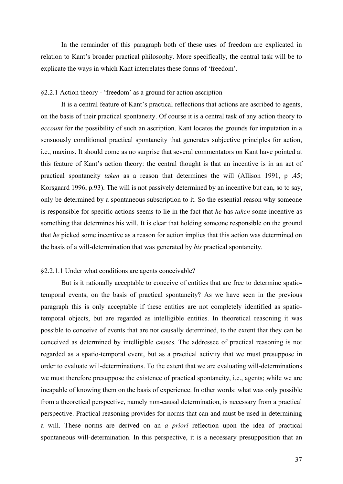In the remainder of this paragraph both of these uses of freedom are explicated in relation to Kant's broader practical philosophy. More specifically, the central task will be to explicate the ways in which Kant interrelates these forms of 'freedom'.

# §2.2.1 Action theory - 'freedom' as a ground for action ascription

 It is a central feature of Kant's practical reflections that actions are ascribed to agents, on the basis of their practical spontaneity. Of course it is a central task of any action theory to *account* for the possibility of such an ascription. Kant locates the grounds for imputation in a sensuously conditioned practical spontaneity that generates subjective principles for action, i.e., maxims. It should come as no surprise that several commentators on Kant have pointed at this feature of Kant's action theory: the central thought is that an incentive is in an act of practical spontaneity *taken* as a reason that determines the will (Allison 1991, p .45; Korsgaard 1996, p.93). The will is not passively determined by an incentive but can, so to say, only be determined by a spontaneous subscription to it. So the essential reason why someone is responsible for specific actions seems to lie in the fact that *he* has *taken* some incentive as something that determines his will. It is clear that holding someone responsible on the ground that *he* picked some incentive as a reason for action implies that this action was determined on the basis of a will-determination that was generated by *his* practical spontaneity.

### §2.2.1.1 Under what conditions are agents conceivable?

But is it rationally acceptable to conceive of entities that are free to determine spatiotemporal events, on the basis of practical spontaneity? As we have seen in the previous paragraph this is only acceptable if these entities are not completely identified as spatiotemporal objects, but are regarded as intelligible entities. In theoretical reasoning it was possible to conceive of events that are not causally determined, to the extent that they can be conceived as determined by intelligible causes. The addressee of practical reasoning is not regarded as a spatio-temporal event, but as a practical activity that we must presuppose in order to evaluate will-determinations. To the extent that we are evaluating will-determinations we must therefore presuppose the existence of practical spontaneity, i.e., agents; while we are incapable of knowing them on the basis of experience. In other words: what was only possible from a theoretical perspective, namely non-causal determination, is necessary from a practical perspective. Practical reasoning provides for norms that can and must be used in determining a will. These norms are derived on an *a priori* reflection upon the idea of practical spontaneous will-determination. In this perspective, it is a necessary presupposition that an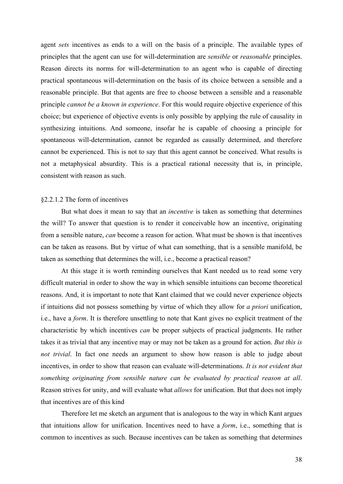agent *sets* incentives as ends to a will on the basis of a principle. The available types of principles that the agent can use for will-determination are *sensible* or *reasonable* principles. Reason directs its norms for will-determination to an agent who is capable of directing practical spontaneous will-determination on the basis of its choice between a sensible and a reasonable principle. But that agents are free to choose between a sensible and a reasonable principle *cannot be a known in experience*. For this would require objective experience of this choice; but experience of objective events is only possible by applying the rule of causality in synthesizing intuitions. And someone, insofar he is capable of choosing a principle for spontaneous will-determination, cannot be regarded as causally determined, and therefore cannot be experienced. This is not to say that this agent cannot be conceived. What results is not a metaphysical absurdity. This is a practical rational necessity that is, in principle, consistent with reason as such.

### §2.2.1.2 The form of incentives

But what does it mean to say that an *incentive* is taken as something that determines the will? To answer that question is to render it conceivable how an incentive, originating from a sensible nature, *can* become a reason for action. What must be shown is that incentives can be taken as reasons. But by virtue of what can something, that is a sensible manifold, be taken as something that determines the will, i.e., become a practical reason?

At this stage it is worth reminding ourselves that Kant needed us to read some very difficult material in order to show the way in which sensible intuitions can become theoretical reasons. And, it is important to note that Kant claimed that we could never experience objects if intuitions did not possess something by virtue of which they allow for *a priori* unification, i.e., have a *form*. It is therefore unsettling to note that Kant gives no explicit treatment of the characteristic by which incentives *can* be proper subjects of practical judgments. He rather takes it as trivial that any incentive may or may not be taken as a ground for action. *But this is not trivial*. In fact one needs an argument to show how reason is able to judge about incentives, in order to show that reason can evaluate will-determinations. *It is not evident that something originating from sensible nature can be evaluated by practical reason at all*. Reason strives for unity, and will evaluate what *allows* for unification. But that does not imply that incentives are of this kind

Therefore let me sketch an argument that is analogous to the way in which Kant argues that intuitions allow for unification. Incentives need to have a *form*, i.e., something that is common to incentives as such. Because incentives can be taken as something that determines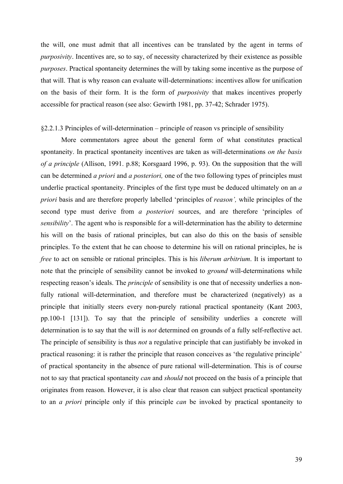the will, one must admit that all incentives can be translated by the agent in terms of *purposivity*. Incentives are, so to say, of necessity characterized by their existence as possible *purposes*. Practical spontaneity determines the will by taking some incentive as the purpose of that will. That is why reason can evaluate will-determinations: incentives allow for unification on the basis of their form. It is the form of *purposivity* that makes incentives properly accessible for practical reason (see also: Gewirth 1981, pp. 37-42; Schrader 1975).

#### §2.2.1.3 Principles of will-determination – principle of reason vs principle of sensibility

More commentators agree about the general form of what constitutes practical spontaneity. In practical spontaneity incentives are taken as will-determinations *on the basis of a principle* (Allison, 1991. p.88; Korsgaard 1996, p. 93). On the supposition that the will can be determined *a priori* and *a posteriori,* one of the two following types of principles must underlie practical spontaneity. Principles of the first type must be deduced ultimately on an *a priori* basis and are therefore properly labelled 'principles of *reason',* while principles of the second type must derive from *a posteriori* sources, and are therefore 'principles of *sensibility*'. The agent who is responsible for a will-determination has the ability to determine his will on the basis of rational principles, but can also do this on the basis of sensible principles. To the extent that he can choose to determine his will on rational principles, he is *free* to act on sensible or rational principles. This is his *liberum arbitrium*. It is important to note that the principle of sensibility cannot be invoked to *ground* will-determinations while respecting reason's ideals. The *principle* of sensibility is one that of necessity underlies a nonfully rational will-determination, and therefore must be characterized (negatively) as a principle that initially steers every non-purely rational practical spontaneity (Kant 2003, pp.100-1 [131]). To say that the principle of sensibility underlies a concrete will determination is to say that the will is *not* determined on grounds of a fully self-reflective act. The principle of sensibility is thus *not* a regulative principle that can justifiably be invoked in practical reasoning: it is rather the principle that reason conceives as 'the regulative principle' of practical spontaneity in the absence of pure rational will-determination. This is of course not to say that practical spontaneity *can* and *should* not proceed on the basis of a principle that originates from reason. However, it is also clear that reason can subject practical spontaneity to an *a priori* principle only if this principle *can* be invoked by practical spontaneity to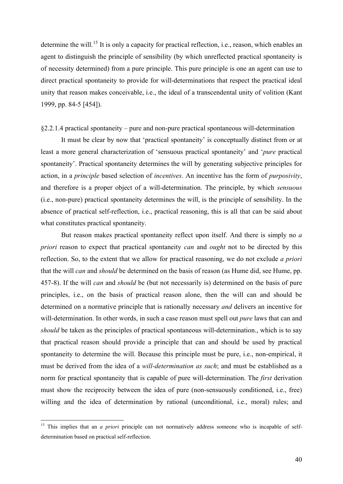determine the will.<sup>[15](#page-39-0)</sup> It is only a capacity for practical reflection, i.e., reason, which enables an agent to distinguish the principle of sensibility (by which unreflected practical spontaneity is of necessity determined) from a pure principle. This pure principle is one an agent can use to direct practical spontaneity to provide for will-determinations that respect the practical ideal unity that reason makes conceivable, i.e., the ideal of a transcendental unity of volition (Kant 1999, pp. 84-5 [454]).

### §2.2.1.4 practical spontaneity – pure and non-pure practical spontaneous will-determination

 It must be clear by now that 'practical spontaneity' is conceptually distinct from or at least a more general characterization of 'sensuous practical spontaneity' and '*pure* practical spontaneity'. Practical spontaneity determines the will by generating subjective principles for action, in a *principle* based selection of *incentives*. An incentive has the form of *purposivity*, and therefore is a proper object of a will-determination. The principle, by which *sensuous* (i.e., non-pure) practical spontaneity determines the will, is the principle of sensibility. In the absence of practical self-reflection, i.e., practical reasoning, this is all that can be said about what constitutes practical spontaneity.

But reason makes practical spontaneity reflect upon itself. And there is simply no *a priori* reason to expect that practical spontaneity *can* and *ought* not to be directed by this reflection. So, to the extent that we allow for practical reasoning, we do not exclude *a priori* that the will *can* and *should* be determined on the basis of reason (as Hume did, see Hume, pp. 457-8). If the will *can* and *should* be (but not necessarily is) determined on the basis of pure principles, i.e., on the basis of practical reason alone, then the will can and should be determined on a normative principle that is rationally necessary *and* delivers an incentive for will-determination. In other words, in such a case reason must spell out *pure* laws that can and *should* be taken as the principles of practical spontaneous will-determination., which is to say that practical reason should provide a principle that can and should be used by practical spontaneity to determine the will. Because this principle must be pure, i.e., non-empirical, it must be derived from the idea of a *will-determination as such*; and must be established as a norm for practical spontaneity that is capable of pure will-determination. The *first* derivation must show the reciprocity between the idea of pure (non-sensuously conditioned, i.e., free) willing and the idea of determination by rational (unconditional, i.e., moral) rules; and

<span id="page-39-0"></span><sup>&</sup>lt;sup>15</sup> This implies that an *a priori* principle can not normatively address someone who is incapable of selfdetermination based on practical self-reflection.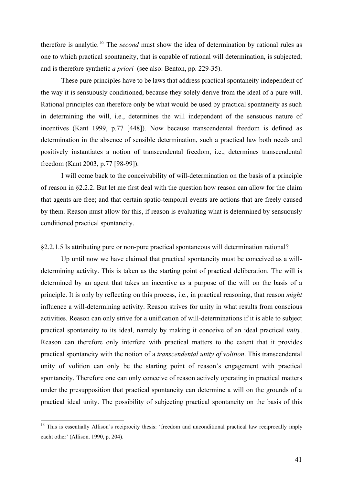therefore is analytic.[16](#page-40-0) The *second* must show the idea of determination by rational rules as one to which practical spontaneity, that is capable of rational will determination, is subjected; and is therefore synthetic *a priori* (see also: Benton, pp. 229-35).

These pure principles have to be laws that address practical spontaneity independent of the way it is sensuously conditioned, because they solely derive from the ideal of a pure will. Rational principles can therefore only be what would be used by practical spontaneity as such in determining the will, i.e., determines the will independent of the sensuous nature of incentives (Kant 1999, p.77 [448]). Now because transcendental freedom is defined as determination in the absence of sensible determination, such a practical law both needs and positively instantiates a notion of transcendental freedom, i.e., determines transcendental freedom (Kant 2003, p.77 [98-99]).

I will come back to the conceivability of will-determination on the basis of a principle of reason in §2.2.2. But let me first deal with the question how reason can allow for the claim that agents are free; and that certain spatio-temporal events are actions that are freely caused by them. Reason must allow for this, if reason is evaluating what is determined by sensuously conditioned practical spontaneity.

§2.2.1.5 Is attributing pure or non-pure practical spontaneous will determination rational?

 Up until now we have claimed that practical spontaneity must be conceived as a willdetermining activity. This is taken as the starting point of practical deliberation. The will is determined by an agent that takes an incentive as a purpose of the will on the basis of a principle. It is only by reflecting on this process, i.e., in practical reasoning, that reason *might* influence a will-determining activity. Reason strives for unity in what results from conscious activities. Reason can only strive for a unification of will-determinations if it is able to subject practical spontaneity to its ideal, namely by making it conceive of an ideal practical *unity*. Reason can therefore only interfere with practical matters to the extent that it provides practical spontaneity with the notion of a *transcendental unity of volition*. This transcendental unity of volition can only be the starting point of reason's engagement with practical spontaneity. Therefore one can only conceive of reason actively operating in practical matters under the presupposition that practical spontaneity can determine a will on the grounds of a practical ideal unity. The possibility of subjecting practical spontaneity on the basis of this

<span id="page-40-0"></span><sup>&</sup>lt;sup>16</sup> This is essentially Allison's reciprocity thesis: 'freedom and unconditional practical law reciprocally imply eacht other' (Allison. 1990, p. 204).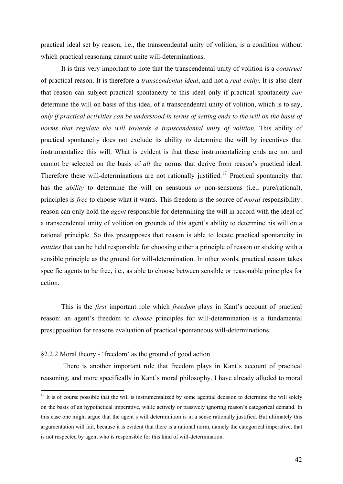practical ideal set by reason, i.e., the transcendental unity of volition, is a condition without which practical reasoning cannot unite will-determinations.

 It is thus very important to note that the transcendental unity of volition is a *construct* of practical reason. It is therefore a *transcendental ideal*, and not a *real entity*. It is also clear that reason can subject practical spontaneity to this ideal only if practical spontaneity *can* determine the will on basis of this ideal of a transcendental unity of volition, which is to say, *only if practical activities can be understood in terms of setting ends to the will on the basis of norms that regulate the will towards a transcendental unity of volition.* This ability of practical spontaneity does not exclude its ability *to* determine the will by incentives that instrumentalize this will. What is evident is that these instrumentalizing ends are not and cannot be selected on the basis of *all* the norms that derive from reason's practical ideal. Therefore these will-determinations are not rationally justified.<sup>[17](#page-41-0)</sup> Practical spontaneity that has the *ability* to determine the will on sensuous *or* non-sensuous (i.e., pure/rational), principles is *free* to choose what it wants. This freedom is the source of *moral* responsibility: reason can only hold the *agent* responsible for determining the will in accord with the ideal of a transcendental unity of volition on grounds of this agent's ability to determine his will on a rational principle. So this presupposes that reason is able to locate practical spontaneity in *entities* that can be held responsible for choosing either a principle of reason or sticking with a sensible principle as the ground for will-determination. In other words, practical reason takes specific agents to be free, i.e., as able to choose between sensible or reasonable principles for action.

This is the *first* important role which *freedom* plays in Kant's account of practical reason: an agent's freedom to *choose* principles for will-determination is a fundamental presupposition for reasons evaluation of practical spontaneous will-determinations.

# §2.2.2 Moral theory - 'freedom' as the ground of good action

1

 There is another important role that freedom plays in Kant's account of practical reasoning, and more specifically in Kant's moral philosophy. I have already alluded to moral

<span id="page-41-0"></span> $17$  It is of course possible that the will is instrumentalized by some agential decision to determine the will solely on the basis of an hypothetical imperative, while actively or passively ignoring reason's categorical demand. In this case one might argue that the agent's will determinition is in a sense rationally justified. But ultimately this argumentation will fail, because it is evident that there is a rational norm, namely the categorical imperative, that is not respected by agent who is responsible for this kind of will-determination.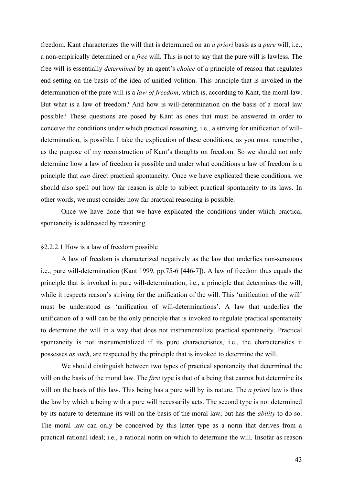freedom. Kant characterizes the will that is determined on an *a priori* basis as a *pure* will, i.e., a non-empirically determined or a *free* will. This is not to say that the pure will is lawless. The free will is essentially *determined* by an agent's *choice* of a principle of reason that regulates end-setting on the basis of the idea of unified volition. This principle that is invoked in the determination of the pure will is a *law of freedom*, which is, according to Kant, the moral law. But what is a law of freedom? And how is will-determination on the basis of a moral law possible? These questions are posed by Kant as ones that must be answered in order to conceive the conditions under which practical reasoning, i.e., a striving for unification of willdetermination, is possible. I take the explication of these conditions, as you must remember, as the purpose of my reconstruction of Kant's thoughts on freedom. So we should not only determine how a law of freedom is possible and under what conditions a law of freedom is a principle that *can* direct practical spontaneity. Once we have explicated these conditions, we should also spell out how far reason is able to subject practical spontaneity to its laws. In other words, we must consider how far practical reasoning is possible.

Once we have done that we have explicated the conditions under which practical spontaneity is addressed by reasoning.

### §2.2.2.1 How is a law of freedom possible

 A law of freedom is characterized negatively as the law that underlies non-sensuous i.e., pure will-determination (Kant 1999, pp.75-6 [446-7]). A law of freedom thus equals the principle that is invoked in pure will-determination; i.e., a principle that determines the will, while it respects reason's striving for the unification of the will. This 'unification of the will' must be understood as 'unification of will-determinations'. A law that underlies the unification of a will can be the only principle that is invoked to regulate practical spontaneity to determine the will in a way that does not instrumentalize practical spontaneity. Practical spontaneity is not instrumentalized if its pure characteristics, i.e., the characteristics it possesses *as such*, are respected by the principle that is invoked to determine the will.

We should distinguish between two types of practical spontaneity that determined the will on the basis of the moral law. The *first* type is that of a being that cannot but determine its will on the basis of this law. This being has a pure will by its nature. The *a priori* law is thus the law by which a being with a pure will necessarily acts. The second type is not determined by its nature to determine its will on the basis of the moral law; but has the *ability* to do so. The moral law can only be conceived by this latter type as a norm that derives from a practical rational ideal; i.e., a rational norm on which to determine the will. Insofar as reason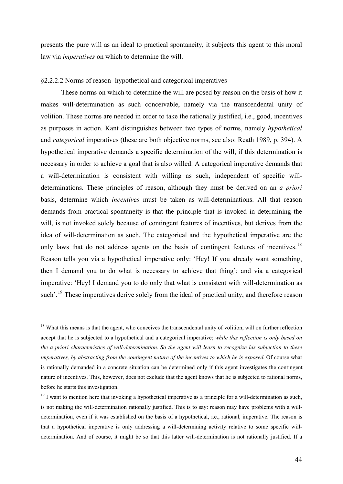presents the pure will as an ideal to practical spontaneity, it subjects this agent to this moral law via *imperatives* on which to determine the will.

### §2.2.2.2 Norms of reason- hypothetical and categorical imperatives

These norms on which to determine the will are posed by reason on the basis of how it makes will-determination as such conceivable, namely via the transcendental unity of volition. These norms are needed in order to take the rationally justified, i.e., good, incentives as purposes in action. Kant distinguishes between two types of norms, namely *hypothetical* and *categorical* imperatives (these are both objective norms, see also: Reath 1989, p. 394). A hypothetical imperative demands a specific determination of the will, if this determination is necessary in order to achieve a goal that is also willed. A categorical imperative demands that a will-determination is consistent with willing as such, independent of specific willdeterminations. These principles of reason, although they must be derived on an *a priori* basis, determine which *incentives* must be taken as will-determinations. All that reason demands from practical spontaneity is that the principle that is invoked in determining the will, is not invoked solely because of contingent features of incentives, but derives from the idea of will-determination as such. The categorical and the hypothetical imperative are the only laws that do not address agents on the basis of contingent features of incentives.<sup>[18](#page-43-1)</sup> Reason tells you via a hypothetical imperative only: 'Hey! If you already want something, then I demand you to do what is necessary to achieve that thing'; and via a categorical imperative: 'Hey! I demand you to do only that what is consistent with will-determination as such'.<sup>[19](#page-43-0)</sup> These imperatives derive solely from the ideal of practical unity, and therefore reason

<span id="page-43-1"></span><sup>&</sup>lt;sup>18</sup> What this means is that the agent, who conceives the transcendental unity of volition, will on further reflection accept that he is subjected to a hypothetical and a categorical imperative; *while this reflection is only based on the a priori characteristics of will-determination*. *So the agent will learn to recognize his subjection to these imperatives, by abstracting from the contingent nature of the incentives to which he is exposed.* Of course what is rationally demanded in a concrete situation can be determined only if this agent investigates the contingent nature of incentives. This, however, does not exclude that the agent knows that he is subjected to rational norms, before he starts this investigation.

<span id="page-43-0"></span><sup>&</sup>lt;sup>19</sup> I want to mention here that invoking a hypothetical imperative as a principle for a will-determination as such, is not making the will-determination rationally justified. This is to say: reason may have problems with a willdetermination, even if it was established on the basis of a hypothetical, i.e., rational, imperative. The reason is that a hypothetical imperative is only addressing a will-determining activity relative to some specific willdetermination. And of course, it might be so that this latter will-determination is not rationally justified. If a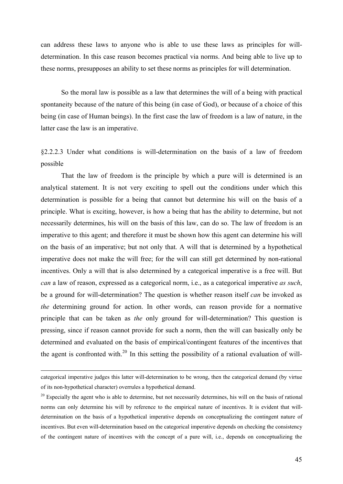can address these laws to anyone who is able to use these laws as principles for willdetermination. In this case reason becomes practical via norms. And being able to live up to these norms, presupposes an ability to set these norms as principles for will determination.

So the moral law is possible as a law that determines the will of a being with practical spontaneity because of the nature of this being (in case of God), or because of a choice of this being (in case of Human beings). In the first case the law of freedom is a law of nature, in the latter case the law is an imperative.

§2.2.2.3 Under what conditions is will-determination on the basis of a law of freedom possible

That the law of freedom is the principle by which a pure will is determined is an analytical statement. It is not very exciting to spell out the conditions under which this determination is possible for a being that cannot but determine his will on the basis of a principle. What is exciting, however, is how a being that has the ability to determine, but not necessarily determines, his will on the basis of this law, can do so. The law of freedom is an imperative to this agent; and therefore it must be shown how this agent can determine his will on the basis of an imperative; but not only that. A will that is determined by a hypothetical imperative does not make the will free; for the will can still get determined by non-rational incentives. Only a will that is also determined by a categorical imperative is a free will. But *can* a law of reason, expressed as a categorical norm, i.e., as a categorical imperative *as such*, be a ground for will-determination? The question is whether reason itself *can* be invoked as *the* determining ground for action. In other words, can reason provide for a normative principle that can be taken as *the* only ground for will-determination? This question is pressing, since if reason cannot provide for such a norm, then the will can basically only be determined and evaluated on the basis of empirical/contingent features of the incentives that the agent is confronted with.<sup>[20](#page-44-0)</sup> In this setting the possibility of a rational evaluation of will-

categorical imperative judges this latter will-determination to be wrong, then the categorical demand (by virtue of its non-hypothetical character) overrules a hypothetical demand.

<span id="page-44-0"></span> $20$  Especially the agent who is able to determine, but not necessarily determines, his will on the basis of rational norms can only determine his will by reference to the empirical nature of incentives. It is evident that willdetermination on the basis of a hypothetical imperative depends on conceptualizing the contingent nature of incentives. But even will-determination based on the categorical imperative depends on checking the consistency of the contingent nature of incentives with the concept of a pure will, i.e., depends on conceptualizing the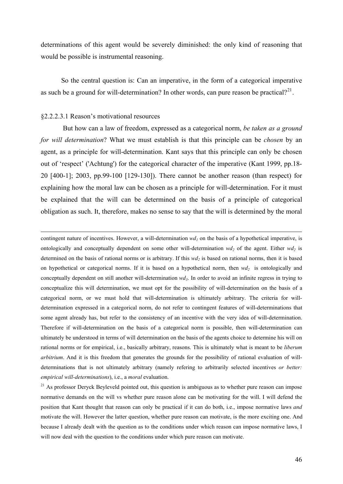determinations of this agent would be severely diminished: the only kind of reasoning that would be possible is instrumental reasoning.

So the central question is: Can an imperative, in the form of a categorical imperative as such be a ground for will-determination? In other words, can pure reason be practical?<sup>[21](#page-45-0)</sup>.

### §2.2.2.3.1 Reason's motivational resources

 But how can a law of freedom, expressed as a categorical norm, *be taken as a ground for will determination*? What we must establish is that this principle can be *chosen* by an agent, as a principle for will-determination. Kant says that this principle can only be chosen out of 'respect' ('Achtung') for the categorical character of the imperative (Kant 1999, pp.18- 20 [400-1]; 2003, pp.99-100 [129-130]). There cannot be another reason (than respect) for explaining how the moral law can be chosen as a principle for will-determination. For it must be explained that the will can be determined on the basis of a principle of categorical obligation as such. It, therefore, makes no sense to say that the will is determined by the moral

contingent nature of incentives. However, a will-determination  $wd<sub>1</sub>$  on the basis of a hypothetical imperative, is ontologically and conceptually dependent on some other will-determination  $wd_2$  of the agent. Either  $wd_2$  is determined on the basis of rational norms or is arbitrary. If this  $wd_2$  is based on rational norms, then it is based on hypothetical or categorical norms. If it is based on a hypothetical norm, then  $wd_2$  is ontologically and conceptually dependent on still another will-determination  $wd_3$ . In order to avoid an infinite regress in trying to conceptualize this will determination, we must opt for the possibility of will-determination on the basis of a categorical norm, or we must hold that will-determination is ultimately arbitrary. The criteria for willdetermination expressed in a categorical norm, do not refer to contingent features of will-determinations that some agent already has, but refer to the consistency of an incentive with the very idea of will-determination. Therefore if will-determination on the basis of a categorical norm is possible, then will-determination can ultimately be understood in terms of will determination on the basis of the agents choice to determine his will on rational norms or for empirical, i.e., basically arbitrary, reasons. This is ultimately what is meant to be *liberum arbitrium*. And it is this freedom that generates the grounds for the possibility of rational evaluation of willdeterminations that is not ultimately arbitrary (namely refering to arbitrarily selected incentives *or better: empirical will-determinations*), i.e., a *moral* evaluation.

<span id="page-45-0"></span> $21$  As professor Deryck Beyleveld pointed out, this question is ambiguous as to whether pure reason can impose normative demands on the will vs whether pure reason alone can be motivating for the will. I will defend the position that Kant thought that reason can only be practical if it can do both, i.e., impose normative laws *and* motivate the will. However the latter question, whether pure reason can motivate, is the more exciting one. And because I already dealt with the question as to the conditions under which reason can impose normative laws, I will now deal with the question to the conditions under which pure reason can motivate.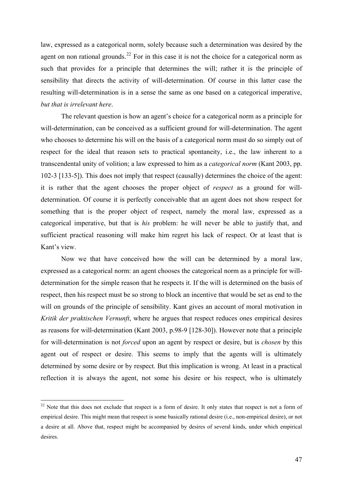law, expressed as a categorical norm, solely because such a determination was desired by the agent on non rational grounds.<sup>[22](#page-46-0)</sup> For in this case it is not the choice for a categorical norm as such that provides for a principle that determines the will; rather it is the principle of sensibility that directs the activity of will-determination. Of course in this latter case the resulting will-determination is in a sense the same as one based on a categorical imperative, *but that is irrelevant here*.

The relevant question is how an agent's choice for a categorical norm as a principle for will-determination, can be conceived as a sufficient ground for will-determination. The agent who chooses to determine his will on the basis of a categorical norm must do so simply out of respect for the ideal that reason sets to practical spontaneity, i.e., the law inherent to a transcendental unity of volition; a law expressed to him as a *categorical norm* (Kant 2003, pp. 102-3 [133-5]). This does not imply that respect (causally) determines the choice of the agent: it is rather that the agent chooses the proper object of *respect* as a ground for willdetermination. Of course it is perfectly conceivable that an agent does not show respect for something that is the proper object of respect, namely the moral law, expressed as a categorical imperative, but that is *his* problem: he will never be able to justify that, and sufficient practical reasoning will make him regret his lack of respect. Or at least that is Kant's view.

Now we that have conceived how the will can be determined by a moral law, expressed as a categorical norm: an agent chooses the categorical norm as a principle for willdetermination for the simple reason that he respects it. If the will is determined on the basis of respect, then his respect must be so strong to block an incentive that would be set as end to the will on grounds of the principle of sensibility. Kant gives an account of moral motivation in *Kritik der praktischen Vernunft*, where he argues that respect reduces ones empirical desires as reasons for will-determination (Kant 2003, p.98-9 [128-30]). However note that a principle for will-determination is not *forced* upon an agent by respect or desire, but is *chosen* by this agent out of respect or desire. This seems to imply that the agents will is ultimately determined by some desire or by respect. But this implication is wrong. At least in a practical reflection it is always the agent, not some his desire or his respect, who is ultimately

<span id="page-46-0"></span><sup>&</sup>lt;sup>22</sup> Note that this does not exclude that respect is a form of desire. It only states that respect is not a form of empirical desire. This might mean that respect is some basically rational desire (i.e., non-empirical desire), or not a desire at all. Above that, respect might be accompanied by desires of several kinds, under which empirical desires.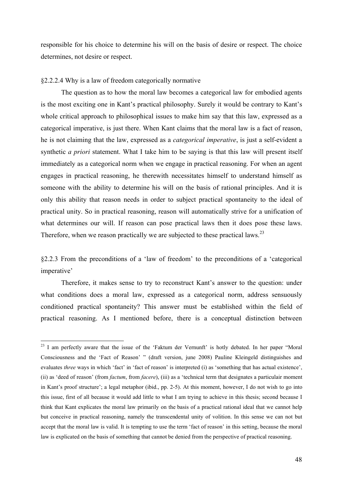responsible for his choice to determine his will on the basis of desire or respect. The choice determines, not desire or respect.

### §2.2.2.4 Why is a law of freedom categorically normative

1

 The question as to how the moral law becomes a categorical law for embodied agents is the most exciting one in Kant's practical philosophy. Surely it would be contrary to Kant's whole critical approach to philosophical issues to make him say that this law, expressed as a categorical imperative, is just there. When Kant claims that the moral law is a fact of reason, he is not claiming that the law, expressed as a *categorical imperative*, is just a self-evident a synthetic *a priori* statement. What I take him to be saying is that this law will present itself immediately as a categorical norm when we engage in practical reasoning. For when an agent engages in practical reasoning, he therewith necessitates himself to understand himself as someone with the ability to determine his will on the basis of rational principles. And it is only this ability that reason needs in order to subject practical spontaneity to the ideal of practical unity. So in practical reasoning, reason will automatically strive for a unification of what determines our will. If reason can pose practical laws then it does pose these laws. Therefore, when we reason practically we are subjected to these practical laws.<sup>[23](#page-47-0)</sup>

§2.2.3 From the preconditions of a 'law of freedom' to the preconditions of a 'categorical imperative'

Therefore, it makes sense to try to reconstruct Kant's answer to the question: under what conditions does a moral law, expressed as a categorical norm, address sensuously conditioned practical spontaneity? This answer must be established within the field of practical reasoning. As I mentioned before, there is a conceptual distinction between

<span id="page-47-0"></span><sup>&</sup>lt;sup>23</sup> I am perfectly aware that the issue of the 'Faktum der Vernunft' is hotly debated. In her paper "Moral Consciousness and the 'Fact of Reason' " (draft version, june 2008) Pauline Kleingeld distinguishes and evaluates *three* ways in which 'fact' in 'fact of reason' is interpreted (i) as 'something that has actual existence', (ii) as 'deed of reason' (from *factum*, from *facere*), (iii) as a 'technical term that designates a particulair moment in Kant's proof structure'; a legal metaphor (ibid., pp. 2-5). At this moment, however, I do not wish to go into this issue, first of all because it would add little to what I am trying to achieve in this thesis; second because I think that Kant explicates the moral law primarily on the basis of a practical rational ideal that we cannot help but conceive in practical reasoning, namely the transcendental unity of volition. In this sense we can not but accept that the moral law is valid. It is tempting to use the term 'fact of reason' in this setting, because the moral law is explicated on the basis of something that cannot be denied from the perspective of practical reasoning.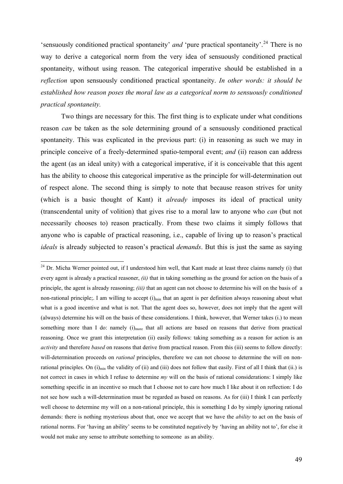'sensuously conditioned practical spontaneity' *and* 'pure practical spontaneity'.<sup>[24](#page-48-0)</sup> There is no way to derive a categorical norm from the very idea of sensuously conditioned practical spontaneity, without using reason. The categorical imperative should be established in a *reflection* upon sensuously conditioned practical spontaneity. *In other words: it should be established how reason poses the moral law as a categorical norm to sensuously conditioned practical spontaneity.*

Two things are necessary for this. The first thing is to explicate under what conditions reason *can* be taken as the sole determining ground of a sensuously conditioned practical spontaneity. This was explicated in the previous part: (i) in reasoning as such we may in principle conceive of a freely-determined spatio-temporal event; *and* (ii) reason can address the agent (as an ideal unity) with a categorical imperative, if it is conceivable that this agent has the ability to choose this categorical imperative as the principle for will-determination out of respect alone. The second thing is simply to note that because reason strives for unity (which is a basic thought of Kant) it *already* imposes its ideal of practical unity (transcendental unity of volition) that gives rise to a moral law to anyone who *can* (but not necessarily chooses to) reason practically. From these two claims it simply follows that anyone who is capable of practical reasoning, i.e., capable of living up to reason's practical *ideals* is already subjected to reason's practical *demands*. But this is just the same as saying

<span id="page-48-0"></span><sup>&</sup>lt;sup>24</sup> Dr. Micha Werner pointed out, if I understood him well, that Kant made at least three claims namely (i) that every agent is already a practical reasoner, *(ii)* that in taking something as the ground for action on the basis of a principle, the agent is already reasoning; *(iii)* that an agent can not choose to determine his will on the basis of a non-rational principle;. I am willing to accept  $(i)_{min}$  that an agent is per definition always reasoning about what what is a good incentive and what is not. That the agent does so, however, does not imply that the agent will (always) determine his will on the basis of these considerations. I think, however, that Werner takes (i.) to mean something more than I do: namely (i)<sub>more</sub> that all actions are based on reasons that derive from practical reasoning. Once we grant this interpretation (ii) easily follows: taking something as a reason for action is an *activity* and therefore *based* on reasons that derive from practical reason. From this (iii) seems to follow directly: will-determination proceeds on *rational* principles, therefore we can not choose to determine the will on nonrational principles. On (i)<sub>min</sub> the validity of (ii) and (iii) does not follow that easily. First of all I think that (ii.) is not correct in cases in which I refuse to determine *my* will on the basis of rational considerations: I simply like something specific in an incentive so much that I choose not to care how much I like about it on reflection: I do not see how such a will-determination must be regarded as based on reasons. As for (iii) I think I can perfectly well choose to determine my will on a non-rational principle, this is something I do by simply ignoring rational demands: there is nothing mysterious about that, once we accept that we have the *ability* to act on the basis of rational norms. For 'having an ability' seems to be constituted negatively by 'having an ability not to', for else it would not make any sense to attribute something to someone as an ability.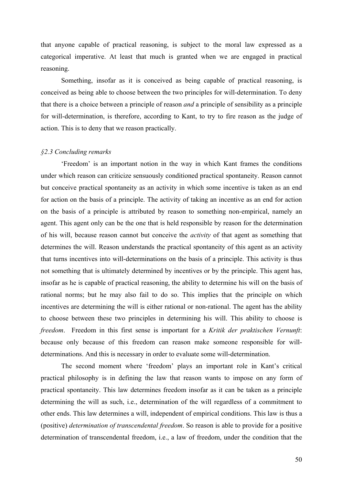that anyone capable of practical reasoning, is subject to the moral law expressed as a categorical imperative. At least that much is granted when we are engaged in practical reasoning.

Something, insofar as it is conceived as being capable of practical reasoning, is conceived as being able to choose between the two principles for will-determination. To deny that there is a choice between a principle of reason *and* a principle of sensibility as a principle for will-determination, is therefore, according to Kant, to try to fire reason as the judge of action. This is to deny that we reason practically.

## *§2.3 Concluding remarks*

 'Freedom' is an important notion in the way in which Kant frames the conditions under which reason can criticize sensuously conditioned practical spontaneity. Reason cannot but conceive practical spontaneity as an activity in which some incentive is taken as an end for action on the basis of a principle. The activity of taking an incentive as an end for action on the basis of a principle is attributed by reason to something non-empirical, namely an agent. This agent only can be the one that is held responsible by reason for the determination of his will, because reason cannot but conceive the *activity* of that agent as something that determines the will. Reason understands the practical spontaneity of this agent as an activity that turns incentives into will-determinations on the basis of a principle. This activity is thus not something that is ultimately determined by incentives or by the principle. This agent has, insofar as he is capable of practical reasoning, the ability to determine his will on the basis of rational norms; but he may also fail to do so. This implies that the principle on which incentives are determining the will is either rational or non-rational. The agent has the ability to choose between these two principles in determining his will. This ability to choose is *freedom*. Freedom in this first sense is important for a *Kritik der praktischen Vernunft*: because only because of this freedom can reason make someone responsible for willdeterminations. And this is necessary in order to evaluate some will-determination.

 The second moment where 'freedom' plays an important role in Kant's critical practical philosophy is in defining the law that reason wants to impose on any form of practical spontaneity. This law determines freedom insofar as it can be taken as a principle determining the will as such, i.e., determination of the will regardless of a commitment to other ends. This law determines a will, independent of empirical conditions. This law is thus a (positive) *determination of transcendental freedom*. So reason is able to provide for a positive determination of transcendental freedom, i.e., a law of freedom, under the condition that the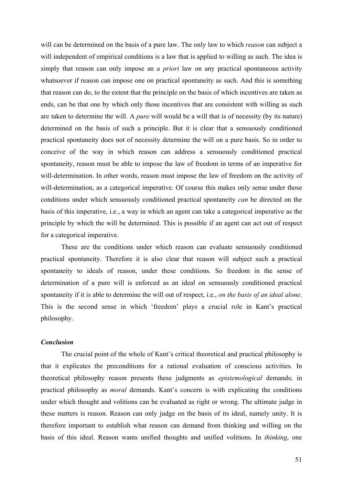will can be determined on the basis of a pure law. The only law to which *reason* can subject a will independent of empirical conditions is a law that is applied to willing as such. The idea is simply that reason can only impose an *a priori* law on any practical spontaneous activity whatsoever if reason can impose one on practical spontaneity as such. And this is something that reason can do, to the extent that the principle on the basis of which incentives are taken as ends, can be that one by which only those incentives that are consistent with willing as such are taken to determine the will. A *pure* will would be a will that is of necessity (by its nature) determined on the basis of such a principle. But it is clear that a sensuously conditioned practical spontaneity does not of necessity determine the will on a pure basis. So in order to conceive of the way in which reason can address a sensuously conditioned practical spontaneity, reason must be able to impose the law of freedom in terms of an imperative for will-determination. In other words, reason must impose the law of freedom on the activity of will-determination, as a categorical imperative. Of course this makes only sense under those conditions under which sensuously conditioned practical spontaneity *can* be directed on the basis of this imperative, i.e., a way in which an agent can take a categorical imperative as the principle by which the will be determined. This is possible if an agent can act out of respect for a categorical imperative.

These are the conditions under which reason can evaluate sensuously conditioned practical spontaneity. Therefore it is also clear that reason will subject such a practical spontaneity to ideals of reason, under these conditions. So freedom in the sense of determination of a pure will is enforced as an ideal on sensuously conditioned practical spontaneity if it is able to determine the will out of respect, i.e., *on the basis of an ideal alone*. This is the second sense in which 'freedom' plays a crucial role in Kant's practical philosophy.

# *Conclusion*

 The crucial point of the whole of Kant's critical theoretical and practical philosophy is that it explicates the preconditions for a rational evaluation of conscious activities. In theoretical philosophy reason presents these judgments as *epistemological* demands; in practical philosophy as *moral* demands. Kant's concern is with explicating the conditions under which thought and volitions can be evaluated as right or wrong. The ultimate judge in these matters is reason. Reason can only judge on the basis of its ideal, namely unity. It is therefore important to establish what reason can demand from thinking and willing on the basis of this ideal. Reason wants unified thoughts and unified volitions. In *thinking*, one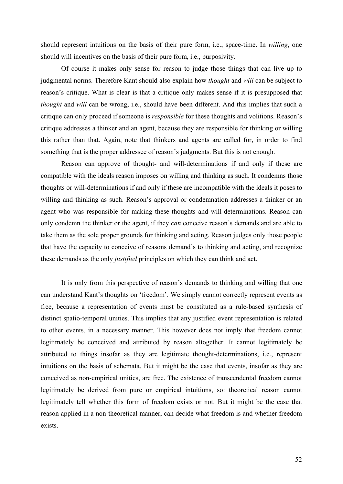should represent intuitions on the basis of their pure form, i.e., space-time. In *willing*, one should will incentives on the basis of their pure form, i.e., purposivity.

Of course it makes only sense for reason to judge those things that can live up to judgmental norms. Therefore Kant should also explain how *thought* and *will* can be subject to reason's critique. What is clear is that a critique only makes sense if it is presupposed that *thought* and *will* can be wrong, i.e., should have been different. And this implies that such a critique can only proceed if someone is *responsible* for these thoughts and volitions. Reason's critique addresses a thinker and an agent, because they are responsible for thinking or willing this rather than that. Again, note that thinkers and agents are called for, in order to find something that is the proper addressee of reason's judgments. But this is not enough.

Reason can approve of thought- and will-determinations if and only if these are compatible with the ideals reason imposes on willing and thinking as such. It condemns those thoughts or will-determinations if and only if these are incompatible with the ideals it poses to willing and thinking as such. Reason's approval or condemnation addresses a thinker or an agent who was responsible for making these thoughts and will-determinations. Reason can only condemn the thinker or the agent, if they *can* conceive reason's demands and are able to take them as the sole proper grounds for thinking and acting. Reason judges only those people that have the capacity to conceive of reasons demand's to thinking and acting, and recognize these demands as the only *justified* principles on which they can think and act.

It is only from this perspective of reason's demands to thinking and willing that one can understand Kant's thoughts on 'freedom'. We simply cannot correctly represent events as free, because a representation of events must be constituted as a rule-based synthesis of distinct spatio-temporal unities. This implies that any justified event representation is related to other events, in a necessary manner. This however does not imply that freedom cannot legitimately be conceived and attributed by reason altogether. It cannot legitimately be attributed to things insofar as they are legitimate thought-determinations, i.e., represent intuitions on the basis of schemata. But it might be the case that events, insofar as they are conceived as non-empirical unities, are free. The existence of transcendental freedom cannot legitimately be derived from pure or empirical intuitions, so: theoretical reason cannot legitimately tell whether this form of freedom exists or not. But it might be the case that reason applied in a non-theoretical manner, can decide what freedom is and whether freedom exists.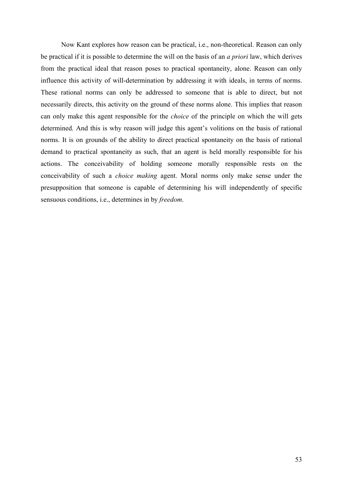Now Kant explores how reason can be practical, i.e., non-theoretical. Reason can only be practical if it is possible to determine the will on the basis of an *a priori* law, which derives from the practical ideal that reason poses to practical spontaneity, alone. Reason can only influence this activity of will-determination by addressing it with ideals, in terms of norms. These rational norms can only be addressed to someone that is able to direct, but not necessarily directs, this activity on the ground of these norms alone. This implies that reason can only make this agent responsible for the *choice* of the principle on which the will gets determined. And this is why reason will judge this agent's volitions on the basis of rational norms. It is on grounds of the ability to direct practical spontaneity on the basis of rational demand to practical spontaneity as such, that an agent is held morally responsible for his actions. The conceivability of holding someone morally responsible rests on the conceivability of such a *choice making* agent. Moral norms only make sense under the presupposition that someone is capable of determining his will independently of specific sensuous conditions, i.e., determines in by *freedom*.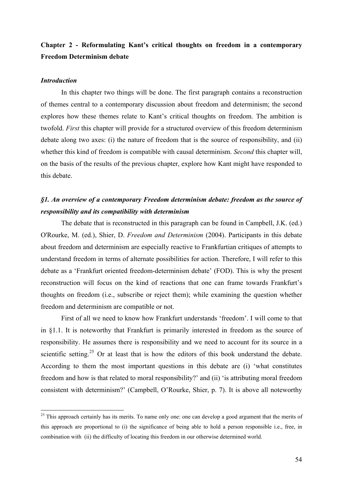# Chapter 2 - Reformulating Kant's critical thoughts on freedom in a contemporary Freedom Determinism debate

## *Introduction*

1

 In this chapter two things will be done. The first paragraph contains a reconstruction of themes central to a contemporary discussion about freedom and determinism; the second explores how these themes relate to Kant's critical thoughts on freedom. The ambition is twofold. *First* this chapter will provide for a structured overview of this freedom determinism debate along two axes: (i) the nature of freedom that is the source of responsibility, and (ii) whether this kind of freedom is compatible with causal determinism. *Second* this chapter will, on the basis of the results of the previous chapter, explore how Kant might have responded to this debate.

# *§1. An overview of a contemporary Freedom determinism debate: freedom as the source of responsibility and its compatibility with determinism*

The debate that is reconstructed in this paragraph can be found in Campbell, J.K. (ed.) [O'Rourke](http://www.amazon.com/exec/obidos/search-handle-url/103-6947731-8592614?%5Fencoding=UTF8&search-type=ss&index=books&field-author=Michael%20O%27Rourke), M. (ed.), [Shier,](http://www.amazon.com/exec/obidos/search-handle-url/103-6947731-8592614?%5Fencoding=UTF8&search-type=ss&index=books&field-author=David%20Shier) D. *Freedom and Determinism* (2004). Participants in this debate about freedom and determinism are especially reactive to Frankfurtian critiques of attempts to understand freedom in terms of alternate possibilities for action. Therefore, I will refer to this debate as a 'Frankfurt oriented freedom-determinism debate' (FOD). This is why the present reconstruction will focus on the kind of reactions that one can frame towards Frankfurt's thoughts on freedom (i.e., subscribe or reject them); while examining the question whether freedom and determinism are compatible or not.

 First of all we need to know how Frankfurt understands 'freedom'. I will come to that in §1.1. It is noteworthy that Frankfurt is primarily interested in freedom as the source of responsibility. He assumes there is responsibility and we need to account for its source in a scientific setting.<sup>[25](#page-53-0)</sup> Or at least that is how the editors of this book understand the debate. According to them the most important questions in this debate are (i) 'what constitutes freedom and how is that related to moral responsibility?' and (ii) 'is attributing moral freedom consistent with determinism?' (Campbell, O'Rourke, Shier, p. 7). It is above all noteworthy

<span id="page-53-0"></span><sup>&</sup>lt;sup>25</sup> This approach certainly has its merits. To name only one: one can develop a good argument that the merits of this approach are proportional to (i) the significance of being able to hold a person responsible i.e., free, in combination with (ii) the difficulty of locating this freedom in our otherwise determined world.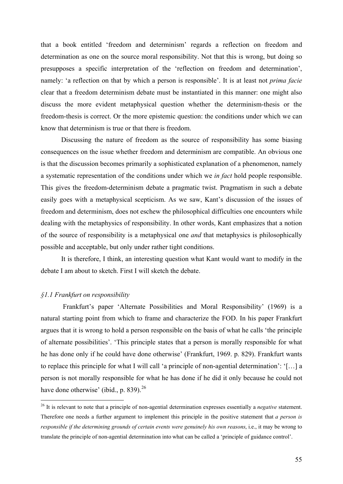that a book entitled 'freedom and determinism' regards a reflection on freedom and determination as one on the source moral responsibility. Not that this is wrong, but doing so presupposes a specific interpretation of the 'reflection on freedom and determination', namely: 'a reflection on that by which a person is responsible'. It is at least not *prima facie* clear that a freedom determinism debate must be instantiated in this manner: one might also discuss the more evident metaphysical question whether the determinism-thesis or the freedom-thesis is correct. Or the more epistemic question: the conditions under which we can know that determinism is true or that there is freedom.

Discussing the nature of freedom as the source of responsibility has some biasing consequences on the issue whether freedom and determinism are compatible. An obvious one is that the discussion becomes primarily a sophisticated explanation of a phenomenon, namely a systematic representation of the conditions under which we *in fact* hold people responsible. This gives the freedom-determinism debate a pragmatic twist. Pragmatism in such a debate easily goes with a metaphysical scepticism. As we saw, Kant's discussion of the issues of freedom and determinism, does not eschew the philosophical difficulties one encounters while dealing with the metaphysics of responsibility. In other words, Kant emphasizes that a notion of the source of responsibility is a metaphysical one *and* that metaphysics is philosophically possible and acceptable, but only under rather tight conditions.

It is therefore, I think, an interesting question what Kant would want to modify in the debate I am about to sketch. First I will sketch the debate.

## *§1.1 Frankfurt on responsibility*

1

 Frankfurt's paper 'Alternate Possibilities and Moral Responsibility' (1969) is a natural starting point from which to frame and characterize the FOD. In his paper Frankfurt argues that it is wrong to hold a person responsible on the basis of what he calls 'the principle of alternate possibilities'. 'This principle states that a person is morally responsible for what he has done only if he could have done otherwise' (Frankfurt, 1969. p. 829). Frankfurt wants to replace this principle for what I will call 'a principle of non-agential determination': '[…] a person is not morally responsible for what he has done if he did it only because he could not have done otherwise' (ibid., p. 839). $^{26}$  $^{26}$  $^{26}$ 

<span id="page-54-0"></span><sup>&</sup>lt;sup>26</sup> It is relevant to note that a principle of non-agential determination expresses essentially a *negative* statement. Therefore one needs a further argument to implement this principle in the positive statement that *a person is responsible if the determining grounds of certain events were genuinely his own reasons*, i.e., it may be wrong to translate the principle of non-agential determination into what can be called a 'principle of guidance control'.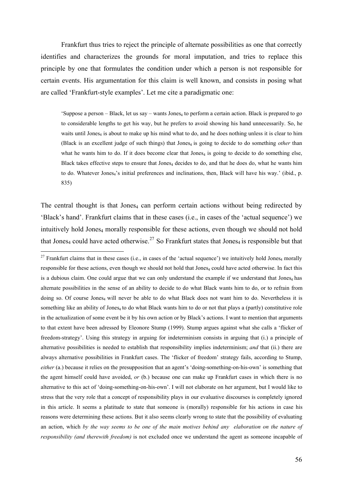Frankfurt thus tries to reject the principle of alternate possibilities as one that correctly identifies and characterizes the grounds for moral imputation, and tries to replace this principle by one that formulates the condition under which a person is not responsible for certain events. His argumentation for this claim is well known, and consists in posing what are called 'Frankfurt-style examples'. Let me cite a paradigmatic one:

'Suppose a person – Black, let us say – wants Jones $_4$  to perform a certain action. Black is prepared to go to considerable lengths to get his way, but he prefers to avoid showing his hand unnecessarily. So, he waits until Jones<sub>4</sub> is about to make up his mind what to do, and he does nothing unless it is clear to him (Black is an excellent judge of such things) that Jones<sub>4</sub> is going to decide to do something *other* than what he wants him to do. If it does become clear that Jones $_4$  is going to decide to do something else, Black takes effective steps to ensure that  $Jones<sub>4</sub>$  decides to do, and that he does do, what he wants him to do. Whatever Jones<sub>4</sub>'s initial preferences and inclinations, then, Black will have his way.' (ibid., p. 835)

The central thought is that Jones<sub>4</sub> can perform certain actions without being redirected by 'Black's hand'. Frankfurt claims that in these cases (i.e., in cases of the 'actual sequence') we intuitively hold Jones<sub>4</sub> morally responsible for these actions, even though we should not hold that Jones<sub>4</sub> could have acted otherwise.<sup>[27](#page-55-0)</sup> So Frankfurt states that Jones<sub>4</sub> is responsible but that

<span id="page-55-0"></span><sup>&</sup>lt;sup>27</sup> Frankfurt claims that in these cases (i.e., in cases of the 'actual sequence') we intuitively hold Jones<sub>4</sub> morally responsible for these actions, even though we should not hold that Jones<sub>4</sub> could have acted otherwise. In fact this is a dubious claim. One could argue that we can only understand the example if we understand that Jones<sub>4</sub> has alternate possibilities in the sense of an ability to decide to do what Black wants him to do, or to refrain from doing so. Of course Jones<sub>4</sub> will never be able to do what Black does not want him to do. Nevertheless it is something like an ability of Jones<sub>4</sub> to do what Black wants him to do or not that plays a (partly) constitutive role in the actualization of some event be it by his own action or by Black's actions. I want to mention that arguments to that extent have been adressed by Eleonore Stump (1999). Stump argues against what she calls a 'flicker of freedom-strategy'. Using this strategy in arguing for indeterminism consists in arguing that (i.) a principle of alternative possibilities is needed to establish that responsibility implies indeterminism; *and* that (ii.) there are always alternative possibilities in Frankfurt cases. The 'flicker of freedom' strategy fails, according to Stump, *either* (a.) because it relies on the presupposition that an agent's 'doing-something-on-his-own' is something that the agent himself could have avoided, *or* (b.) because one can make up Frankfurt cases in which there is no alternative to this act of 'doing-something-on-his-own'. I will not elaborate on her argument, but I would like to stress that the very role that a concept of responsibility plays in our evaluative discourses is completely ignored in this article. It seems a platitude to state that someone is (morally) responsible for his actions in case his reasons were determining these actions. But it also seems clearly wrong to state that the possibility of evaluating an action, which *by the way seems to be one of the main motives behind any elaboration on the nature of responsibility (and therewith freedom)* is not excluded once we understand the agent as someone incapable of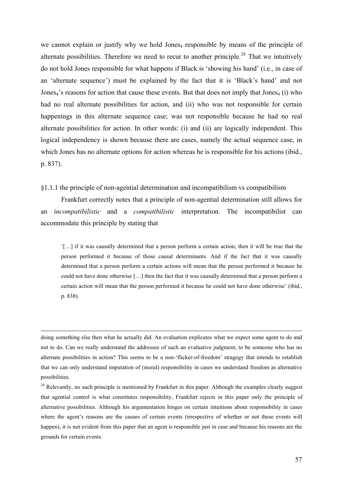we cannot explain or justify why we hold Jones<sub>4</sub> responsible by means of the principle of alternate possibilities. Therefore we need to recur to another principle.<sup>[28](#page-56-0)</sup> That we intuitively do not hold Jones responsible for what happens if Black is 'showing his hand' (i.e., in case of an 'alternate sequence') must be explained by the fact that it is 'Black's hand' and not Jones<sub>4</sub>'s reasons for action that cause these events. But that does not imply that Jones<sub>4</sub> (i) who had no real alternate possibilities for action, and (ii) who was not responsible for certain happenings in this alternate sequence case; was not responsible because he had no real alternate possibilities for action. In other words: (i) and (ii) are logically independent. This logical independency is shown because there are cases, namely the actual sequence case, in which Jones has no alternate options for action whereas he is responsible for his actions (ibid., p. 837).

§1.1.1 the principle of non-agential determination and incompatibilism vs compatibilism

Frankfurt correctly notes that a principle of non-agential determination still allows for an *incompatibilistic* and a *compatibilistic* interpretation. The incompatibilist can accommodate this principle by stating that

'[…] if it was causally determined that a person perform a certain action, then it will be true that the person performed it because of those causal determinants. And if the fact that it was causally determined that a person perform a certain actions will mean that the person performed it because he could not have done otherwise […] then the fact that it was causally determined that a person perform a certain action will mean that the person performed it because he could not have done otherwise' (ibid., p. 838).

 doing something else then what he actually did. An evaluation explicates what we expect some agent to do and not to do. Can we really understand the addressee of such an evaluative judgment, to be someone who has no alternate possibilities in action? This seems to be a non-'flicker-of-freedom' stragegy that intends to establish that we can only understand imputation of (moral) responsibility in cases we understand freedom as alternative possibilities.

<span id="page-56-0"></span><sup>28</sup> Relevantly, no such principle is mentioned by Frankfurt in this paper. Although the examples clearly suggest that agential control is what constitutes responsibility, Frankfurt rejects in this paper only the principle of alternative possibilities. Although his argumentation hinges on certain intuitions about responsibility in cases where the agent's reasons are the causes of certain events (irrespective of whether or not these events will happen), it is not evident from this paper that an agent is responsible just in case and because his reasons are the grounds for certain events.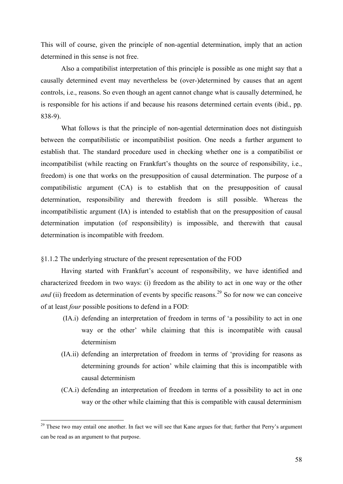This will of course, given the principle of non-agential determination, imply that an action determined in this sense is not free.

Also a compatibilist interpretation of this principle is possible as one might say that a causally determined event may nevertheless be (over-)determined by causes that an agent controls, i.e., reasons. So even though an agent cannot change what is causally determined, he is responsible for his actions if and because his reasons determined certain events (ibid., pp. 838-9).

 What follows is that the principle of non-agential determination does not distinguish between the compatibilistic or incompatibilist position. One needs a further argument to establish that. The standard procedure used in checking whether one is a compatibilist or incompatibilist (while reacting on Frankfurt's thoughts on the source of responsibility, i.e., freedom) is one that works on the presupposition of causal determination. The purpose of a compatibilistic argument (CA) is to establish that on the presupposition of causal determination, responsibility and therewith freedom is still possible. Whereas the incompatibilistic argument (IA) is intended to establish that on the presupposition of causal determination imputation (of responsibility) is impossible, and therewith that causal determination is incompatible with freedom.

# §1.1.2 The underlying structure of the present representation of the FOD

1

Having started with Frankfurt's account of responsibility, we have identified and characterized freedom in two ways: (i) freedom as the ability to act in one way or the other *and* (ii) freedom as determination of events by specific reasons.<sup>[29](#page-57-0)</sup> So for now we can conceive of at least *four* possible positions to defend in a FOD:

- (IA.i) defending an interpretation of freedom in terms of 'a possibility to act in one way or the other' while claiming that this is incompatible with causal determinism
- (IA.ii) defending an interpretation of freedom in terms of 'providing for reasons as determining grounds for action' while claiming that this is incompatible with causal determinism
- (CA.i) defending an interpretation of freedom in terms of a possibility to act in one way or the other while claiming that this is compatible with causal determinism

<span id="page-57-0"></span> $29$  These two may entail one another. In fact we will see that Kane argues for that; further that Perry's argument can be read as an argument to that purpose.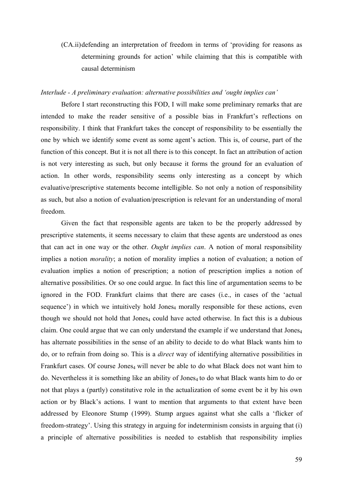(CA.ii) defending an interpretation of freedom in terms of 'providing for reasons as determining grounds for action' while claiming that this is compatible with causal determinism

# *Interlude - A preliminary evaluation: alternative possibilities and 'ought implies can'*

Before I start reconstructing this FOD, I will make some preliminary remarks that are intended to make the reader sensitive of a possible bias in Frankfurt's reflections on responsibility. I think that Frankfurt takes the concept of responsibility to be essentially the one by which we identify some event as some agent's action. This is, of course, part of the function of this concept. But it is not all there is to this concept. In fact an attribution of action is not very interesting as such, but only because it forms the ground for an evaluation of action. In other words, responsibility seems only interesting as a concept by which evaluative/prescriptive statements become intelligible. So not only a notion of responsibility as such, but also a notion of evaluation/prescription is relevant for an understanding of moral freedom.

Given the fact that responsible agents are taken to be the properly addressed by prescriptive statements, it seems necessary to claim that these agents are understood as ones that can act in one way or the other. *Ought implies can*. A notion of moral responsibility implies a notion *morality*; a notion of morality implies a notion of evaluation; a notion of evaluation implies a notion of prescription; a notion of prescription implies a notion of alternative possibilities. Or so one could argue. In fact this line of argumentation seems to be ignored in the FOD. Frankfurt claims that there are cases (i.e., in cases of the 'actual sequence') in which we intuitively hold Jones<sub>4</sub> morally responsible for these actions, even though we should not hold that Jones<sub>4</sub> could have acted otherwise. In fact this is a dubious claim. One could argue that we can only understand the example if we understand that Jones4 has alternate possibilities in the sense of an ability to decide to do what Black wants him to do, or to refrain from doing so. This is a *direct* way of identifying alternative possibilities in Frankfurt cases. Of course Jones<sub>4</sub> will never be able to do what Black does not want him to do. Nevertheless it is something like an ability of Jones<sub>4</sub> to do what Black wants him to do or not that plays a (partly) constitutive role in the actualization of some event be it by his own action or by Black's actions. I want to mention that arguments to that extent have been addressed by Eleonore Stump (1999). Stump argues against what she calls a 'flicker of freedom-strategy'. Using this strategy in arguing for indeterminism consists in arguing that (i) a principle of alternative possibilities is needed to establish that responsibility implies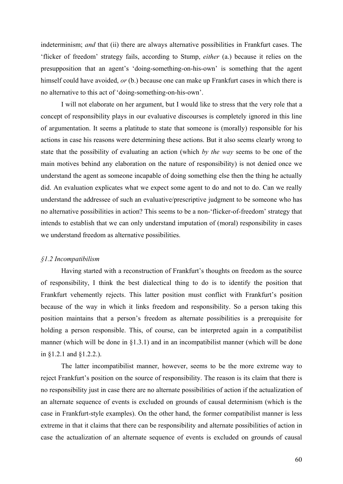indeterminism; *and* that (ii) there are always alternative possibilities in Frankfurt cases. The 'flicker of freedom' strategy fails, according to Stump, *either* (a.) because it relies on the presupposition that an agent's 'doing-something-on-his-own' is something that the agent himself could have avoided, *or* (b.) because one can make up Frankfurt cases in which there is no alternative to this act of 'doing-something-on-his-own'.

I will not elaborate on her argument, but I would like to stress that the very role that a concept of responsibility plays in our evaluative discourses is completely ignored in this line of argumentation. It seems a platitude to state that someone is (morally) responsible for his actions in case his reasons were determining these actions. But it also seems clearly wrong to state that the possibility of evaluating an action (which *by the way* seems to be one of the main motives behind any elaboration on the nature of responsibility) is not denied once we understand the agent as someone incapable of doing something else then the thing he actually did. An evaluation explicates what we expect some agent to do and not to do. Can we really understand the addressee of such an evaluative/prescriptive judgment to be someone who has no alternative possibilities in action? This seems to be a non-'flicker-of-freedom' strategy that intends to establish that we can only understand imputation of (moral) responsibility in cases we understand freedom as alternative possibilities.

### *§1.2 Incompatibilism*

 Having started with a reconstruction of Frankfurt's thoughts on freedom as the source of responsibility, I think the best dialectical thing to do is to identify the position that Frankfurt vehemently rejects. This latter position must conflict with Frankfurt's position because of the way in which it links freedom and responsibility. So a person taking this position maintains that a person's freedom as alternate possibilities is a prerequisite for holding a person responsible. This, of course, can be interpreted again in a compatibilist manner (which will be done in §1.3.1) and in an incompatibilist manner (which will be done in §1.2.1 and §1.2.2.).

The latter incompatibilist manner, however, seems to be the more extreme way to reject Frankfurt's position on the source of responsibility. The reason is its claim that there is no responsibility just in case there are no alternate possibilities of action if the actualization of an alternate sequence of events is excluded on grounds of causal determinism (which is the case in Frankfurt-style examples). On the other hand, the former compatibilist manner is less extreme in that it claims that there can be responsibility and alternate possibilities of action in case the actualization of an alternate sequence of events is excluded on grounds of causal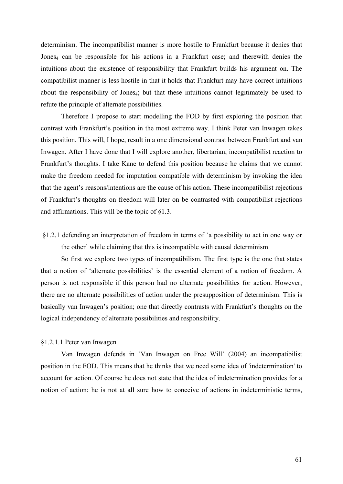determinism. The incompatibilist manner is more hostile to Frankfurt because it denies that Jones<sub>4</sub> can be responsible for his actions in a Frankfurt case; and therewith denies the intuitions about the existence of responsibility that Frankfurt builds his argument on. The compatibilist manner is less hostile in that it holds that Frankfurt may have correct intuitions about the responsibility of Jones<sub>4</sub>; but that these intuitions cannot legitimately be used to refute the principle of alternate possibilities.

 Therefore I propose to start modelling the FOD by first exploring the position that contrast with Frankfurt's position in the most extreme way. I think Peter van Inwagen takes this position. This will, I hope, result in a one dimensional contrast between Frankfurt and van Inwagen. After I have done that I will explore another, libertarian, incompatibilist reaction to Frankfurt's thoughts. I take Kane to defend this position because he claims that we cannot make the freedom needed for imputation compatible with determinism by invoking the idea that the agent's reasons/intentions are the cause of his action. These incompatibilist rejections of Frankfurt's thoughts on freedom will later on be contrasted with compatibilist rejections and affirmations. This will be the topic of §1.3.

§1.2.1 defending an interpretation of freedom in terms of 'a possibility to act in one way or the other' while claiming that this is incompatible with causal determinism

 So first we explore two types of incompatibilism. The first type is the one that states that a notion of 'alternate possibilities' is the essential element of a notion of freedom. A person is not responsible if this person had no alternate possibilities for action. However, there are no alternate possibilities of action under the presupposition of determinism. This is basically van Inwagen's position; one that directly contrasts with Frankfurt's thoughts on the logical independency of alternate possibilities and responsibility.

## §1.2.1.1 Peter van Inwagen

Van Inwagen defends in 'Van Inwagen on Free Will' (2004) an incompatibilist position in the FOD. This means that he thinks that we need some idea of 'indetermination' to account for action. Of course he does not state that the idea of indetermination provides for a notion of action: he is not at all sure how to conceive of actions in indeterministic terms,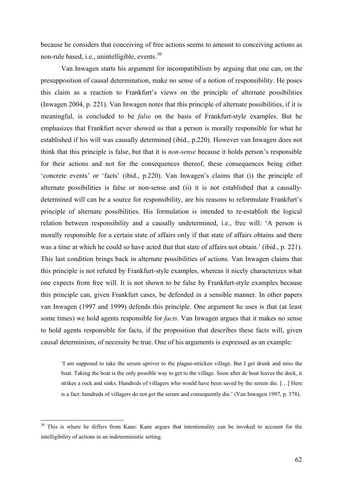because he considers that conceiving of free actions seems to amount to conceiving actions as non-rule based, i.e., unintelligible, events.<sup>[30](#page-61-0)</sup>

Van Inwagen starts his argument for incompatibilism by arguing that one can, on the presupposition of causal determination, make no sense of a notion of responsibility. He poses this claim as a reaction to Frankfurt's views on the principle of alternate possibilities (Inwagen 2004, p. 221). Van Inwagen notes that this principle of alternate possibilities, if it is meaningful, is concluded to be *false* on the basis of Frankfurt-style examples. But he emphasizes that Frankfurt never showed us that a person is morally responsible for what he established if his will was causally determined (ibid., p.220). However van Inwagen does not think that this principle is false, but that it is *non-sense* because it holds person's responsible for their actions and not for the consequences thereof, these consequences being either 'concrete events' or 'facts' (ibid., p.220). Van Inwagen's claims that (i) the principle of alternate possibilities is false or non-sense and (ii) it is not established that a causallydetermined will can be a source for responsibility, are his reasons to reformulate Frankfurt's principle of alternate possibilities. His formulation is intended to re-establish the logical relation between responsibility and a causally undetermined, i.e., free will: 'A person is morally responsible for a certain state of affairs only if that state of affairs obtains and there was a time at which he could so have acted that that state of affairs not obtain.' (ibid., p. 221). This last condition brings back in alternate possibilities of actions. Van Inwagen claims that this principle is not refuted by Frankfurt-style examples, whereas it nicely characterizes what one expects from free will. It is not shown to be false by Frankfurt-style examples because this principle can, given Frankfurt cases, be defended in a sensible manner. In other papers van Inwagen (1997 and 1999) defends this principle. One argument he uses is that (at least some times) we hold agents responsible for *facts*. Van Inwagen argues that it makes no sense to hold agents responsible for facts, if the proposition that describes these facts will, given causal determinism, of necessity be true. One of his arguments is expressed as an example:

'I am supposed to take the serum upriver to the plague-stricken village. But I get drunk and miss the boat. Taking the boat is the only possible way to get to the village. Soon after de boat leaves the dock, it strikes a rock and sinks. Hundreds of villagers who would have been saved by the serum die. […] Here is a fact: hundreds of villagers do not get the serum and consequently die.' (Van Inwagen 1997, p. 378).

<span id="page-61-0"></span><sup>&</sup>lt;sup>30</sup> This is where he differs from Kane: Kane argues that intentionality can be invoked to account for the intelligibility of actions in an indeterministic setting.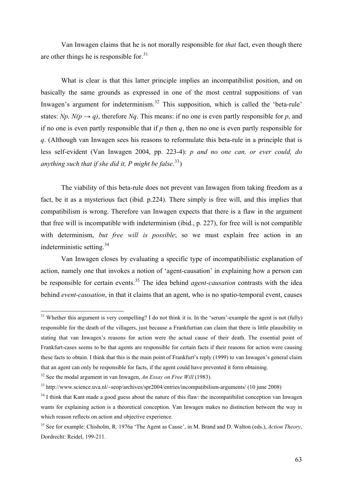Van Inwagen claims that he is not morally responsible for *that* fact, even though there are other things he is responsible for.  $31$ 

What is clear is that this latter principle implies an incompatibilist position, and on basically the same grounds as expressed in one of the most central suppositions of van Inwagen's argument for indeterminism.<sup>[32](#page-62-2)</sup> This supposition, which is called the 'beta-rule' states: *Np, N(p*  $\rightarrow$  *q)*, therefore *Nq*. This means: if no one is even partly responsible for *p*, and if no one is even partly responsible that if *p* then *q*, then no one is even partly responsible for *q*. (Although van Inwagen sees his reasons to reformulate this beta-rule in a principle that is less self-evident (Van Inwagen 2004, pp. 223-4): *p and no one can, or ever could, do anything such that if she did it, P might be false*. [33](#page-62-3))

The viability of this beta-rule does not prevent van Inwagen from taking freedom as a fact, be it as a mysterious fact (ibid. p.224). There simply is free will, and this implies that compatibilism is wrong. Therefore van Inwagen expects that there is a flaw in the argument that free will is incompatible with indeterminism (ibid., p. 227), for free will is not compatible with determinism, *but free will is possible*; so we must explain free action in an indeterministic setting.[34](#page-62-4)

Van Inwagen closes by evaluating a specific type of incompatibilistic explanation of action, namely one that invokes a notion of 'agent-causation' in explaining how a person can be responsible for certain events.[35](#page-62-0) The idea behind *agent-causation* contrasts with the idea behind *event-causation*, in that it claims that an agent, who is no spatio-temporal event, causes

<span id="page-62-1"></span> $31$  Whether this argument is very compelling? I do not think it is. In the 'serum'-example the agent is not (fully) responsible for the death of the villagers, just because a Frankfurtian can claim that there is little plausibility in stating that van Inwagen's reasons for action were the actual cause of their death. The essential point of Frankfurt-cases seems to be that agents are responsible for certain facts if their reasons for action were causing these facts to obtain. I think that this is the main point of Frankfurt's reply (1999) to van Inwagen's general claim that an agent can only be responsible for facts, if the agent could have prevented it form obtaining.

<span id="page-62-2"></span><sup>32</sup> See the modal argument in van Inwagen, *An Essay on Free Will* (1983).

<span id="page-62-3"></span><sup>33</sup> http://www.science.uva.nl/~seop/archives/spr2004/entries/incompatibilism-arguments/ (10 june 2008)

<span id="page-62-4"></span><sup>&</sup>lt;sup>34</sup> I think that Kant made a good guess about the nature of this flaw: the incompatibilist conception van Inwagen wants for explaining action is a theoretical conception. Van Inwagen makes no distinction between the way in which reason reflects on action and objective experience.

<span id="page-62-0"></span><sup>35</sup> See for example: Chisholm, R. 1976a 'The Agent as Cause', in M. Brand and D. Walton (eds.), *Action Theory*, Dordrecht: Reidel, 199-211.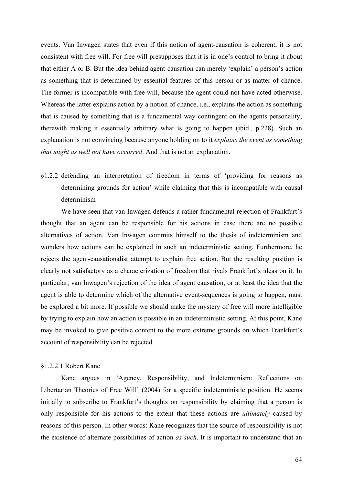events. Van Inwagen states that even if this notion of agent-causation is coherent, it is not consistent with free will. For free will presupposes that it is in one's control to bring it about that either A or B. But the idea behind agent-causation can merely 'explain' a person's action as something that is determined by essential features of this person or as matter of chance. The former is incompatible with free will, because the agent could not have acted otherwise. Whereas the latter explains action by a notion of chance, i.e., explains the action as something that is caused by something that is a fundamental way contingent on the agents personality; therewith making it essentially arbitrary what is going to happen (ibid., p.228). Such an explanation is not convincing because anyone holding on to it *explains the event as something that might as well not have occurred*. And that is not an explanation.

§1.2.2 defending an interpretation of freedom in terms of 'providing for reasons as determining grounds for action' while claiming that this is incompatible with causal determinism

 We have seen that van Inwagen defends a rather fundamental rejection of Frankfurt's thought that an agent can be responsible for his actions in case there are no possible alternatives of action. Van Inwagen commits himself to the thesis of indeterminism and wonders how actions can be explained in such an indeterministic setting. Furthermore, he rejects the agent-causationalist attempt to explain free action. But the resulting position is clearly not satisfactory as a characterization of freedom that rivals Frankfurt's ideas on it. In particular, van Inwagen's rejection of the idea of agent causation, or at least the idea that the agent is able to determine which of the alternative event-sequences is going to happen, must be explored a bit more. If possible we should make the mystery of free will more intelligible by trying to explain how an action is possible in an indeterministic setting. At this point, Kane may be invoked to give positive content to the more extreme grounds on which Frankfurt's account of responsibility can be rejected.

#### §1.2.2.1 Robert Kane

Kane argues in 'Agency, Responsibility, and Indeterminism: Reflections on Libertarian Theories of Free Will' (2004) for a specific indeterministic position. He seems initially to subscribe to Frankfurt's thoughts on responsibility by claiming that a person is only responsible for his actions to the extent that these actions are *ultimately* caused by reasons of this person. In other words: Kane recognizes that the source of responsibility is not the existence of alternate possibilities of action *as such*. It is important to understand that an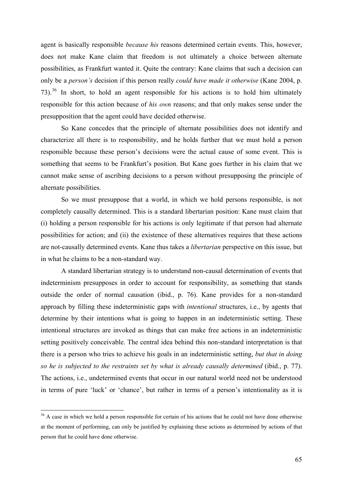agent is basically responsible *because his* reasons determined certain events. This, however, does not make Kane claim that freedom is not ultimately a choice between alternate possibilities, as Frankfurt wanted it. Quite the contrary: Kane claims that such a decision can only be a *person's* decision if this person really *could have made it otherwise* (Kane 2004, p. 73).[36](#page-64-0) In short, to hold an agent responsible for his actions is to hold him ultimately responsible for this action because of *his own* reasons; and that only makes sense under the presupposition that the agent could have decided otherwise.

So Kane concedes that the principle of alternate possibilities does not identify and characterize all there is to responsibility, and he holds further that we must hold a person responsible because these person's decisions were the actual cause of some event. This is something that seems to be Frankfurt's position. But Kane goes further in his claim that we cannot make sense of ascribing decisions to a person without presupposing the principle of alternate possibilities.

So we must presuppose that a world, in which we hold persons responsible, is not completely causally determined. This is a standard libertarian position: Kane must claim that (i) holding a person responsible for his actions is only legitimate if that person had alternate possibilities for action; and (ii) the existence of these alternatives requires that these actions are not-causally determined events. Kane thus takes a *libertarian* perspective on this issue, but in what he claims to be a non-standard way.

A standard libertarian strategy is to understand non-causal determination of events that indeterminism presupposes in order to account for responsibility, as something that stands outside the order of normal causation (ibid., p. 76). Kane provides for a non-standard approach by filling these indeterministic gaps with *intentional* structures, i.e., by agents that determine by their intentions what is going to happen in an indeterministic setting. These intentional structures are invoked as things that can make free actions in an indeterministic setting positively conceivable. The central idea behind this non-standard interpretation is that there is a person who tries to achieve his goals in an indeterministic setting, *but that in doing so he is subjected to the restraints set by what is already causally determined* (ibid., p. 77). The actions, i.e., undetermined events that occur in our natural world need not be understood in terms of pure 'luck' or 'chance', but rather in terms of a person's intentionality as it is

<span id="page-64-0"></span><sup>&</sup>lt;sup>36</sup> A case in which we hold a person responsible for certain of his actions that he could not have done otherwise at the moment of performing, can only be justified by explaining these actions as determined by actions of that person that he could have done otherwise.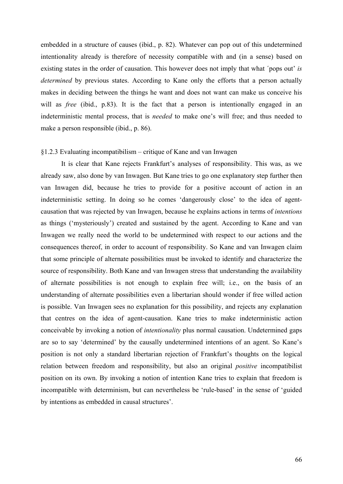embedded in a structure of causes (ibid., p. 82). Whatever can pop out of this undetermined intentionality already is therefore of necessity compatible with and (in a sense) based on existing states in the order of causation. This however does not imply that what ´pops out' *is determined* by previous states. According to Kane only the efforts that a person actually makes in deciding between the things he want and does not want can make us conceive his will as *free* (ibid., p.83). It is the fact that a person is intentionally engaged in an indeterministic mental process, that is *needed* to make one's will free; and thus needed to make a person responsible (ibid., p. 86).

### §1.2.3 Evaluating incompatibilism – critique of Kane and van Inwagen

 It is clear that Kane rejects Frankfurt's analyses of responsibility. This was, as we already saw, also done by van Inwagen. But Kane tries to go one explanatory step further then van Inwagen did, because he tries to provide for a positive account of action in an indeterministic setting. In doing so he comes 'dangerously close' to the idea of agentcausation that was rejected by van Inwagen, because he explains actions in terms of *intentions* as things ('mysteriously') created and sustained by the agent. According to Kane and van Inwagen we really need the world to be undetermined with respect to our actions and the consequences thereof, in order to account of responsibility. So Kane and van Inwagen claim that some principle of alternate possibilities must be invoked to identify and characterize the source of responsibility. Both Kane and van Inwagen stress that understanding the availability of alternate possibilities is not enough to explain free will; i.e., on the basis of an understanding of alternate possibilities even a libertarian should wonder if free willed action is possible. Van Inwagen sees no explanation for this possibility, and rejects any explanation that centres on the idea of agent-causation. Kane tries to make indeterministic action conceivable by invoking a notion of *intentionality* plus normal causation. Undetermined gaps are so to say 'determined' by the causally undetermined intentions of an agent. So Kane's position is not only a standard libertarian rejection of Frankfurt's thoughts on the logical relation between freedom and responsibility, but also an original *positive* incompatibilist position on its own. By invoking a notion of intention Kane tries to explain that freedom is incompatible with determinism, but can nevertheless be 'rule-based' in the sense of 'guided by intentions as embedded in causal structures'.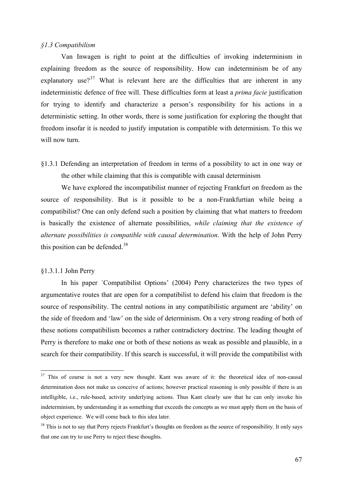### *§1.3 Compatibilism*

 Van Inwagen is right to point at the difficulties of invoking indeterminism in explaining freedom as the source of responsibility. How can indeterminism be of any explanatory use?<sup>[37](#page-66-1)</sup> What is relevant here are the difficulties that are inherent in any indeterministic defence of free will. These difficulties form at least a *prima facie* justification for trying to identify and characterize a person's responsibility for his actions in a deterministic setting. In other words, there is some justification for exploring the thought that freedom insofar it is needed to justify imputation is compatible with determinism. To this we will now turn.

§1.3.1 Defending an interpretation of freedom in terms of a possibility to act in one way or the other while claiming that this is compatible with causal determinism

We have explored the incompatibilist manner of rejecting Frankfurt on freedom as the source of responsibility. But is it possible to be a non-Frankfurtian while being a compatibilist? One can only defend such a position by claiming that what matters to freedom is basically the existence of alternate possibilities, *while claiming that the existence of alternate possibilities is compatible with causal determination*. With the help of John Perry this position can be defended.<sup>[38](#page-66-0)</sup>

# §1.3.1.1 John Perry

1

In his paper ´Compatibilist Options' (2004) Perry characterizes the two types of argumentative routes that are open for a compatibilist to defend his claim that freedom is the source of responsibility. The central notions in any compatibilistic argument are 'ability' on the side of freedom and 'law' on the side of determinism. On a very strong reading of both of these notions compatibilism becomes a rather contradictory doctrine. The leading thought of Perry is therefore to make one or both of these notions as weak as possible and plausible, in a search for their compatibility. If this search is successful, it will provide the compatibilist with

<span id="page-66-1"></span><sup>&</sup>lt;sup>37</sup> This of course is not a very new thought. Kant was aware of it: the theoretical idea of non-causal determination does not make us conceive of actions; however practical reasoning is only possible if there is an intelligible, i.e., rule-based, activity underlying actions. Thus Kant clearly saw that he can only invoke his indeterminism, by understanding it as something that exceeds the concepts as we must apply them on the basis of object experience. We will come back to this idea later.

<span id="page-66-0"></span><sup>&</sup>lt;sup>38</sup> This is not to say that Perry rejects Frankfurt's thoughts on freedom as the source of responsibility. It only says that one can try to use Perry to reject these thoughts.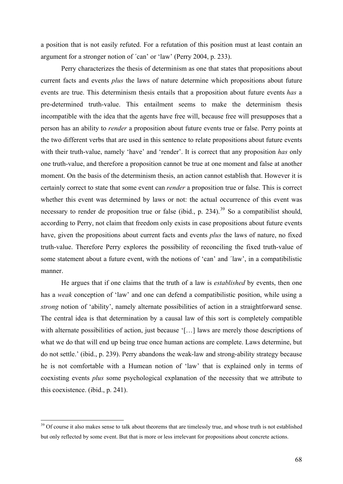a position that is not easily refuted. For a refutation of this position must at least contain an argument for a stronger notion of ´can' or 'law' (Perry 2004, p. 233).

Perry characterizes the thesis of determinism as one that states that propositions about current facts and events *plus* the laws of nature determine which propositions about future events are true. This determinism thesis entails that a proposition about future events *has* a pre-determined truth-value. This entailment seems to make the determinism thesis incompatible with the idea that the agents have free will, because free will presupposes that a person has an ability to *render* a proposition about future events true or false. Perry points at the two different verbs that are used in this sentence to relate propositions about future events with their truth-value, namely 'have' and 'render'. It is correct that any proposition *has* only one truth-value, and therefore a proposition cannot be true at one moment and false at another moment. On the basis of the determinism thesis, an action cannot establish that. However it is certainly correct to state that some event can *render* a proposition true or false. This is correct whether this event was determined by laws or not: the actual occurrence of this event was necessary to render de proposition true or false (ibid., p.  $234$ ).<sup>[39](#page-67-0)</sup> So a compatibilist should, according to Perry, not claim that freedom only exists in case propositions about future events have, given the propositions about current facts and events *plus* the laws of nature, no fixed truth-value. Therefore Perry explores the possibility of reconciling the fixed truth-value of some statement about a future event, with the notions of 'can' and ´law', in a compatibilistic manner.

He argues that if one claims that the truth of a law is *established* by events, then one has a *weak* conception of 'law' and one can defend a compatibilistic position, while using a *strong* notion of 'ability', namely alternate possibilities of action in a straightforward sense. The central idea is that determination by a causal law of this sort is completely compatible with alternate possibilities of action, just because '[...] laws are merely those descriptions of what we do that will end up being true once human actions are complete. Laws determine, but do not settle.' (ibid., p. 239). Perry abandons the weak-law and strong-ability strategy because he is not comfortable with a Humean notion of 'law' that is explained only in terms of coexisting events *plus* some psychological explanation of the necessity that we attribute to this coexistence. (ibid., p. 241).

<span id="page-67-0"></span><sup>&</sup>lt;sup>39</sup> Of course it also makes sense to talk about theorems that are timelessly true, and whose truth is not established but only reflected by some event. But that is more or less irrelevant for propositions about concrete actions.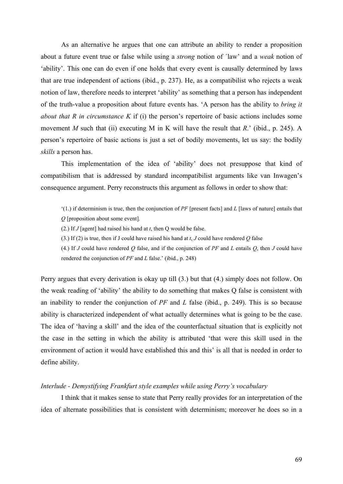As an alternative he argues that one can attribute an ability to render a proposition about a future event true or false while using a *strong* notion of ´law' and a *weak* notion of 'ability'. This one can do even if one holds that every event is causally determined by laws that are true independent of actions (ibid., p. 237). He, as a compatibilist who rejects a weak notion of law, therefore needs to interpret 'ability' as something that a person has independent of the truth-value a proposition about future events has. 'A person has the ability to *bring it about that R in circumstance K* if (i) the person's repertoire of basic actions includes some movement *M* such that (ii) executing M in K will have the result that *R*.' (ibid., p. 245). A person's repertoire of basic actions is just a set of bodily movements, let us say: the bodily *skills* a person has.

This implementation of the idea of 'ability' does not presuppose that kind of compatibilism that is addressed by standard incompatibilist arguments like van Inwagen's consequence argument. Perry reconstructs this argument as follows in order to show that:

- '(1.) if determinism is true, then the conjunction of *PF* [present facts] and *L* [laws of nature] entails that *Q* [proposition about some event].
- (2.) If *J* [agent] had raised his hand at *t*, then Q would be false.
- (3.) If (2) is true, then if J could have raised his hand at *t*, *J* could have rendered *Q* false

(4.) If *J* could have rendered *Q* false, and if the conjunction of *PF* and *L* entails *Q*, then *J* could have rendered the conjunction of *PF* and *L* false.' (ibid., p. 248)

Perry argues that every derivation is okay up till (3.) but that (4.) simply does not follow. On the weak reading of 'ability' the ability to do something that makes Q false is consistent with an inability to render the conjunction of *PF* and *L* false (ibid., p. 249). This is so because ability is characterized independent of what actually determines what is going to be the case. The idea of 'having a skill' and the idea of the counterfactual situation that is explicitly not the case in the setting in which the ability is attributed 'that were this skill used in the environment of action it would have established this and this' is all that is needed in order to define ability.

### *Interlude - Demystifying Frankfurt style examples while using Perry's vocabulary*

 I think that it makes sense to state that Perry really provides for an interpretation of the idea of alternate possibilities that is consistent with determinism; moreover he does so in a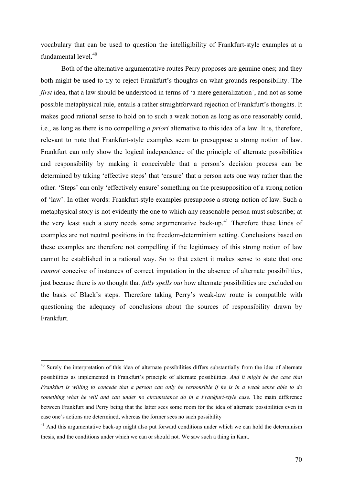vocabulary that can be used to question the intelligibility of Frankfurt-style examples at a fundamental level<sup>[40](#page-69-1)</sup>

Both of the alternative argumentative routes Perry proposes are genuine ones; and they both might be used to try to reject Frankfurt's thoughts on what grounds responsibility. The *first* idea, that a law should be understood in terms of 'a mere generalization´, and not as some possible metaphysical rule, entails a rather straightforward rejection of Frankfurt's thoughts. It makes good rational sense to hold on to such a weak notion as long as one reasonably could, i.e., as long as there is no compelling *a priori* alternative to this idea of a law. It is, therefore, relevant to note that Frankfurt-style examples seem to presuppose a strong notion of law. Frankfurt can only show the logical independence of the principle of alternate possibilities and responsibility by making it conceivable that a person's decision process can be determined by taking 'effective steps' that 'ensure' that a person acts one way rather than the other. 'Steps' can only 'effectively ensure' something on the presupposition of a strong notion of 'law'. In other words: Frankfurt-style examples presuppose a strong notion of law. Such a metaphysical story is not evidently the one to which any reasonable person must subscribe; at the very least such a story needs some argumentative back-up.<sup>[41](#page-69-0)</sup> Therefore these kinds of examples are not neutral positions in the freedom-determinism setting. Conclusions based on these examples are therefore not compelling if the legitimacy of this strong notion of law cannot be established in a rational way. So to that extent it makes sense to state that one *cannot* conceive of instances of correct imputation in the absence of alternate possibilities, just because there is *no* thought that *fully spells out* how alternate possibilities are excluded on the basis of Black's steps. Therefore taking Perry's weak-law route is compatible with questioning the adequacy of conclusions about the sources of responsibility drawn by Frankfurt.

<span id="page-69-1"></span><sup>&</sup>lt;sup>40</sup> Surely the interpretation of this idea of alternate possibilities differs substantially from the idea of alternate possibilities as implemented in Frankfurt's principle of alternate possibilities. *And it might be the case that Frankfurt is willing to concede that a person can only be responsible if he is in a weak sense able to do something what he will and can under no circumstance do in a Frankfurt-style case*. The main difference between Frankfurt and Perry being that the latter sees some room for the idea of alternate possibilities even in case one's actions are determined, whereas the former sees no such possibility

<span id="page-69-0"></span><sup>&</sup>lt;sup>41</sup> And this argumentative back-up might also put forward conditions under which we can hold the determinism thesis, and the conditions under which we can or should not. We saw such a thing in Kant.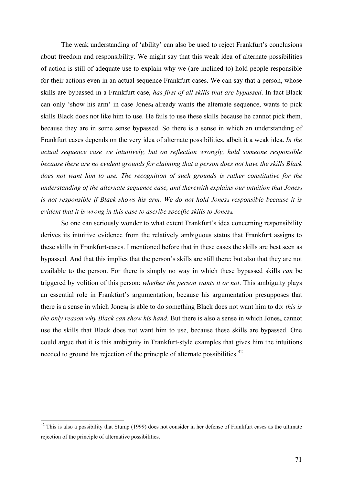The weak understanding of 'ability' can also be used to reject Frankfurt's conclusions about freedom and responsibility. We might say that this weak idea of alternate possibilities of action is still of adequate use to explain why we (are inclined to) hold people responsible for their actions even in an actual sequence Frankfurt-cases. We can say that a person, whose skills are bypassed in a Frankfurt case, *has first of all skills that are bypassed*. In fact Black can only 'show his arm' in case Jones<sub>4</sub> already wants the alternate sequence, wants to pick skills Black does not like him to use. He fails to use these skills because he cannot pick them, because they are in some sense bypassed. So there is a sense in which an understanding of Frankfurt cases depends on the very idea of alternate possibilities, albeit it a weak idea. *In the actual sequence case we intuitively, but on reflection wrongly, hold someone responsible because there are no evident grounds for claiming that a person does not have the skills Black does not want him to use. The recognition of such grounds is rather constitutive for the understanding of the alternate sequence case, and therewith explains our intuition that Jones4* is not responsible if Black shows his arm. We do not hold Jones<sub>4</sub> responsible because it is *evident that it is wrong in this case to ascribe specific skills to Jones4.*

 So one can seriously wonder to what extent Frankfurt's idea concerning responsibility derives its intuitive evidence from the relatively ambiguous status that Frankfurt assigns to these skills in Frankfurt-cases. I mentioned before that in these cases the skills are best seen as bypassed. And that this implies that the person's skills are still there; but also that they are not available to the person. For there is simply no way in which these bypassed skills *can* be triggered by volition of this person: *whether the person wants it or not*. This ambiguity plays an essential role in Frankfurt's argumentation; because his argumentation presupposes that there is a sense in which Jones<sub>4</sub> is able to do something Black does not want him to do: *this is the only reason why Black can show his hand.* But there is also a sense in which Jones<sub>4</sub> cannot use the skills that Black does not want him to use, because these skills are bypassed. One could argue that it is this ambiguity in Frankfurt-style examples that gives him the intuitions needed to ground his rejection of the principle of alternate possibilities.<sup>[42](#page-70-0)</sup>

<span id="page-70-0"></span> $42$  This is also a possibility that Stump (1999) does not consider in her defense of Frankfurt cases as the ultimate rejection of the principle of alternative possibilities.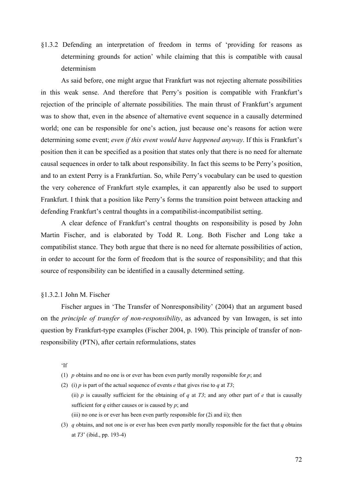§1.3.2 Defending an interpretation of freedom in terms of 'providing for reasons as determining grounds for action' while claiming that this is compatible with causal determinism

 As said before, one might argue that Frankfurt was not rejecting alternate possibilities in this weak sense. And therefore that Perry's position is compatible with Frankfurt's rejection of the principle of alternate possibilities. The main thrust of Frankfurt's argument was to show that, even in the absence of alternative event sequence in a causally determined world; one can be responsible for one's action, just because one's reasons for action were determining some event; *even if this event would have happened anyway*. If this is Frankfurt's position then it can be specified as a position that states only that there is no need for alternate causal sequences in order to talk about responsibility. In fact this seems to be Perry's position, and to an extent Perry is a Frankfurtian. So, while Perry's vocabulary can be used to question the very coherence of Frankfurt style examples, it can apparently also be used to support Frankfurt. I think that a position like Perry's forms the transition point between attacking and defending Frankfurt's central thoughts in a compatibilist-incompatibilist setting.

A clear defence of Frankfurt's central thoughts on responsibility is posed by John Martin Fischer, and is elaborated by Todd R. Long. Both Fischer and Long take a compatibilist stance. They both argue that there is no need for alternate possibilities of action, in order to account for the form of freedom that is the source of responsibility; and that this source of responsibility can be identified in a causally determined setting.

### §1.3.2.1 John M. Fischer

Fischer argues in 'The Transfer of Nonresponsibility' (2004) that an argument based on the *principle of transfer of non-responsibility*, as advanced by van Inwagen, is set into question by Frankfurt-type examples (Fischer 2004, p. 190). This principle of transfer of nonresponsibility (PTN), after certain reformulations, states

'If

- (1) *p* obtains and no one is or ever has been even partly morally responsible for *p*; and
- (2) (i) *p* is part of the actual sequence of events *e* that gives rise to *q* at *T3*; (ii) *p* is causally sufficient for the obtaining of *q* at *T3*; and any other part of *e* that is causally sufficient for *q* either causes or is caused by *p*; and (iii) no one is or ever has been even partly responsible for (2i and ii); then
- (3) *q* obtains, and not one is or ever has been even partly morally responsible for the fact that *q* obtains at *T3*' (ibid., pp. 193-4)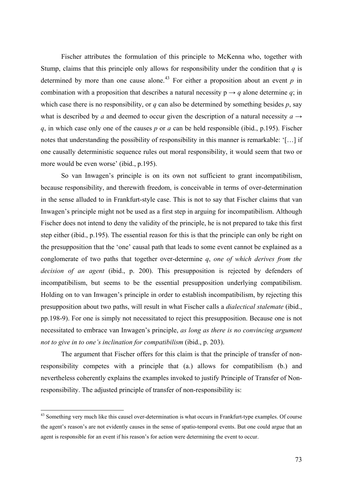Fischer attributes the formulation of this principle to McKenna who, together with Stump, claims that this principle only allows for responsibility under the condition that  $q$  is determined by more than one cause alone.<sup>[43](#page-72-0)</sup> For either a proposition about an event  $p$  in combination with a proposition that describes a natural necessity  $p \rightarrow q$  alone determine *q*; in which case there is no responsibility, or *q* can also be determined by something besides *p*, say what is described by *a* and deemed to occur given the description of a natural necessity  $a \rightarrow$ *q*, in which case only one of the causes *p* or *a* can be held responsible (ibid., p.195). Fischer notes that understanding the possibility of responsibility in this manner is remarkable: '[…] if one causally deterministic sequence rules out moral responsibility, it would seem that two or more would be even worse' (ibid., p.195).

So van Inwagen's principle is on its own not sufficient to grant incompatibilism, because responsibility, and therewith freedom, is conceivable in terms of over-determination in the sense alluded to in Frankfurt-style case. This is not to say that Fischer claims that van Inwagen's principle might not be used as a first step in arguing for incompatibilism. Although Fischer does not intend to deny the validity of the principle, he is not prepared to take this first step either (ibid., p.195). The essential reason for this is that the principle can only be right on the presupposition that the 'one' causal path that leads to some event cannot be explained as a conglomerate of two paths that together over-determine *q*, *one of which derives from the decision of an agent* (ibid., p. 200). This presupposition is rejected by defenders of incompatibilism, but seems to be the essential presupposition underlying compatibilism. Holding on to van Inwagen's principle in order to establish incompatibilism, by rejecting this presupposition about two paths, will result in what Fischer calls a *dialectical stalemate* (ibid., pp.198-9). For one is simply not necessitated to reject this presupposition. Because one is not necessitated to embrace van Inwagen's principle, *as long as there is no convincing argument not to give in to one's inclination for compatibilism* (ibid., p. 203).

The argument that Fischer offers for this claim is that the principle of transfer of nonresponsibility competes with a principle that (a.) allows for compatibilism (b.) and nevertheless coherently explains the examples invoked to justify Principle of Transfer of Nonresponsibility. The adjusted principle of transfer of non-responsibility is:

1

<span id="page-72-0"></span><sup>&</sup>lt;sup>43</sup> Something very much like this causel over-determination is what occurs in Frankfurt-type examples. Of course the agent's reason's are not evidently causes in the sense of spatio-temporal events. But one could argue that an agent is responsible for an event if his reason's for action were determining the event to occur.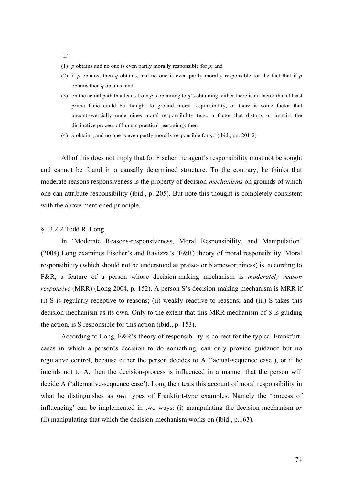- 'If
- (1) *p* obtains and no one is even partly morally responsible for *p*; and
- (2) if *p* obtains, then *q* obtains, and no one is even partly morally responsible for the fact that if *p* obtains then *q* obtains; and
- (3) on the actual path that leads from *p*'s obtaining to *q*'s obtaining, either there is no factor that at least prima facie could be thought to ground moral responsibility, or there is some factor that uncontroversially undermines moral responsibility (e.g., a factor that distorts or impairs the distinctive process of human practical reasoning); then
- (4) *q* obtains, and no one is even partly morally responsible for *q*.' (ibid., pp. 201-2)

All of this does not imply that for Fischer the agent's responsibility must not be sought and cannot be found in a causally determined structure. To the contrary, he thinks that moderate reasons responsiveness is the property of decision-*mechanisms* on grounds of which one can attribute responsibility (ibid., p. 205). But note this thought is completely consistent with the above mentioned principle.

# §1.3.2.2 Todd R. Long

In 'Moderate Reasons-responsiveness, Moral Responsibility, and Manipulation' (2004) Long examines Fischer's and Ravizza's (F&R) theory of moral responsibility. Moral responsibility (which should not be understood as praise- or blameworthiness) is, according to F&R, a feature of a person whose decision-making mechanism is *moderately reason responsive* (MRR) (Long 2004, p. 152). A person S's decision-making mechanism is MRR if (i) S is regularly receptive to reasons; (ii) weakly reactive to reasons; and (iii) S takes this decision mechanism as its own. Only to the extent that this MRR mechanism of S is guiding the action, is S responsible for this action (ibid., p. 153).

According to Long, F&R's theory of responsibility is correct for the typical Frankfurtcases in which a person's decision to do something, can only provide guidance but no regulative control, because either the person decides to A ('actual-sequence case'), or if he intends not to A, then the decision-process is influenced in a manner that the person will decide A ('alternative-sequence case'). Long then tests this account of moral responsibility in what he distinguishes as *two* types of Frankfurt-type examples. Namely the 'process of influencing' can be implemented in two ways: (i) manipulating the decision-mechanism *or* (ii) manipulating that which the decision-mechanism works on (ibid., p.163).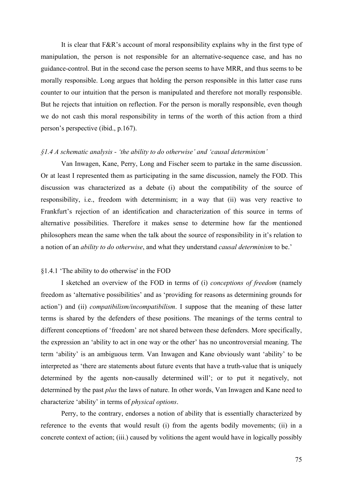It is clear that F&R's account of moral responsibility explains why in the first type of manipulation, the person is not responsible for an alternative-sequence case, and has no guidance-control. But in the second case the person seems to have MRR, and thus seems to be morally responsible. Long argues that holding the person responsible in this latter case runs counter to our intuition that the person is manipulated and therefore not morally responsible. But he rejects that intuition on reflection. For the person is morally responsible, even though we do not cash this moral responsibility in terms of the worth of this action from a third person's perspective (ibid., p.167).

### *§1.4 A schematic analysis - 'the ability to do otherwise' and 'causal determinism'*

 Van Inwagen, Kane, Perry, Long and Fischer seem to partake in the same discussion. Or at least I represented them as participating in the same discussion, namely the FOD. This discussion was characterized as a debate (i) about the compatibility of the source of responsibility, i.e., freedom with determinism; in a way that (ii) was very reactive to Frankfurt's rejection of an identification and characterization of this source in terms of alternative possibilities. Therefore it makes sense to determine how far the mentioned philosophers mean the same when the talk about the source of responsibility in it's relation to a notion of an *ability to do otherwise*, and what they understand *causal determinism* to be.'

# §1.4.1 'The ability to do otherwise' in the FOD

 I sketched an overview of the FOD in terms of (i) *conceptions of freedom* (namely freedom as 'alternative possibilities' and as 'providing for reasons as determining grounds for action') and (ii) *compatibilism/incompatibilism*. I suppose that the meaning of these latter terms is shared by the defenders of these positions. The meanings of the terms central to different conceptions of 'freedom' are not shared between these defenders. More specifically, the expression an 'ability to act in one way or the other' has no uncontroversial meaning. The term 'ability' is an ambiguous term. Van Inwagen and Kane obviously want 'ability' to be interpreted as 'there are statements about future events that have a truth-value that is uniquely determined by the agents non-causally determined will'; or to put it negatively, not determined by the past *plus* the laws of nature. In other words, Van Inwagen and Kane need to characterize 'ability' in terms of *physical options*.

Perry, to the contrary, endorses a notion of ability that is essentially characterized by reference to the events that would result (i) from the agents bodily movements; (ii) in a concrete context of action; (iii.) caused by volitions the agent would have in logically possibly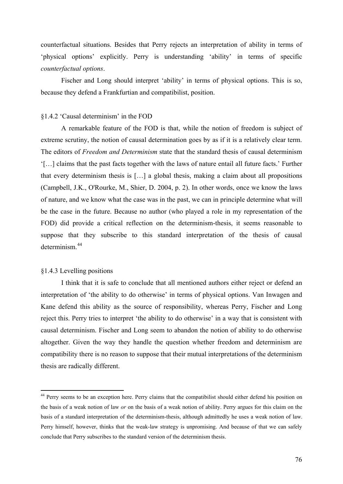counterfactual situations. Besides that Perry rejects an interpretation of ability in terms of 'physical options' explicitly. Perry is understanding 'ability' in terms of specific *counterfactual options*.

Fischer and Long should interpret 'ability' in terms of physical options. This is so, because they defend a Frankfurtian and compatibilist, position.

## §1.4.2 'Causal determinism' in the FOD

 A remarkable feature of the FOD is that, while the notion of freedom is subject of extreme scrutiny, the notion of causal determination goes by as if it is a relatively clear term. The editors of *Freedom and Determinism* state that the standard thesis of causal determinism '[…] claims that the past facts together with the laws of nature entail all future facts.' Further that every determinism thesis is […] a global thesis, making a claim about all propositions (Campbell, J.K., [O'Rourke,](http://www.amazon.com/exec/obidos/search-handle-url/103-6947731-8592614?%5Fencoding=UTF8&search-type=ss&index=books&field-author=Michael%20O%27Rourke) M., [Shier,](http://www.amazon.com/exec/obidos/search-handle-url/103-6947731-8592614?%5Fencoding=UTF8&search-type=ss&index=books&field-author=David%20Shier) D. 2004, p. 2). In other words, once we know the laws of nature, and we know what the case was in the past, we can in principle determine what will be the case in the future. Because no author (who played a role in my representation of the FOD) did provide a critical reflection on the determinism-thesis, it seems reasonable to suppose that they subscribe to this standard interpretation of the thesis of causal determinism.[44](#page-75-0)

### §1.4.3 Levelling positions

1

 I think that it is safe to conclude that all mentioned authors either reject or defend an interpretation of 'the ability to do otherwise' in terms of physical options. Van Inwagen and Kane defend this ability as the source of responsibility, whereas Perry, Fischer and Long reject this. Perry tries to interpret 'the ability to do otherwise' in a way that is consistent with causal determinism. Fischer and Long seem to abandon the notion of ability to do otherwise altogether. Given the way they handle the question whether freedom and determinism are compatibility there is no reason to suppose that their mutual interpretations of the determinism thesis are radically different.

<span id="page-75-0"></span><sup>&</sup>lt;sup>44</sup> Perry seems to be an exception here. Perry claims that the compatibilist should either defend his position on the basis of a weak notion of law *or* on the basis of a weak notion of ability. Perry argues for this claim on the basis of a standard interpretation of the determinism-thesis, although admittedly he uses a weak notion of law. Perry himself, however, thinks that the weak-law strategy is unpromising. And because of that we can safely conclude that Perry subscribes to the standard version of the determinism thesis.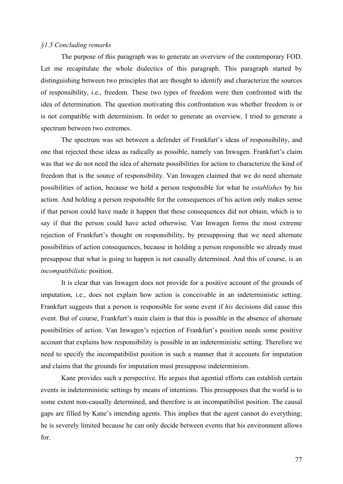## *§1.5 Concluding remarks*

The purpose of this paragraph was to generate an overview of the contemporary FOD. Let me recapitulate the whole dialectics of this paragraph. This paragraph started by distinguishing between two principles that are thought to identify and characterize the sources of responsibility, i.e., freedom. These two types of freedom were then confronted with the idea of determination. The question motivating this confrontation was whether freedom is or is not compatible with determinism. In order to generate an overview, I tried to generate a spectrum between two extremes.

The spectrum was set between a defender of Frankfurt's ideas of responsibility, and one that rejected these ideas as radically as possible, namely van Inwagen. Frankfurt's claim was that we do not need the idea of alternate possibilities for action to characterize the kind of freedom that is the source of responsibility. Van Inwagen claimed that we do need alternate possibilities of action, because we hold a person responsible for what he *establishes* by his action. And holding a person responsible for the consequences of his action only makes sense if that person could have made it happen that these consequences did not obtain, which is to say if that the person could have acted otherwise. Van Inwagen forms the most extreme rejection of Frankfurt's thought on responsibility, by presupposing that we need alternate possibilities of action consequences, because in holding a person responsible we already must presuppose that what is going to happen is not causally determined. And this of course, is an *incompatibilistic* position.

It is clear that van Inwagen does not provide for a positive account of the grounds of imputation, i.e., does not explain how action is conceivable in an indeterministic setting. Frankfurt suggests that a person is responsible for some event if *his* decisions did cause this event. But of course, Frankfurt's main claim is that this is possible in the absence of alternate possibilities of action. Van Inwagen's rejection of Frankfurt's position needs some positive account that explains how responsibility is possible in an indeterministic setting. Therefore we need to specify the incompatibilist position in such a manner that it accounts for imputation and claims that the grounds for imputation must presuppose indeterminism.

Kane provides such a perspective. He argues that agential efforts can establish certain events in indeterministic settings by means of intentions. This presupposes that the world is to some extent non-causally determined, and therefore is an incompatibilist position. The causal gaps are filled by Kane's intending agents. This implies that the agent cannot do everything; he is severely limited because he can only decide between events that his environment allows for.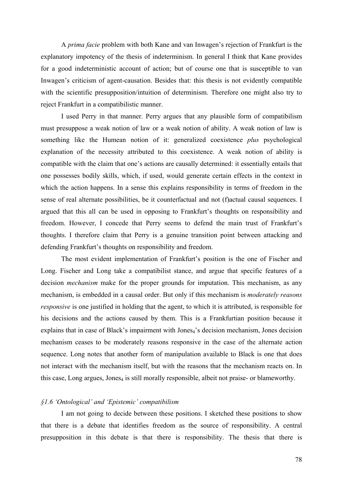A *prima facie* problem with both Kane and van Inwagen's rejection of Frankfurt is the explanatory impotency of the thesis of indeterminism. In general I think that Kane provides for a good indeterministic account of action; but of course one that is susceptible to van Inwagen's criticism of agent-causation. Besides that: this thesis is not evidently compatible with the scientific presupposition/intuition of determinism. Therefore one might also try to reject Frankfurt in a compatibilistic manner.

 I used Perry in that manner. Perry argues that any plausible form of compatibilism must presuppose a weak notion of law or a weak notion of ability. A weak notion of law is something like the Humean notion of it: generalized coexistence *plus* psychological explanation of the necessity attributed to this coexistence. A weak notion of ability is compatible with the claim that one's actions are causally determined: it essentially entails that one possesses bodily skills, which, if used, would generate certain effects in the context in which the action happens. In a sense this explains responsibility in terms of freedom in the sense of real alternate possibilities, be it counterfactual and not (f)actual causal sequences. I argued that this all can be used in opposing to Frankfurt's thoughts on responsibility and freedom. However, I concede that Perry seems to defend the main trust of Frankfurt's thoughts. I therefore claim that Perry is a genuine transition point between attacking and defending Frankfurt's thoughts on responsibility and freedom.

The most evident implementation of Frankfurt's position is the one of Fischer and Long. Fischer and Long take a compatibilist stance, and argue that specific features of a decision *mechanism* make for the proper grounds for imputation. This mechanism, as any mechanism, is embedded in a causal order. But only if this mechanism is *moderately reasons responsive* is one justified in holding that the agent, to which it is attributed, is responsible for his decisions and the actions caused by them. This is a Frankfurtian position because it explains that in case of Black's impairment with Jones<sub>4</sub>'s decision mechanism, Jones decision mechanism ceases to be moderately reasons responsive in the case of the alternate action sequence. Long notes that another form of manipulation available to Black is one that does not interact with the mechanism itself, but with the reasons that the mechanism reacts on. In this case, Long argues, Jones<sub>4</sub> is still morally responsible, albeit not praise- or blameworthy.

### *§1.6 'Ontological' and 'Epistemic' compatibilism*

I am not going to decide between these positions. I sketched these positions to show that there is a debate that identifies freedom as the source of responsibility. A central presupposition in this debate is that there is responsibility. The thesis that there is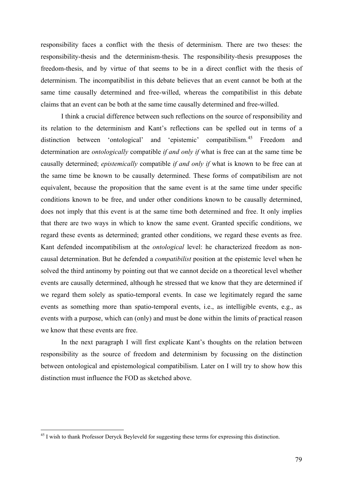responsibility faces a conflict with the thesis of determinism. There are two theses: the responsibility-thesis and the determinism-thesis. The responsibility-thesis presupposes the freedom-thesis, and by virtue of that seems to be in a direct conflict with the thesis of determinism. The incompatibilist in this debate believes that an event cannot be both at the same time causally determined and free-willed, whereas the compatibilist in this debate claims that an event can be both at the same time causally determined and free-willed.

I think a crucial difference between such reflections on the source of responsibility and its relation to the determinism and Kant's reflections can be spelled out in terms of a distinction between 'ontological' and 'epistemic' compatibilism.<sup>[45](#page-78-0)</sup> Freedom and determination are *ontologically* compatible *if and only if* what is free can at the same time be causally determined; *epistemically* compatible *if and only if* what is known to be free can at the same time be known to be causally determined. These forms of compatibilism are not equivalent, because the proposition that the same event is at the same time under specific conditions known to be free, and under other conditions known to be causally determined, does not imply that this event is at the same time both determined and free. It only implies that there are two ways in which to know the same event. Granted specific conditions, we regard these events as determined; granted other conditions, we regard these events as free. Kant defended incompatibilism at the *ontological* level: he characterized freedom as noncausal determination. But he defended a *compatibilist* position at the epistemic level when he solved the third antinomy by pointing out that we cannot decide on a theoretical level whether events are causally determined, although he stressed that we know that they are determined if we regard them solely as spatio-temporal events. In case we legitimately regard the same events as something more than spatio-temporal events, i.e., as intelligible events, e.g., as events with a purpose, which can (only) and must be done within the limits of practical reason we know that these events are free.

In the next paragraph I will first explicate Kant's thoughts on the relation between responsibility as the source of freedom and determinism by focussing on the distinction between ontological and epistemological compatibilism. Later on I will try to show how this distinction must influence the FOD as sketched above.

1

<span id="page-78-0"></span><sup>&</sup>lt;sup>45</sup> I wish to thank Professor Deryck Beyleveld for suggesting these terms for expressing this distinction.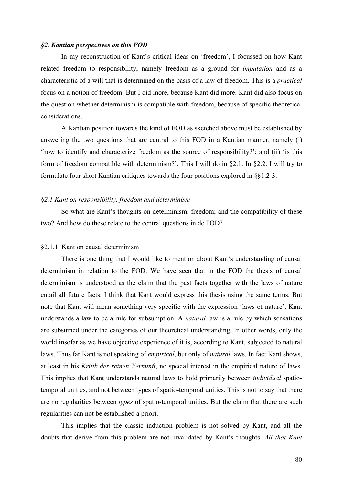### *§2. Kantian perspectives on this FOD*

 In my reconstruction of Kant's critical ideas on 'freedom', I focussed on how Kant related freedom to responsibility, namely freedom as a ground for *imputation* and as a characteristic of a will that is determined on the basis of a law of freedom. This is a *practical*  focus on a notion of freedom. But I did more, because Kant did more. Kant did also focus on the question whether determinism is compatible with freedom, because of specific theoretical considerations.

A Kantian position towards the kind of FOD as sketched above must be established by answering the two questions that are central to this FOD in a Kantian manner, namely (i) 'how to identify and characterize freedom as the source of responsibility?'; and (ii) 'is this form of freedom compatible with determinism?'. This I will do in §2.1. In §2.2. I will try to formulate four short Kantian critiques towards the four positions explored in §§1.2-3.

# *§2.1 Kant on responsibility, freedom and determinism*

 So what are Kant's thoughts on determinism, freedom; and the compatibility of these two? And how do these relate to the central questions in de FOD?

#### §2.1.1. Kant on causal determinism

There is one thing that I would like to mention about Kant's understanding of causal determinism in relation to the FOD. We have seen that in the FOD the thesis of causal determinism is understood as the claim that the past facts together with the laws of nature entail all future facts. I think that Kant would express this thesis using the same terms. But note that Kant will mean something very specific with the expression 'laws of nature'. Kant understands a law to be a rule for subsumption. A *natural* law is a rule by which sensations are subsumed under the categories of our theoretical understanding. In other words, only the world insofar as we have objective experience of it is, according to Kant, subjected to natural laws. Thus far Kant is not speaking of *empirical*, but only of *natural* laws. In fact Kant shows, at least in his *Kritik der reinen Vernunft*, no special interest in the empirical nature of laws. This implies that Kant understands natural laws to hold primarily between *individual* spatiotemporal unities, and not between types of spatio-temporal unities. This is not to say that there are no regularities between *types* of spatio-temporal unities. But the claim that there are such regularities can not be established a priori.

This implies that the classic induction problem is not solved by Kant, and all the doubts that derive from this problem are not invalidated by Kant's thoughts. *All that Kant*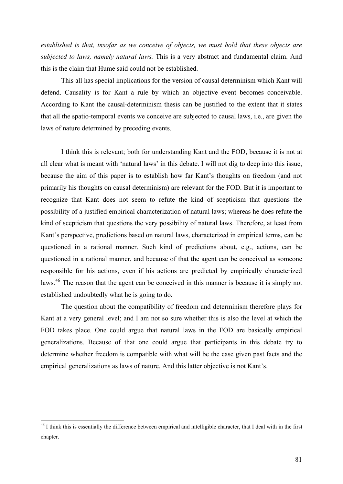*established is that, insofar as we conceive of objects, we must hold that these objects are subjected to laws, namely natural laws.* This is a very abstract and fundamental claim. And this is the claim that Hume said could not be established.

 This all has special implications for the version of causal determinism which Kant will defend. Causality is for Kant a rule by which an objective event becomes conceivable. According to Kant the causal-determinism thesis can be justified to the extent that it states that all the spatio-temporal events we conceive are subjected to causal laws, i.e., are given the laws of nature determined by preceding events.

I think this is relevant; both for understanding Kant and the FOD, because it is not at all clear what is meant with 'natural laws' in this debate. I will not dig to deep into this issue, because the aim of this paper is to establish how far Kant's thoughts on freedom (and not primarily his thoughts on causal determinism) are relevant for the FOD. But it is important to recognize that Kant does not seem to refute the kind of scepticism that questions the possibility of a justified empirical characterization of natural laws; whereas he does refute the kind of scepticism that questions the very possibility of natural laws. Therefore, at least from Kant's perspective, predictions based on natural laws, characterized in empirical terms, can be questioned in a rational manner. Such kind of predictions about, e.g., actions, can be questioned in a rational manner, and because of that the agent can be conceived as someone responsible for his actions, even if his actions are predicted by empirically characterized laws.[46](#page-80-0) The reason that the agent can be conceived in this manner is because it is simply not established undoubtedly what he is going to do.

The question about the compatibility of freedom and determinism therefore plays for Kant at a very general level; and I am not so sure whether this is also the level at which the FOD takes place. One could argue that natural laws in the FOD are basically empirical generalizations. Because of that one could argue that participants in this debate try to determine whether freedom is compatible with what will be the case given past facts and the empirical generalizations as laws of nature. And this latter objective is not Kant's.

1

<span id="page-80-0"></span> $46$  I think this is essentially the difference between empirical and intelligible character, that I deal with in the first chapter.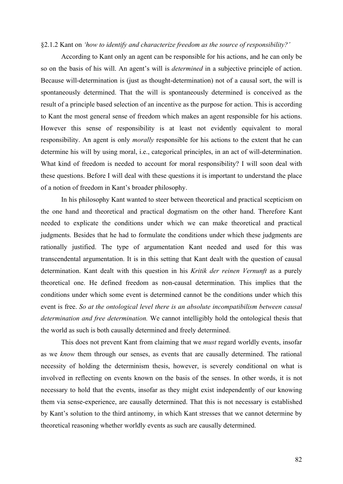#### §2.1.2 Kant on *'how to identify and characterize freedom as the source of responsibility?'*

According to Kant only an agent can be responsible for his actions, and he can only be so on the basis of his will. An agent's will is *determined* in a subjective principle of action. Because will-determination is (just as thought-determination) not of a causal sort, the will is spontaneously determined. That the will is spontaneously determined is conceived as the result of a principle based selection of an incentive as the purpose for action. This is according to Kant the most general sense of freedom which makes an agent responsible for his actions. However this sense of responsibility is at least not evidently equivalent to moral responsibility. An agent is only *morally* responsible for his actions to the extent that he can determine his will by using moral, i.e., categorical principles, in an act of will-determination. What kind of freedom is needed to account for moral responsibility? I will soon deal with these questions. Before I will deal with these questions it is important to understand the place of a notion of freedom in Kant's broader philosophy.

In his philosophy Kant wanted to steer between theoretical and practical scepticism on the one hand and theoretical and practical dogmatism on the other hand. Therefore Kant needed to explicate the conditions under which we can make theoretical and practical judgments. Besides that he had to formulate the conditions under which these judgments are rationally justified. The type of argumentation Kant needed and used for this was transcendental argumentation. It is in this setting that Kant dealt with the question of causal determination. Kant dealt with this question in his *Kritik der reinen Vernunft* as a purely theoretical one. He defined freedom as non-causal determination. This implies that the conditions under which some event is determined cannot be the conditions under which this event is free. *So at the ontological level there is an absolute incompatibilism between causal determination and free determination.* We cannot intelligibly hold the ontological thesis that the world as such is both causally determined and freely determined.

This does not prevent Kant from claiming that we *must* regard worldly events, insofar as we *know* them through our senses, as events that are causally determined. The rational necessity of holding the determinism thesis, however, is severely conditional on what is involved in reflecting on events known on the basis of the senses. In other words, it is not necessary to hold that the events, insofar as they might exist independently of our knowing them via sense-experience, are causally determined. That this is not necessary is established by Kant's solution to the third antinomy, in which Kant stresses that we cannot determine by theoretical reasoning whether worldly events as such are causally determined.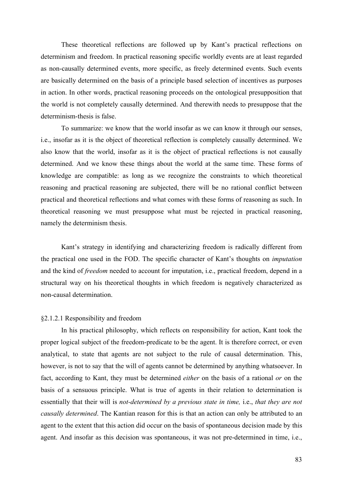These theoretical reflections are followed up by Kant's practical reflections on determinism and freedom. In practical reasoning specific worldly events are at least regarded as non-causally determined events, more specific, as freely determined events. Such events are basically determined on the basis of a principle based selection of incentives as purposes in action. In other words, practical reasoning proceeds on the ontological presupposition that the world is not completely causally determined. And therewith needs to presuppose that the determinism-thesis is false.

To summarize: we know that the world insofar as we can know it through our senses, i.e., insofar as it is the object of theoretical reflection is completely causally determined. We also know that the world, insofar as it is the object of practical reflections is not causally determined. And we know these things about the world at the same time. These forms of knowledge are compatible: as long as we recognize the constraints to which theoretical reasoning and practical reasoning are subjected, there will be no rational conflict between practical and theoretical reflections and what comes with these forms of reasoning as such. In theoretical reasoning we must presuppose what must be rejected in practical reasoning, namely the determinism thesis.

Kant's strategy in identifying and characterizing freedom is radically different from the practical one used in the FOD. The specific character of Kant's thoughts on *imputation* and the kind of *freedom* needed to account for imputation, i.e., practical freedom, depend in a structural way on his theoretical thoughts in which freedom is negatively characterized as non-causal determination.

### §2.1.2.1 Responsibility and freedom

In his practical philosophy, which reflects on responsibility for action, Kant took the proper logical subject of the freedom-predicate to be the agent. It is therefore correct, or even analytical, to state that agents are not subject to the rule of causal determination. This, however, is not to say that the will of agents cannot be determined by anything whatsoever. In fact, according to Kant, they must be determined *either* on the basis of a rational *or* on the basis of a sensuous principle. What is true of agents in their relation to determination is essentially that their will is *not-determined by a previous state in time,* i.e., *that they are not causally determined*. The Kantian reason for this is that an action can only be attributed to an agent to the extent that this action did occur on the basis of spontaneous decision made by this agent. And insofar as this decision was spontaneous, it was not pre-determined in time, i.e.,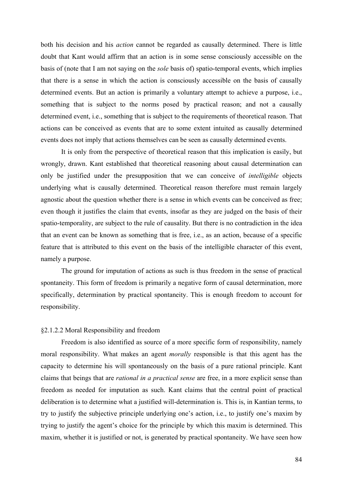both his decision and his *action* cannot be regarded as causally determined. There is little doubt that Kant would affirm that an action is in some sense consciously accessible on the basis of (note that I am not saying on the *sole* basis of) spatio-temporal events, which implies that there is a sense in which the action is consciously accessible on the basis of causally determined events. But an action is primarily a voluntary attempt to achieve a purpose, i.e., something that is subject to the norms posed by practical reason; and not a causally determined event, i.e., something that is subject to the requirements of theoretical reason. That actions can be conceived as events that are to some extent intuited as causally determined events does not imply that actions themselves can be seen as causally determined events.

It is only from the perspective of theoretical reason that this implication is easily, but wrongly, drawn. Kant established that theoretical reasoning about causal determination can only be justified under the presupposition that we can conceive of *intelligible* objects underlying what is causally determined. Theoretical reason therefore must remain largely agnostic about the question whether there is a sense in which events can be conceived as free; even though it justifies the claim that events, insofar as they are judged on the basis of their spatio-temporality, are subject to the rule of causality. But there is no contradiction in the idea that an event can be known as something that is free, i.e., as an action, because of a specific feature that is attributed to this event on the basis of the intelligible character of this event, namely a purpose.

The ground for imputation of actions as such is thus freedom in the sense of practical spontaneity. This form of freedom is primarily a negative form of causal determination, more specifically, determination by practical spontaneity. This is enough freedom to account for responsibility.

## §2.1.2.2 Moral Responsibility and freedom

Freedom is also identified as source of a more specific form of responsibility, namely moral responsibility. What makes an agent *morally* responsible is that this agent has the capacity to determine his will spontaneously on the basis of a pure rational principle. Kant claims that beings that are *rational in a practical sense* are free, in a more explicit sense than freedom as needed for imputation as such. Kant claims that the central point of practical deliberation is to determine what a justified will-determination is. This is, in Kantian terms, to try to justify the subjective principle underlying one's action, i.e., to justify one's maxim by trying to justify the agent's choice for the principle by which this maxim is determined. This maxim, whether it is justified or not, is generated by practical spontaneity. We have seen how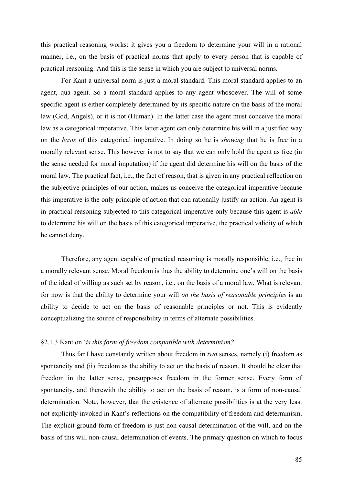this practical reasoning works: it gives you a freedom to determine your will in a rational manner, i.e., on the basis of practical norms that apply to every person that is capable of practical reasoning. And this is the sense in which you are subject to universal norms.

For Kant a universal norm is just a moral standard. This moral standard applies to an agent, qua agent. So a moral standard applies to any agent whosoever. The will of some specific agent is either completely determined by its specific nature on the basis of the moral law (God, Angels), or it is not (Human). In the latter case the agent must conceive the moral law as a categorical imperative. This latter agent can only determine his will in a justified way on the *basis* of this categorical imperative. In doing so he is *showing* that he is free in a morally relevant sense. This however is not to say that we can only hold the agent as free (in the sense needed for moral imputation) if the agent did determine his will on the basis of the moral law. The practical fact, i.e., the fact of reason, that is given in any practical reflection on the subjective principles of our action, makes us conceive the categorical imperative because this imperative is the only principle of action that can rationally justify an action. An agent is in practical reasoning subjected to this categorical imperative only because this agent is *able* to determine his will on the basis of this categorical imperative, the practical validity of which he cannot deny.

Therefore, any agent capable of practical reasoning is morally responsible, i.e., free in a morally relevant sense. Moral freedom is thus the ability to determine one's will on the basis of the ideal of willing as such set by reason, i.e., on the basis of a moral law. What is relevant for now is that the ability to determine your will *on the basis of reasonable principles* is an ability to decide to act on the basis of reasonable principles or not. This is evidently conceptualizing the source of responsibility in terms of alternate possibilities.

### §2.1.3 Kant on '*is this form of freedom compatible with determinism?'*

Thus far I have constantly written about freedom in *two* senses, namely (i) freedom as spontaneity and (ii) freedom as the ability to act on the basis of reason. It should be clear that freedom in the latter sense, presupposes freedom in the former sense. Every form of spontaneity, and therewith the ability to act on the basis of reason, is a form of non-causal determination. Note, however, that the existence of alternate possibilities is at the very least not explicitly invoked in Kant's reflections on the compatibility of freedom and determinism. The explicit ground-form of freedom is just non-causal determination of the will, and on the basis of this will non-causal determination of events. The primary question on which to focus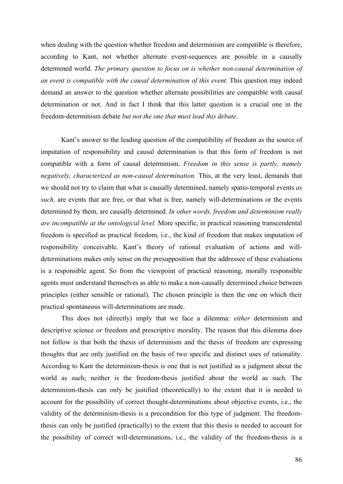when dealing with the question whether freedom and determinism are compatible is therefore, according to Kant, not whether alternate event-sequences are possible in a causally determined world. *The primary question to focus on is whether non-causal determination of an event is compatible with the causal determination of this event.* This question may indeed demand an answer to the question whether alternate possibilities are compatible with causal determination or not. And in fact I think that this latter question is a crucial one in the freedom-determinism debate *but not the one that must lead this debate*.

Kant's answer to the leading question of the compatibility of freedom as the source of imputation of responsibility and causal determination is that this form of freedom is not compatible with a form of causal determinism. *Freedom in this sense is partly, namely negatively, characterized as non-causal determination.* This, at the very least, demands that we should not try to claim that what is causally determined, namely spatio-temporal events *as such,* are events that are free, or that what is free, namely will-determinations or the events determined by them, are causally determined. *In other words, freedom and determinism really are incompatible at the ontological level.* More specific, in practical reasoning transcendental freedom is specified as practical freedom, i.e., the kind of freedom that makes imputation of responsibility conceivable. Kant's theory of rational evaluation of actions and willdeterminations makes only sense on the presupposition that the addressee of these evaluations is a responsible agent. So from the viewpoint of practical reasoning, morally responsible agents must understand themselves as able to make a non-causally determined choice between principles (either sensible or rational). The chosen principle is then the one on which their practical spontaneous will-determinations are made.

This does not (directly) imply that we face a dilemma: *either* determinism and descriptive science *or* freedom and prescriptive morality. The reason that this dilemma does not follow is that both the thesis of determinism and the thesis of freedom are expressing thoughts that are only justified on the basis of two specific and distinct uses of rationality. According to Kant the determinism-thesis is one that is not justified as a judgment about the world as such; neither is the freedom-thesis justified about the world as such. The determinism-thesis can only be justified (theoretically) to the extent that it is needed to account for the possibility of correct thought-determinations about objective events, i.e., the validity of the determinism-thesis is a precondition for this type of judgment. The freedomthesis can only be justified (practically) to the extent that this thesis is needed to account for the possibility of correct will-determinations, i.e., the validity of the freedom-thesis is a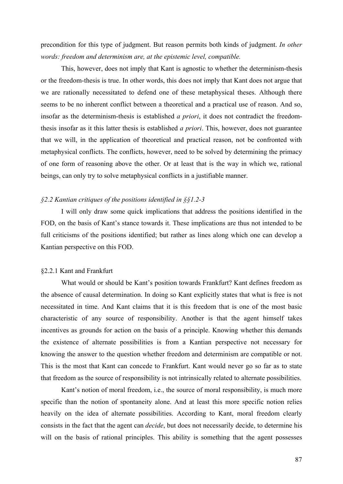precondition for this type of judgment. But reason permits both kinds of judgment. *In other words: freedom and determinism are, at the epistemic level, compatible.*

This, however, does not imply that Kant is agnostic to whether the determinism-thesis or the freedom-thesis is true. In other words, this does not imply that Kant does not argue that we are rationally necessitated to defend one of these metaphysical theses. Although there seems to be no inherent conflict between a theoretical and a practical use of reason. And so, insofar as the determinism-thesis is established *a priori*, it does not contradict the freedomthesis insofar as it this latter thesis is established *a priori*. This, however, does not guarantee that we will, in the application of theoretical and practical reason, not be confronted with metaphysical conflicts. The conflicts, however, need to be solved by determining the primacy of one form of reasoning above the other. Or at least that is the way in which we, rational beings, can only try to solve metaphysical conflicts in a justifiable manner.

# *§2.2 Kantian critiques of the positions identified in §§1.2-3*

I will only draw some quick implications that address the positions identified in the FOD, on the basis of Kant's stance towards it. These implications are thus not intended to be full criticisms of the positions identified; but rather as lines along which one can develop a Kantian perspective on this FOD.

### §2.2.1 Kant and Frankfurt

 What would or should be Kant's position towards Frankfurt? Kant defines freedom as the absence of causal determination. In doing so Kant explicitly states that what is free is not necessitated in time. And Kant claims that it is this freedom that is one of the most basic characteristic of any source of responsibility. Another is that the agent himself takes incentives as grounds for action on the basis of a principle. Knowing whether this demands the existence of alternate possibilities is from a Kantian perspective not necessary for knowing the answer to the question whether freedom and determinism are compatible or not. This is the most that Kant can concede to Frankfurt. Kant would never go so far as to state that freedom as the source of responsibility is not intrinsically related to alternate possibilities.

Kant's notion of moral freedom, i.e., the source of moral responsibility, is much more specific than the notion of spontaneity alone. And at least this more specific notion relies heavily on the idea of alternate possibilities. According to Kant, moral freedom clearly consists in the fact that the agent can *decide*, but does not necessarily decide, to determine his will on the basis of rational principles. This ability is something that the agent possesses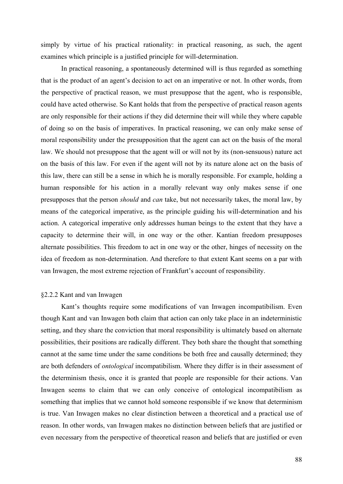simply by virtue of his practical rationality: in practical reasoning, as such, the agent examines which principle is a justified principle for will-determination.

In practical reasoning, a spontaneously determined will is thus regarded as something that is the product of an agent's decision to act on an imperative or not. In other words, from the perspective of practical reason, we must presuppose that the agent, who is responsible, could have acted otherwise. So Kant holds that from the perspective of practical reason agents are only responsible for their actions if they did determine their will while they where capable of doing so on the basis of imperatives. In practical reasoning, we can only make sense of moral responsibility under the presupposition that the agent can act on the basis of the moral law. We should not presuppose that the agent will or will not by its (non-sensuous) nature act on the basis of this law. For even if the agent will not by its nature alone act on the basis of this law, there can still be a sense in which he is morally responsible. For example, holding a human responsible for his action in a morally relevant way only makes sense if one presupposes that the person *should* and *can* take, but not necessarily takes, the moral law, by means of the categorical imperative, as the principle guiding his will-determination and his action. A categorical imperative only addresses human beings to the extent that they have a capacity to determine their will, in one way or the other. Kantian freedom presupposes alternate possibilities. This freedom to act in one way or the other, hinges of necessity on the idea of freedom as non-determination. And therefore to that extent Kant seems on a par with van Inwagen, the most extreme rejection of Frankfurt's account of responsibility.

### §2.2.2 Kant and van Inwagen

Kant's thoughts require some modifications of van Inwagen incompatibilism. Even though Kant and van Inwagen both claim that action can only take place in an indeterministic setting, and they share the conviction that moral responsibility is ultimately based on alternate possibilities, their positions are radically different. They both share the thought that something cannot at the same time under the same conditions be both free and causally determined; they are both defenders of *ontological* incompatibilism. Where they differ is in their assessment of the determinism thesis, once it is granted that people are responsible for their actions. Van Inwagen seems to claim that we can only conceive of ontological incompatibilism as something that implies that we cannot hold someone responsible if we know that determinism is true. Van Inwagen makes no clear distinction between a theoretical and a practical use of reason. In other words, van Inwagen makes no distinction between beliefs that are justified or even necessary from the perspective of theoretical reason and beliefs that are justified or even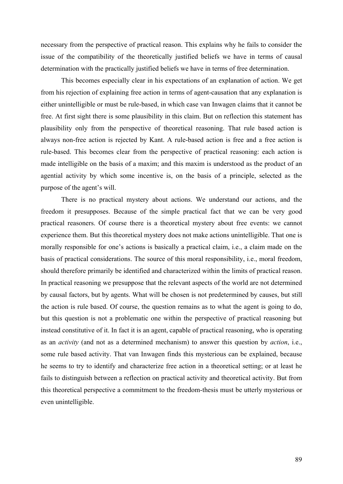necessary from the perspective of practical reason. This explains why he fails to consider the issue of the compatibility of the theoretically justified beliefs we have in terms of causal determination with the practically justified beliefs we have in terms of free determination.

This becomes especially clear in his expectations of an explanation of action. We get from his rejection of explaining free action in terms of agent-causation that any explanation is either unintelligible or must be rule-based, in which case van Inwagen claims that it cannot be free. At first sight there is some plausibility in this claim. But on reflection this statement has plausibility only from the perspective of theoretical reasoning. That rule based action is always non-free action is rejected by Kant. A rule-based action is free and a free action is rule-based. This becomes clear from the perspective of practical reasoning: each action is made intelligible on the basis of a maxim; and this maxim is understood as the product of an agential activity by which some incentive is, on the basis of a principle, selected as the purpose of the agent's will.

There is no practical mystery about actions. We understand our actions, and the freedom it presupposes. Because of the simple practical fact that we can be very good practical reasoners. Of course there is a theoretical mystery about free events: we cannot experience them. But this theoretical mystery does not make actions unintelligible. That one is morally responsible for one's actions is basically a practical claim, i.e., a claim made on the basis of practical considerations. The source of this moral responsibility, i.e., moral freedom, should therefore primarily be identified and characterized within the limits of practical reason. In practical reasoning we presuppose that the relevant aspects of the world are not determined by causal factors, but by agents. What will be chosen is not predetermined by causes, but still the action is rule based. Of course, the question remains as to what the agent is going to do, but this question is not a problematic one within the perspective of practical reasoning but instead constitutive of it. In fact it is an agent, capable of practical reasoning, who is operating as an *activity* (and not as a determined mechanism) to answer this question by *action*, i.e., some rule based activity. That van Inwagen finds this mysterious can be explained, because he seems to try to identify and characterize free action in a theoretical setting; or at least he fails to distinguish between a reflection on practical activity and theoretical activity. But from this theoretical perspective a commitment to the freedom-thesis must be utterly mysterious or even unintelligible.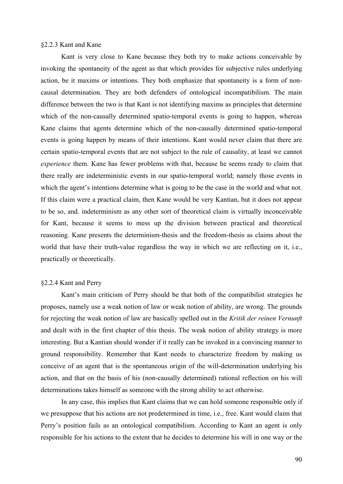# §2.2.3 Kant and Kane

Kant is very close to Kane because they both try to make actions conceivable by invoking the spontaneity of the agent as that which provides for subjective rules underlying action, be it maxims or intentions. They both emphasize that spontaneity is a form of noncausal determination. They are both defenders of ontological incompatibilism. The main difference between the two is that Kant is not identifying maxims as principles that determine which of the non-causally determined spatio-temporal events is going to happen, whereas Kane claims that agents determine which of the non-causally determined spatio-temporal events is going happen by means of their intentions. Kant would never claim that there are certain spatio-temporal events that are not subject to the rule of causality, at least we cannot *experience* them. Kane has fewer problems with that, because he seems ready to claim that there really are indeterministic events in our spatio-temporal world; namely those events in which the agent's intentions determine what is going to be the case in the world and what not. If this claim were a practical claim, then Kane would be very Kantian, but it does not appear to be so, and. indeterminism as any other sort of theoretical claim is virtually inconceivable for Kant, because it seems to mess up the division between practical and theoretical reasoning. Kane presents the determinism-thesis and the freedom-thesis as claims about the world that have their truth-value regardless the way in which we are reflecting on it, i.e., practically or theoretically.

### §2.2.4 Kant and Perry

Kant's main criticism of Perry should be that both of the compatibilist strategies he proposes, namely use a weak notion of law or weak notion of ability, are wrong. The grounds for rejecting the weak notion of law are basically spelled out in the *Kritik der reinen Vernunft* and dealt with in the first chapter of this thesis. The weak notion of ability strategy is more interesting. But a Kantian should wonder if it really can be invoked in a convincing manner to ground responsibility. Remember that Kant needs to characterize freedom by making us conceive of an agent that is the spontaneous origin of the will-determination underlying his action, and that on the basis of his (non-causally determined) rational reflection on his will determinations takes himself as someone with the strong ability to act otherwise.

 In any case, this implies that Kant claims that we can hold someone responsible only if we presuppose that his actions are not predetermined in time, i.e., free. Kant would claim that Perry's position fails as an ontological compatibilism. According to Kant an agent is only responsible for his actions to the extent that he decides to determine his will in one way or the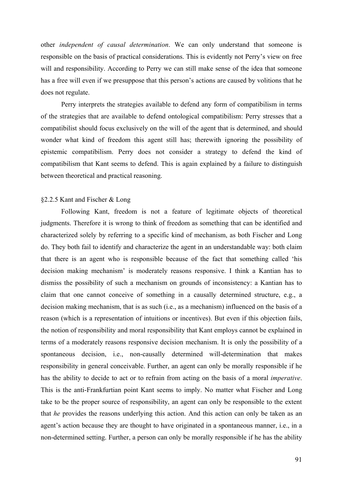other *independent of causal determination*. We can only understand that someone is responsible on the basis of practical considerations. This is evidently not Perry's view on free will and responsibility. According to Perry we can still make sense of the idea that someone has a free will even if we presuppose that this person's actions are caused by volitions that he does not regulate.

 Perry interprets the strategies available to defend any form of compatibilism in terms of the strategies that are available to defend ontological compatibilism: Perry stresses that a compatibilist should focus exclusively on the will of the agent that is determined, and should wonder what kind of freedom this agent still has; therewith ignoring the possibility of epistemic compatibilism. Perry does not consider a strategy to defend the kind of compatibilism that Kant seems to defend. This is again explained by a failure to distinguish between theoretical and practical reasoning.

## §2.2.5 Kant and Fischer & Long

Following Kant, freedom is not a feature of legitimate objects of theoretical judgments. Therefore it is wrong to think of freedom as something that can be identified and characterized solely by referring to a specific kind of mechanism, as both Fischer and Long do. They both fail to identify and characterize the agent in an understandable way: both claim that there is an agent who is responsible because of the fact that something called 'his decision making mechanism' is moderately reasons responsive. I think a Kantian has to dismiss the possibility of such a mechanism on grounds of inconsistency: a Kantian has to claim that one cannot conceive of something in a causally determined structure, e.g., a decision making mechanism, that is as such (i.e., as a mechanism) influenced on the basis of a reason (which is a representation of intuitions or incentives). But even if this objection fails, the notion of responsibility and moral responsibility that Kant employs cannot be explained in terms of a moderately reasons responsive decision mechanism. It is only the possibility of a spontaneous decision, i.e., non-causally determined will-determination that makes responsibility in general conceivable. Further, an agent can only be morally responsible if he has the ability to decide to act or to refrain from acting on the basis of a moral *imperative*. This is the anti-Frankfurtian point Kant seems to imply. No matter what Fischer and Long take to be the proper source of responsibility, an agent can only be responsible to the extent that *he* provides the reasons underlying this action. And this action can only be taken as an agent's action because they are thought to have originated in a spontaneous manner, i.e., in a non-determined setting. Further, a person can only be morally responsible if he has the ability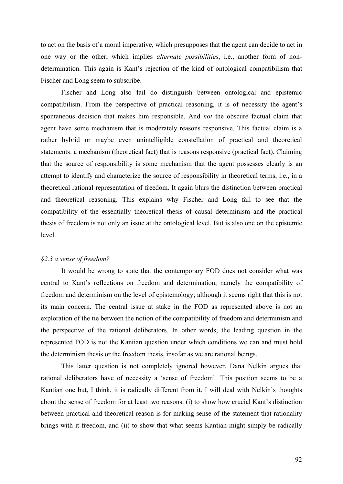to act on the basis of a moral imperative, which presupposes that the agent can decide to act in one way or the other, which implies *alternate possibilities*, i.e., another form of nondetermination. This again is Kant's rejection of the kind of ontological compatibilism that Fischer and Long seem to subscribe.

 Fischer and Long also fail do distinguish between ontological and epistemic compatibilism. From the perspective of practical reasoning, it is of necessity the agent's spontaneous decision that makes him responsible. And *not* the obscure factual claim that agent have some mechanism that is moderately reasons responsive. This factual claim is a rather hybrid or maybe even unintelligible constellation of practical and theoretical statements: a mechanism (theoretical fact) that is reasons responsive (practical fact). Claiming that the source of responsibility is some mechanism that the agent possesses clearly is an attempt to identify and characterize the source of responsibility in theoretical terms, i.e., in a theoretical rational representation of freedom. It again blurs the distinction between practical and theoretical reasoning. This explains why Fischer and Long fail to see that the compatibility of the essentially theoretical thesis of causal determinism and the practical thesis of freedom is not only an issue at the ontological level. But is also one on the epistemic level.

# *§2.3 a sense of freedom?*

It would be wrong to state that the contemporary FOD does not consider what was central to Kant's reflections on freedom and determination, namely the compatibility of freedom and determinism on the level of epistemology; although it seems right that this is not its main concern. The central issue at stake in the FOD as represented above is not an exploration of the tie between the notion of the compatibility of freedom and determinism and the perspective of the rational deliberators. In other words, the leading question in the represented FOD is not the Kantian question under which conditions we can and must hold the determinism thesis or the freedom thesis, insofar as we are rational beings.

This latter question is not completely ignored however. Dana Nelkin argues that rational deliberators have of necessity a 'sense of freedom'. This position seems to be a Kantian one but, I think, it is radically different from it. I will deal with Nelkin's thoughts about the sense of freedom for at least two reasons: (i) to show how crucial Kant's distinction between practical and theoretical reason is for making sense of the statement that rationality brings with it freedom, and (ii) to show that what seems Kantian might simply be radically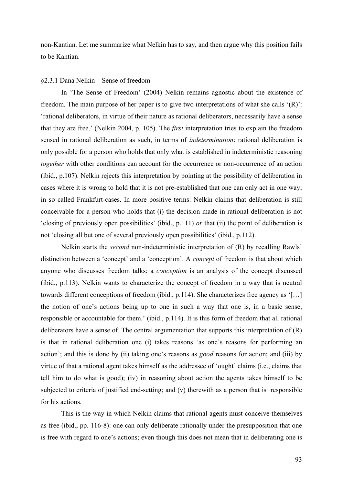non-Kantian. Let me summarize what Nelkin has to say, and then argue why this position fails to be Kantian.

#### §2.3.1 Dana Nelkin – Sense of freedom

In 'The Sense of Freedom' (2004) Nelkin remains agnostic about the existence of freedom. The main purpose of her paper is to give two interpretations of what she calls '(R)': 'rational deliberators, in virtue of their nature as rational deliberators, necessarily have a sense that they are free.' (Nelkin 2004, p. 105). The *first* interpretation tries to explain the freedom sensed in rational deliberation as such, in terms of *indetermination*: rational deliberation is only possible for a person who holds that only what is established in indeterministic reasoning *together* with other conditions can account for the occurrence or non-occurrence of an action (ibid., p.107). Nelkin rejects this interpretation by pointing at the possibility of deliberation in cases where it is wrong to hold that it is not pre-established that one can only act in one way; in so called Frankfurt-cases. In more positive terms: Nelkin claims that deliberation is still conceivable for a person who holds that (i) the decision made in rational deliberation is not 'closing of previously open possibilities' (ibid., p.111) *or* that (ii) the point of deliberation is not 'closing all but one of several previously open possibilities' (ibid., p.112).

 Nelkin starts the *second* non-indeterministic interpretation of (R) by recalling Rawls' distinction between a 'concept' and a 'conception'. A *concept* of freedom is that about which anyone who discusses freedom talks; a *conception* is an analysis of the concept discussed (ibid., p.113). Nelkin wants to characterize the concept of freedom in a way that is neutral towards different conceptions of freedom (ibid., p.114). She characterizes free agency as '[…] the notion of one's actions being up to one in such a way that one is, in a basic sense, responsible or accountable for them.' (ibid., p.114). It is this form of freedom that all rational deliberators have a sense of. The central argumentation that supports this interpretation of (R) is that in rational deliberation one (i) takes reasons 'as one's reasons for performing an action'; and this is done by (ii) taking one's reasons as *good* reasons for action; and (iii) by virtue of that a rational agent takes himself as the addressee of 'ought' claims (i.e., claims that tell him to do what is good); (iv) in reasoning about action the agents takes himself to be subjected to criteria of justified end-setting; and (v) therewith as a person that is responsible for his actions.

This is the way in which Nelkin claims that rational agents must conceive themselves as free (ibid., pp. 116-8): one can only deliberate rationally under the presupposition that one is free with regard to one's actions; even though this does not mean that in deliberating one is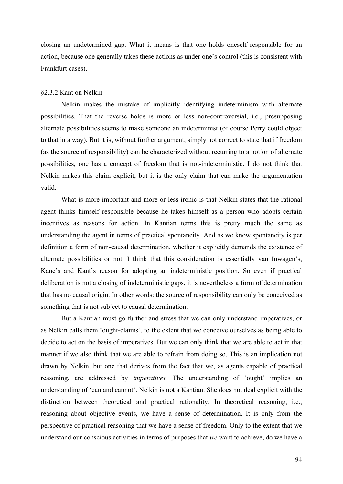closing an undetermined gap. What it means is that one holds oneself responsible for an action, because one generally takes these actions as under one's control (this is consistent with Frankfurt cases).

## §2.3.2 Kant on Nelkin

 Nelkin makes the mistake of implicitly identifying indeterminism with alternate possibilities. That the reverse holds is more or less non-controversial, i.e., presupposing alternate possibilities seems to make someone an indeterminist (of course Perry could object to that in a way). But it is, without further argument, simply not correct to state that if freedom (as the source of responsibility) can be characterized without recurring to a notion of alternate possibilities, one has a concept of freedom that is not-indeterministic. I do not think that Nelkin makes this claim explicit, but it is the only claim that can make the argumentation valid.

What is more important and more or less ironic is that Nelkin states that the rational agent thinks himself responsible because he takes himself as a person who adopts certain incentives as reasons for action. In Kantian terms this is pretty much the same as understanding the agent in terms of practical spontaneity. And as we know spontaneity is per definition a form of non-causal determination, whether it explicitly demands the existence of alternate possibilities or not. I think that this consideration is essentially van Inwagen's, Kane's and Kant's reason for adopting an indeterministic position. So even if practical deliberation is not a closing of indeterministic gaps, it is nevertheless a form of determination that has no causal origin. In other words: the source of responsibility can only be conceived as something that is not subject to causal determination.

But a Kantian must go further and stress that we can only understand imperatives, or as Nelkin calls them 'ought-claims', to the extent that we conceive ourselves as being able to decide to act on the basis of imperatives. But we can only think that we are able to act in that manner if we also think that we are able to refrain from doing so. This is an implication not drawn by Nelkin, but one that derives from the fact that we, as agents capable of practical reasoning, are addressed by *imperatives.* The understanding of 'ought' implies an understanding of 'can and cannot'. Nelkin is not a Kantian. She does not deal explicit with the distinction between theoretical and practical rationality. In theoretical reasoning, i.e., reasoning about objective events, we have a sense of determination. It is only from the perspective of practical reasoning that we have a sense of freedom. Only to the extent that we understand our conscious activities in terms of purposes that *we* want to achieve, do we have a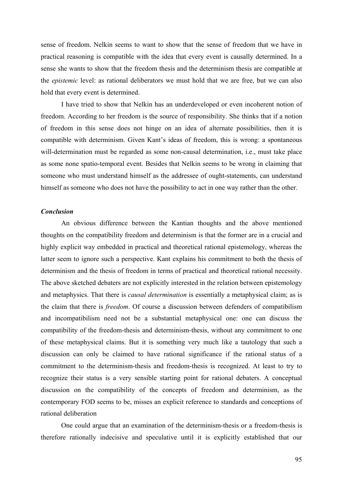sense of freedom. Nelkin seems to want to show that the sense of freedom that we have in practical reasoning is compatible with the idea that every event is causally determined. In a sense she wants to show that the freedom thesis and the determinism thesis are compatible at the *epistemic* level: as rational deliberators we must hold that we are free, but we can also hold that every event is determined.

I have tried to show that Nelkin has an underdeveloped or even incoherent notion of freedom. According to her freedom is the source of responsibility. She thinks that if a notion of freedom in this sense does not hinge on an idea of alternate possibilities, then it is compatible with determinism. Given Kant's ideas of freedom, this is wrong: a spontaneous will-determination must be regarded as some non-causal determination, i.e., must take place as some none spatio-temporal event. Besides that Nelkin seems to be wrong in claiming that someone who must understand himself as the addressee of ought-statements, can understand himself as someone who does not have the possibility to act in one way rather than the other.

## *Conclusion*

An obvious difference between the Kantian thoughts and the above mentioned thoughts on the compatibility freedom and determinism is that the former are in a crucial and highly explicit way embedded in practical and theoretical rational epistemology, whereas the latter seem to ignore such a perspective. Kant explains his commitment to both the thesis of determinism and the thesis of freedom in terms of practical and theoretical rational necessity. The above sketched debaters are not explicitly interested in the relation between epistemology and metaphysics. That there is *causal determination* is essentially a metaphysical claim; as is the claim that there is *freedom*. Of course a discussion between defenders of compatibilism and incompatibilism need not be a substantial metaphysical one: one can discuss the compatibility of the freedom-thesis and determinism-thesis, without any commitment to one of these metaphysical claims. But it is something very much like a tautology that such a discussion can only be claimed to have rational significance if the rational status of a commitment to the determinism-thesis and freedom-thesis is recognized. At least to try to recognize their status is a very sensible starting point for rational debaters. A conceptual discussion on the compatibility of the concepts of freedom and determinism, as the contemporary FOD seems to be, misses an explicit reference to standards and conceptions of rational deliberation

One could argue that an examination of the determinism-thesis or a freedom-thesis is therefore rationally indecisive and speculative until it is explicitly established that our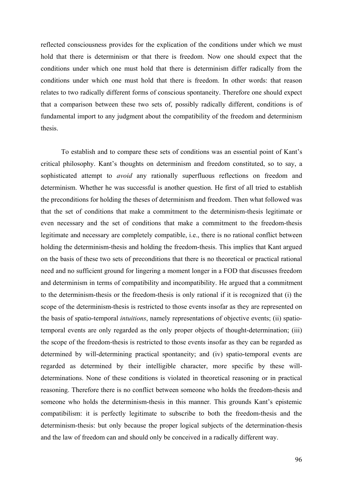reflected consciousness provides for the explication of the conditions under which we must hold that there is determinism or that there is freedom. Now one should expect that the conditions under which one must hold that there is determinism differ radically from the conditions under which one must hold that there is freedom. In other words: that reason relates to two radically different forms of conscious spontaneity. Therefore one should expect that a comparison between these two sets of, possibly radically different, conditions is of fundamental import to any judgment about the compatibility of the freedom and determinism thesis.

To establish and to compare these sets of conditions was an essential point of Kant's critical philosophy. Kant's thoughts on determinism and freedom constituted, so to say, a sophisticated attempt to *avoid* any rationally superfluous reflections on freedom and determinism. Whether he was successful is another question. He first of all tried to establish the preconditions for holding the theses of determinism and freedom. Then what followed was that the set of conditions that make a commitment to the determinism-thesis legitimate or even necessary and the set of conditions that make a commitment to the freedom-thesis legitimate and necessary are completely compatible, i.e., there is no rational conflict between holding the determinism-thesis and holding the freedom-thesis. This implies that Kant argued on the basis of these two sets of preconditions that there is no theoretical or practical rational need and no sufficient ground for lingering a moment longer in a FOD that discusses freedom and determinism in terms of compatibility and incompatibility. He argued that a commitment to the determinism-thesis or the freedom-thesis is only rational if it is recognized that (i) the scope of the determinism-thesis is restricted to those events insofar as they are represented on the basis of spatio-temporal *intuitions*, namely representations of objective events; (ii) spatiotemporal events are only regarded as the only proper objects of thought-determination; (iii) the scope of the freedom-thesis is restricted to those events insofar as they can be regarded as determined by will-determining practical spontaneity; and (iv) spatio-temporal events are regarded as determined by their intelligible character, more specific by these willdeterminations. None of these conditions is violated in theoretical reasoning or in practical reasoning. Therefore there is no conflict between someone who holds the freedom-thesis and someone who holds the determinism-thesis in this manner. This grounds Kant's epistemic compatibilism: it is perfectly legitimate to subscribe to both the freedom-thesis and the determinism-thesis: but only because the proper logical subjects of the determination-thesis and the law of freedom can and should only be conceived in a radically different way.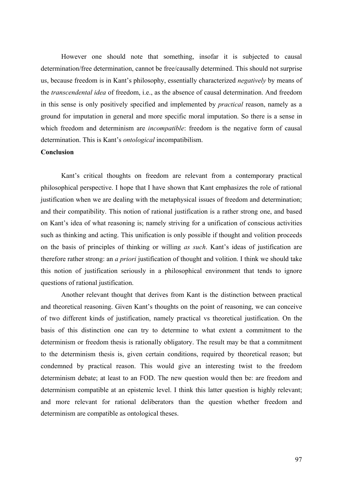However one should note that something, insofar it is subjected to causal determination/free determination, cannot be free/causally determined. This should not surprise us, because freedom is in Kant's philosophy, essentially characterized *negatively* by means of the *transcendental idea* of freedom, i.e., as the absence of causal determination. And freedom in this sense is only positively specified and implemented by *practical* reason, namely as a ground for imputation in general and more specific moral imputation. So there is a sense in which freedom and determinism are *incompatible*: freedom is the negative form of causal determination. This is Kant's *ontological* incompatibilism.

## **Conclusion**

Kant's critical thoughts on freedom are relevant from a contemporary practical philosophical perspective. I hope that I have shown that Kant emphasizes the role of rational justification when we are dealing with the metaphysical issues of freedom and determination; and their compatibility. This notion of rational justification is a rather strong one, and based on Kant's idea of what reasoning is; namely striving for a unification of conscious activities such as thinking and acting. This unification is only possible if thought and volition proceeds on the basis of principles of thinking or willing *as such*. Kant's ideas of justification are therefore rather strong: an *a priori* justification of thought and volition. I think we should take this notion of justification seriously in a philosophical environment that tends to ignore questions of rational justification.

Another relevant thought that derives from Kant is the distinction between practical and theoretical reasoning. Given Kant's thoughts on the point of reasoning, we can conceive of two different kinds of justification, namely practical vs theoretical justification. On the basis of this distinction one can try to determine to what extent a commitment to the determinism or freedom thesis is rationally obligatory. The result may be that a commitment to the determinism thesis is, given certain conditions, required by theoretical reason; but condemned by practical reason. This would give an interesting twist to the freedom determinism debate; at least to an FOD. The new question would then be: are freedom and determinism compatible at an epistemic level. I think this latter question is highly relevant; and more relevant for rational deliberators than the question whether freedom and determinism are compatible as ontological theses.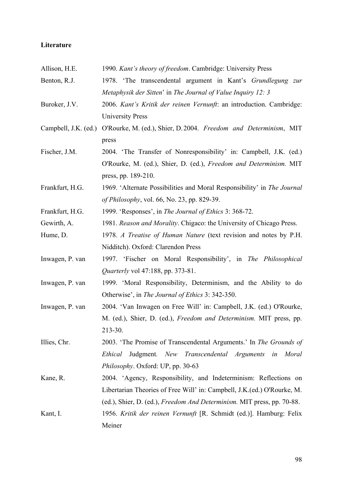# Literature

| Allison, H.E.        | 1990. Kant's theory of freedom. Cambridge: University Press                    |
|----------------------|--------------------------------------------------------------------------------|
| Benton, R.J.         | 1978. 'The transcendental argument in Kant's Grundlegung zur                   |
|                      | Metaphysik der Sitten' in The Journal of Value Inquiry 12: 3                   |
| Buroker, J.V.        | 2006. Kant's Kritik der reinen Vernunft: an introduction. Cambridge:           |
|                      | <b>University Press</b>                                                        |
| Campbell, J.K. (ed.) | O'Rourke, M. (ed.), Shier, D. 2004. Freedom and Determinism, MIT               |
|                      | press                                                                          |
| Fischer, J.M.        | 2004. 'The Transfer of Nonresponsibility' in: Campbell, J.K. (ed.)             |
|                      | O'Rourke, M. (ed.), Shier, D. (ed.), Freedom and Determinism. MIT              |
|                      | press, pp. 189-210.                                                            |
| Frankfurt, H.G.      | 1969. 'Alternate Possibilities and Moral Responsibility' in The Journal        |
|                      | of Philosophy, vol. 66, No. 23, pp. 829-39.                                    |
| Frankfurt, H.G.      | 1999. 'Responses', in The Journal of Ethics 3: 368-72.                         |
| Gewirth, A.          | 1981. Reason and Morality. Chigaco: the University of Chicago Press.           |
| Hume, D.             | 1978. A Treatise of Human Nature (text revision and notes by P.H.              |
|                      | Nidditch). Oxford: Clarendon Press                                             |
| Inwagen, P. van      | 1997. 'Fischer on Moral Responsibility', in The Philosophical                  |
|                      | <i>Quarterly</i> vol 47:188, pp. 373-81.                                       |
| Inwagen, P. van      | 1999. 'Moral Responsibility, Determinism, and the Ability to do                |
|                      | Otherwise', in The Journal of Ethics 3: 342-350.                               |
| Inwagen, P. van      | 2004. 'Van Inwagen on Free Will' in: Campbell, J.K. (ed.) O'Rourke,            |
|                      | M. (ed.), Shier, D. (ed.), Freedom and Determinism. MIT press, pp.             |
|                      | 213-30.                                                                        |
| Illies, Chr.         | 2003. 'The Promise of Transcendental Arguments.' In The Grounds of             |
|                      | Judgment. New Transcendental Arguments in Moral<br>Ethical                     |
|                      | Philosophy. Oxford: UP, pp. 30-63                                              |
| Kane, R.             | 2004. 'Agency, Responsibility, and Indeterminism: Reflections on               |
|                      | Libertarian Theories of Free Will' in: Campbell, J.K.(ed.) O'Rourke, M.        |
|                      | (ed.), Shier, D. (ed.), <i>Freedom And Determinism</i> . MIT press, pp. 70-88. |
| Kant, I.             | 1956. Kritik der reinen Vernunft [R. Schmidt (ed.)]. Hamburg: Felix            |
|                      | Meiner                                                                         |